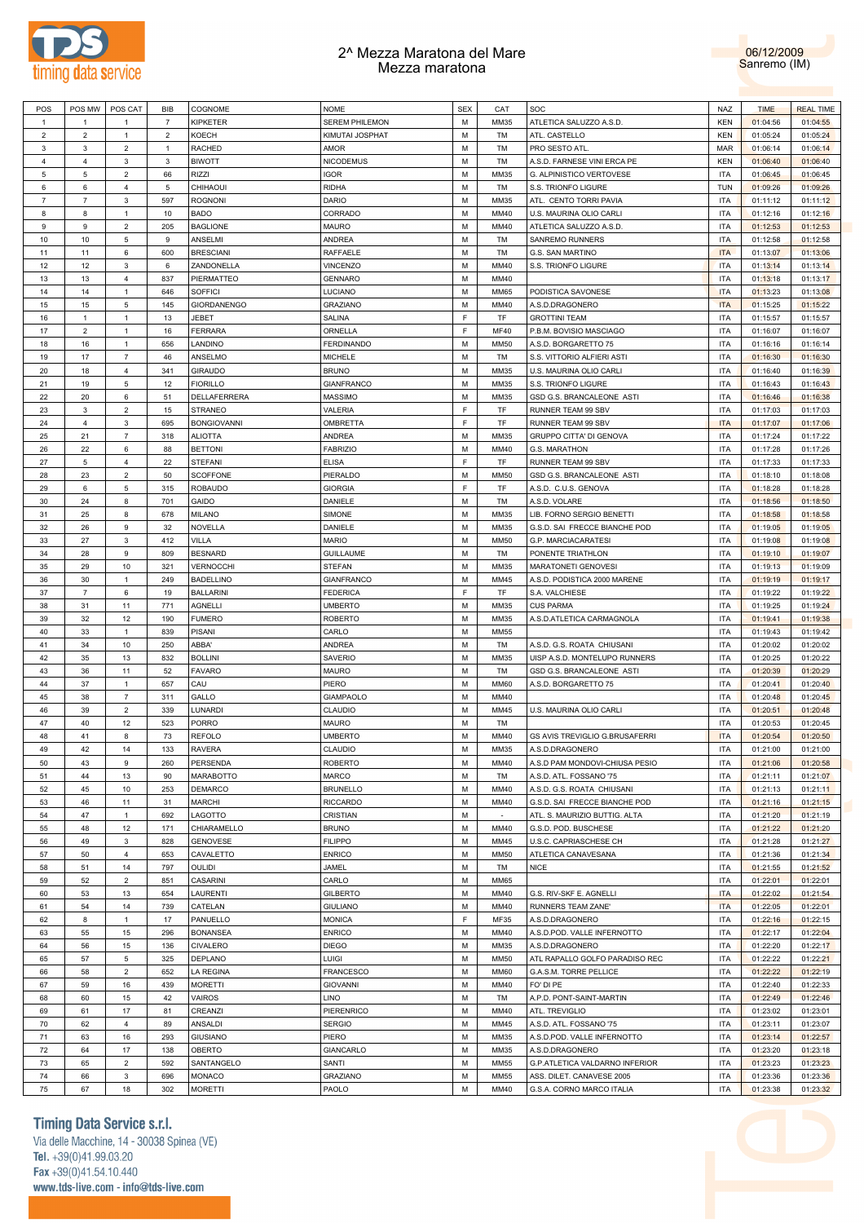



|                | POS MW         |                |                |                    |                       |            |             |                                |            |             |                  |
|----------------|----------------|----------------|----------------|--------------------|-----------------------|------------|-------------|--------------------------------|------------|-------------|------------------|
| POS            |                | POS CAT        | <b>BIB</b>     | COGNOME            | <b>NOME</b>           | <b>SEX</b> | CAT         | SOC                            | <b>NAZ</b> | <b>TIME</b> | <b>REAL TIME</b> |
| $\mathbf{1}$   | $\mathbf{1}$   | $\mathbf{1}$   | 7              | <b>KIPKETER</b>    | <b>SEREM PHILEMON</b> | М          | MM35        | ATLETICA SALUZZO A.S.D.        | <b>KEN</b> | 01:04:56    | 01:04:55         |
| $\overline{2}$ | $\sqrt{2}$     | $\mathbf{1}$   | $\overline{2}$ | KOECH              | KIMUTAI JOSPHAT       | M          | TM          | ATL. CASTELLO                  | <b>KEN</b> | 01:05:24    | 01:05:24         |
| 3              | 3              | $\overline{c}$ | 1              | RACHED             | AMOR                  | М          | TM          | PRO SESTO ATL                  | <b>MAR</b> | 01:06:14    | 01:06:14         |
| 4              | 4              | 3              | 3              | <b>BIWOTT</b>      | <b>NICODEMUS</b>      | М          | TM          | A.S.D. FARNESE VINI ERCA PE    | <b>KEN</b> | 01:06:40    | 01:06:40         |
|                |                |                |                |                    |                       |            |             |                                |            |             |                  |
| 5              | $\,$ 5 $\,$    | $\overline{2}$ | 66             | <b>RIZZI</b>       | <b>IGOR</b>           | М          | MM35        | G. ALPINISTICO VERTOVESE       | <b>ITA</b> | 01:06:45    | 01:06:45         |
| 6              | 6              | 4              | 5              | CHIHAOUI           | <b>RIDHA</b>          | М          | TM          | S.S. TRIONFO LIGURE            | <b>TUN</b> | 01:09:26    | 01:09:26         |
| $\overline{7}$ | $\overline{7}$ | 3              | 597            | <b>ROGNONI</b>     | DARIO                 | М          | MM35        | ATL. CENTO TORRI PAVIA         | <b>ITA</b> | 01:11:12    | 01:11:12         |
| 8              | 8              | $\mathbf{1}$   | 10             | <b>BADO</b>        | CORRADO               | М          | MM40        | U.S. MAURINA OLIO CARLI        | <b>ITA</b> | 01:12:16    | 01:12:16         |
| 9              | 9              | $\overline{2}$ | 205            | <b>BAGLIONE</b>    | <b>MAURO</b>          | М          | MM40        | ATLETICA SALUZZO A.S.D.        | <b>ITA</b> | 01:12:53    | 01:12:53         |
|                |                |                |                |                    |                       |            |             |                                |            |             |                  |
| 10             | 10             | 5              | 9              | ANSELMI            | <b>ANDREA</b>         | М          | TM          | <b>SANREMO RUNNERS</b>         | <b>ITA</b> | 01:12:58    | 01:12:58         |
| 11             | 11             | 6              | 600            | <b>BRESCIANI</b>   | <b>RAFFAELE</b>       | М          | TM          | G.S. SAN MARTINO               | <b>ITA</b> | 01:13:07    | 01:13:06         |
| 12             | 12             | 3              | 6              | ZANDONELLA         | <b>VINCENZO</b>       | М          | MM40        | S.S. TRIONFO LIGURE            | <b>ITA</b> | 01:13:14    | 01:13:14         |
| 13             | 13             | 4              | 837            | PIERMATTEO         | <b>GENNARO</b>        | М          | MM40        |                                | <b>ITA</b> | 01:13:18    | 01:13:17         |
|                |                |                |                |                    | LUCIANO               |            |             | PODISTICA SAVONESE             |            |             |                  |
| 14             | 14             | $\mathbf{1}$   | 646            | <b>SOFFICI</b>     |                       | М          | <b>MM65</b> |                                | <b>ITA</b> | 01:13:23    | 01:13:08         |
| 15             | 15             | 5              | 145            | <b>GIORDANENGO</b> | <b>GRAZIANO</b>       | М          | MM40        | A.S.D.DRAGONERO                | <b>ITA</b> | 01:15:25    | 01:15:22         |
| 16             | $\mathbf{1}$   | $\mathbf{1}$   | 13             | JEBET              | SALINA                | F.         | TF          | <b>GROTTINI TEAM</b>           | <b>ITA</b> | 01:15:57    | 01:15:57         |
| 17             | $\overline{2}$ | $\mathbf{1}$   | 16             | <b>FERRARA</b>     | ORNELLA               | E          | <b>MF40</b> | P.B.M. BOVISIO MASCIAGO        | <b>ITA</b> | 01:16:07    | 01:16:07         |
| 18             | 16             | 1              | 656            | LANDINO            | <b>FERDINANDO</b>     | M          | <b>MM50</b> | A.S.D. BORGARETTO 75           | <b>ITA</b> | 01:16:16    | 01:16:14         |
|                | 17             |                |                |                    |                       |            |             |                                |            |             |                  |
| 19             |                | $\overline{7}$ | 46             | ANSELMO            | <b>MICHELE</b>        | М          | TM          | S.S. VITTORIO ALFIERI ASTI     | <b>ITA</b> | 01:16:30    | 01:16:30         |
| 20             | 18             | 4              | 341            | <b>GIRAUDO</b>     | <b>BRUNO</b>          | М          | MM35        | U.S. MAURINA OLIO CARLI        | <b>ITA</b> | 01:16:40    | 01:16:39         |
| 21             | 19             | 5              | 12             | <b>FIORILLO</b>    | <b>GIANFRANCO</b>     | М          | MM35        | S.S. TRIONFO LIGURE            | <b>ITA</b> | 01:16:43    | 01:16:43         |
| 22             | 20             | 6              | 51             | DELLAFERRERA       | MASSIMO               | М          | MM35        | GSD G.S. BRANCALEONE ASTI      | <b>ITA</b> | 01:16:46    | 01:16:38         |
| 23             | 3              | $\overline{2}$ | 15             | <b>STRANEO</b>     | VALERIA               | E          | TF          | RUNNER TEAM 99 SBV             | <b>ITA</b> | 01:17:03    | 01:17:03         |
|                |                |                |                |                    |                       |            |             |                                |            |             |                  |
| 24             | 4              | 3              | 695            | <b>BONGIOVANNI</b> | OMBRETTA              | E          | TF          | RUNNER TEAM 99 SBV             | <b>ITA</b> | 01:17:07    | 01:17:06         |
| 25             | 21             | $\overline{7}$ | 318            | <b>ALIOTTA</b>     | ANDREA                | М          | MM35        | GRUPPO CITTA' DI GENOVA        | <b>ITA</b> | 01:17:24    | 01:17:22         |
| 26             | 22             | 6              | 88             | <b>BETTONI</b>     | <b>FABRIZIO</b>       | М          | MM40        | <b>G.S. MARATHON</b>           | <b>ITA</b> | 01:17:28    | 01:17:26         |
| 27             | 5              | 4              | 22             | STEFANI            | <b>ELISA</b>          | E          | TF          | RUNNER TEAM 99 SBV             | <b>ITA</b> | 01:17:33    | 01:17:33         |
| 28             | 23             | $\overline{2}$ | 50             | <b>SCOFFONE</b>    | PIERALDO              | M          | <b>MM50</b> | GSD G.S. BRANCALEONE ASTI      | <b>ITA</b> | 01:18:10    | 01:18:08         |
|                |                |                |                |                    |                       |            |             |                                |            |             |                  |
| 29             | 6              | 5              | 315            | <b>ROBAUDO</b>     | <b>GIORGIA</b>        | E          | TF          | A.S.D. C.U.S. GENOVA           | <b>ITA</b> | 01:18:28    | 01:18:28         |
| 30             | 24             | 8              | 701            | GAIDO              | DANIELE               | М          | TM          | A.S.D. VOLARE                  | <b>ITA</b> | 01:18:56    | 01:18:50         |
| 31             | 25             | 8              | 678            | <b>MILANO</b>      | SIMONE                | М          | MM35        | LIB. FORNO SERGIO BENETTI      | <b>ITA</b> | 01:18:58    | 01:18:58         |
| 32             | 26             | 9              | 32             | NOVELLA            | DANIELE               | М          | MM35        | G.S.D. SAI FRECCE BIANCHE POD  | <b>ITA</b> | 01:19:05    | 01:19:05         |
|                |                |                | 412            | VILLA              | <b>MARIO</b>          | М          | <b>MM50</b> |                                | <b>ITA</b> |             |                  |
| 33             | 27             | 3              |                |                    |                       |            |             | G.P. MARCIACARATESI            |            | 01:19:08    | 01:19:08         |
| 34             | 28             | 9              | 809            | <b>BESNARD</b>     | <b>GUILLAUME</b>      | М          | TM          | PONENTE TRIATHLON              | <b>ITA</b> | 01:19:10    | 01:19:07         |
| 35             | 29             | 10             | 321            | VERNOCCHI          | <b>STEFAN</b>         | М          | MM35        | MARATONETI GENOVESI            | <b>ITA</b> | 01:19:13    | 01:19:09         |
| 36             | 30             | $\mathbf{1}$   | 249            | <b>BADELLINO</b>   | <b>GIANFRANCO</b>     | М          | MM45        | A.S.D. PODISTICA 2000 MARENE   | <b>ITA</b> | 01:19:19    | 01:19:17         |
| 37             | $\overline{7}$ | 6              | 19             | <b>BALLARINI</b>   | <b>FEDERICA</b>       | E          | TF          | S.A. VALCHIESE                 | <b>ITA</b> | 01:19:22    | 01:19:22         |
|                |                |                |                |                    |                       |            |             |                                |            |             |                  |
| 38             | 31             | 11             | 771            | AGNELLI            | <b>UMBERTO</b>        | M          | MM35        | <b>CUS PARMA</b>               | <b>ITA</b> | 01:19:25    | 01:19:24         |
| 39             | 32             | 12             | 190            | <b>FUMERO</b>      | <b>ROBERTO</b>        | М          | MM35        | A.S.D.ATLETICA CARMAGNOLA      | <b>ITA</b> | 01:19:41    | 01:19:38         |
| 40             | 33             | $\mathbf{1}$   | 839            | PISANI             | CARLO                 | М          | <b>MM55</b> |                                | <b>ITA</b> | 01:19:43    | 01:19:42         |
| 41             | 34             | 10             | 250            | ABBA'              | <b>ANDREA</b>         | М          | TM          | A.S.D. G.S. ROATA CHIUSANI     | <b>ITA</b> | 01:20:02    | 01:20:02         |
| 42             | 35             | 13             | 832            | <b>BOLLINI</b>     | <b>SAVERIO</b>        | М          | MM35        | UISP A.S.D. MONTELUPO RUNNERS  | <b>ITA</b> | 01:20:25    | 01:20:22         |
|                |                |                |                |                    |                       |            |             |                                |            |             |                  |
| 43             | 36             | 11             | 52             | <b>FAVARO</b>      | <b>MAURO</b>          | М          | TM          | GSD G.S. BRANCALEONE ASTI      | <b>ITA</b> | 01:20:39    | 01:20:29         |
| 44             | 37             | 1              | 657            | CAU                | PIERO                 | М          | <b>MM60</b> | A.S.D. BORGARETTO 75           | <b>ITA</b> | 01:20:41    | 01:20:40         |
| 45             | 38             | $\overline{7}$ | 311            | GALLO              | <b>GIAMPAOLO</b>      | М          | MM40        |                                | <b>ITA</b> | 01:20:48    | 01:20:45         |
| 46             | 39             | $\overline{2}$ | 339            | LUNARDI            | CLAUDIO               | М          | MM45        | U.S. MAURINA OLIO CARLI        | <b>ITA</b> | 01:20:51    | 01:20:48         |
| 47             | 40             | 12             | 523            | PORRO              | MAURO                 | М          | TM          |                                | <b>ITA</b> | 01:20:53    | 01:20:45         |
|                |                |                |                |                    |                       |            |             |                                |            |             |                  |
| 48             | 41             | 8              | 73             | REFOLO             | <b>UMBERTO</b>        | M          | MM40        | GS AVIS TREVIGLIO G.BRUSAFERRI | <b>ITA</b> | 01:20:54    | 01:20:50         |
| 49             | 42             | 14             | 133            | RAVERA             | CLAUDIO               | М          | MM35        | A.S.D.DRAGONERO                | <b>ITA</b> | 01:21:00    | 01:21:00         |
| 50             | 43             | 9              | 260            | PERSENDA           | <b>ROBERTO</b>        | М          | MM40        | A.S.D PAM MONDOVI-CHIUSA PESIO | <b>ITA</b> | 01:21:06    | 01:20:58         |
| 51             | 44             | 13             | 90             | <b>MARABOTTO</b>   | <b>MARCO</b>          | M          | TM          | A.S.D. ATL. FOSSANO '75        | <b>ITA</b> | 01:21:11    | 01:21:07         |
| 52             | 45             | 10             | 253            | <b>DEMARCO</b>     | <b>BRUNELLO</b>       | M          | MM40        | A.S.D. G.S. ROATA CHIUSANI     | <b>ITA</b> | 01:21:13    | 01:21:11         |
|                |                |                |                |                    |                       |            |             |                                |            |             |                  |
| 53             | 46             | 11             | 31             | <b>MARCHI</b>      | <b>RICCARDO</b>       | M          | MM40        | G.S.D. SAI FRECCE BIANCHE POD  | <b>ITA</b> | 01:21:16    | 01:21:15         |
| 54             | 47             | $\mathbf{1}$   | 692            | LAGOTTO            | CRISTIAN              | M          | $\sim$      | ATL. S. MAURIZIO BUTTIG. ALTA  | <b>ITA</b> | 01:21:20    | 01:21:19         |
| 55             | 48             | 12             | 171            | CHIARAMELLO        | <b>BRUNO</b>          | М          | MM40        | G.S.D. POD. BUSCHESE           | <b>ITA</b> | 01:21:22    | 01:21:20         |
| 56             | 49             | 3              | 828            | <b>GENOVESE</b>    | <b>FILIPPO</b>        | M          | MM45        | U.S.C. CAPRIASCHESE CH         | <b>ITA</b> | 01:21:28    | 01:21:27         |
| 57             | 50             | $\overline{4}$ | 653            | CAVALETTO          | <b>ENRICO</b>         | M          | <b>MM50</b> | ATLETICA CANAVESANA            | <b>ITA</b> | 01:21:36    | 01:21:34         |
|                |                |                |                |                    |                       |            |             |                                |            |             |                  |
| 58             | 51             | 14             | 797            | OULIDI             | JAMEL                 | M          | TM          | <b>NICE</b>                    | <b>ITA</b> | 01:21:55    | 01:21:52         |
| 59             | 52             | $\overline{2}$ | 851            | CASARINI           | CARLO                 | M          | <b>MM65</b> |                                | <b>ITA</b> | 01:22:01    | 01:22:01         |
| 60             | 53             | 13             | 654            | LAURENTI           | <b>GILBERTO</b>       | M          | MM40        | G.S. RIV-SKF E. AGNELLI        | <b>ITA</b> | 01:22:02    | 01:21:54         |
| 61             | 54             | 14             | 739            | CATELAN            | <b>GIULIANO</b>       | M          | MM40        | RUNNERS TEAM ZANE'             | <b>ITA</b> | 01:22:05    | 01:22:01         |
| 62             | 8              | $\mathbf{1}$   | 17             | PANUELLO           | <b>MONICA</b>         | F          | MF35        | A.S.D.DRAGONERO                | <b>ITA</b> | 01:22:16    |                  |
|                |                |                |                |                    |                       |            |             |                                |            |             | 01:22:15         |
| 63             | 55             | 15             | 296            | <b>BONANSEA</b>    | <b>ENRICO</b>         | M          | MM40        | A.S.D.POD. VALLE INFERNOTTO    | <b>ITA</b> | 01:22:17    | 01:22:04         |
| 64             | 56             | 15             | 136            | CIVALERO           | <b>DIEGO</b>          | M          | MM35        | A.S.D.DRAGONERO                | <b>ITA</b> | 01:22:20    | 01:22:17         |
| 65             | 57             | 5              | 325            | DEPLANO            | LUIGI                 | M          | <b>MM50</b> | ATL RAPALLO GOLFO PARADISO REC | <b>ITA</b> | 01:22:22    | 01:22:21         |
| 66             | 58             | $\overline{2}$ | 652            | LA REGINA          | <b>FRANCESCO</b>      | M          | <b>MM60</b> | G.A.S.M. TORRE PELLICE         | <b>ITA</b> | 01:22:22    | 01:22:19         |
|                |                |                |                |                    |                       |            |             |                                |            |             |                  |
| 67             | 59             | 16             | 439            | <b>MORETTI</b>     | <b>GIOVANNI</b>       | M          | MM40        | FO' DI PE                      | <b>ITA</b> | 01:22:40    | 01:22:33         |
| 68             | 60             | 15             | 42             | VAIROS             | LINO                  | M          | TM          | A.P.D. PONT-SAINT-MARTIN       | <b>ITA</b> | 01:22:49    | 01:22:46         |
| 69             | 61             | 17             | 81             | CREANZI            | <b>PIERENRICO</b>     | M          | MM40        | ATL. TREVIGLIO                 | <b>ITA</b> | 01:23:02    | 01:23:01         |
| 70             | 62             | $\overline{4}$ | 89             | ANSALDI            | <b>SERGIO</b>         | M          | MM45        | A.S.D. ATL. FOSSANO '75        | <b>ITA</b> | 01:23:11    | 01:23:07         |
| 71             | 63             | 16             | 293            | <b>GIUSIANO</b>    | PIERO                 | M          | MM35        | A.S.D.POD. VALLE INFERNOTTO    | <b>ITA</b> | 01:23:14    | 01:22:57         |
|                |                |                |                |                    |                       |            |             |                                |            |             |                  |
| 72             | 64             | 17             | 138            | OBERTO             | GIANCARLO             | M          | MM35        | A.S.D.DRAGONERO                | <b>ITA</b> | 01:23:20    | 01:23:18         |
| 73             | 65             | $\mathbf 2$    | 592            | SANTANGELO         | SANTI                 | M          | <b>MM55</b> | G.P.ATLETICA VALDARNO INFERIOR | <b>ITA</b> | 01:23:23    | 01:23:23         |
| 74             | 66             | 3              | 696            | MONACO             | <b>GRAZIANO</b>       | M          | <b>MM55</b> | ASS. DILET. CANAVESE 2005      | <b>ITA</b> | 01:23:36    | 01:23:36         |
| 75             | 67             | 18             | 302            | <b>MORETTI</b>     | PAOLO                 | M          | MM40        | G.S.A. CORNO MARCO ITALIA      | <b>ITA</b> | 01:23:38    | 01:23:32         |
|                |                |                |                |                    |                       |            |             |                                |            |             |                  |

# **Timing Data Service s.r.l.**

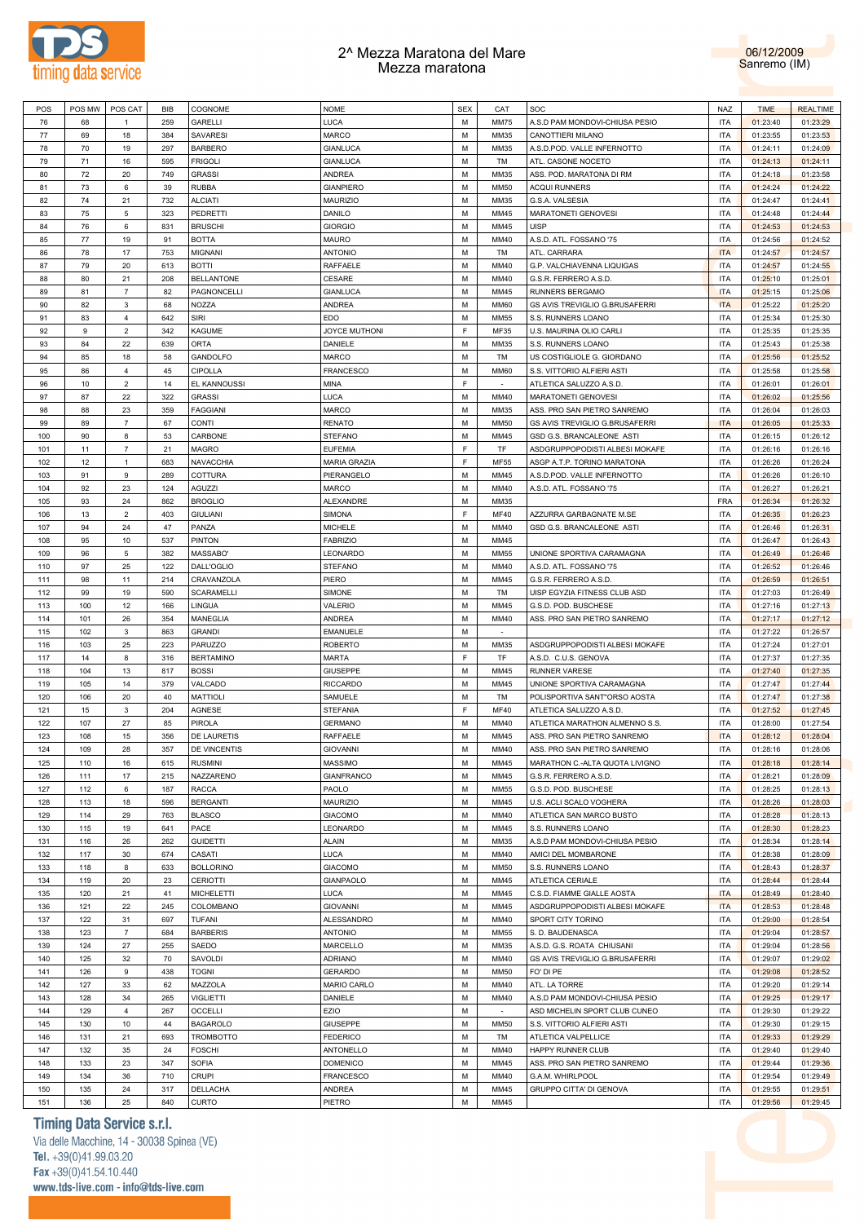



| POS | POS MW | POS CAT        | BIB | COGNOME           | <b>NOME</b>          | <b>SEX</b> | CAT         | SOC                              | <b>NAZ</b> | <b>TIME</b> | <b>REALTIME</b> |
|-----|--------|----------------|-----|-------------------|----------------------|------------|-------------|----------------------------------|------------|-------------|-----------------|
| 76  | 68     | $\mathbf{1}$   | 259 | <b>GARELLI</b>    | LUCA                 | M          | <b>MM75</b> | A.S.D PAM MONDOVI-CHIUSA PESIO   | <b>ITA</b> | 01:23:40    | 01:23:29        |
|     |        |                |     |                   |                      |            |             |                                  |            |             |                 |
| 77  | 69     | 18             | 384 | <b>SAVARESI</b>   | <b>MARCO</b>         | м          | MM35        | CANOTTIERI MILANO                | <b>ITA</b> | 01:23:55    | 01:23:53        |
| 78  | 70     | 19             | 297 | <b>BARBERO</b>    | <b>GIANLUCA</b>      | M          | MM35        | A.S.D.POD. VALLE INFERNOTTO      | <b>ITA</b> | 01:24:11    | 01:24:09        |
| 79  | 71     | 16             | 595 | <b>FRIGOLI</b>    | <b>GIANLUCA</b>      | M          | TM          | ATL. CASONE NOCETO               | <b>ITA</b> | 01:24:13    | 01:24:11        |
| 80  | 72     | 20             | 749 | <b>GRASSI</b>     | <b>ANDREA</b>        | M          | MM35        | ASS. POD. MARATONA DI RM         | <b>ITA</b> | 01:24:18    | 01:23:58        |
| 81  | 73     | 6              | 39  | <b>RUBBA</b>      | <b>GIANPIERO</b>     | м          | <b>MM50</b> | <b>ACQUI RUNNERS</b>             | <b>ITA</b> | 01:24:24    | 01:24:22        |
|     |        |                |     |                   |                      |            |             |                                  |            |             |                 |
| 82  | 74     | 21             | 732 | <b>ALCIATI</b>    | <b>MAURIZIO</b>      | М          | MM35        | G.S.A. VALSESIA                  | ITA        | 01:24:47    | 01:24:41        |
| 83  | 75     | 5              | 323 | PEDRETTI          | <b>DANILO</b>        | м          | MM45        | MARATONETI GENOVESI              | ITA        | 01:24:48    | 01:24:44        |
| 84  | 76     | 6              | 831 | <b>BRUSCHI</b>    | <b>GIORGIO</b>       | M          | MM45        | <b>UISP</b>                      | ITA        | 01:24:53    | 01:24:53        |
| 85  | 77     | 19             | 91  | <b>BOTTA</b>      | <b>MAURO</b>         | м          | MM40        | A.S.D. ATL. FOSSANO '75          | <b>ITA</b> | 01:24:56    | 01:24:52        |
| 86  | 78     | 17             | 753 | <b>MIGNANI</b>    | <b>ANTONIO</b>       | M          | TM          | ATL. CARRARA                     | <b>ITA</b> | 01:24:57    | 01:24:57        |
| 87  | 79     | 20             | 613 | <b>BOTTI</b>      | RAFFAELE             | м          | MM40        | G.P. VALCHIAVENNA LIQUIGAS       | <b>ITA</b> | 01:24:57    | 01:24:55        |
|     |        |                |     |                   |                      |            |             |                                  |            |             |                 |
| 88  | 80     | 21             | 208 | <b>BELLANTONE</b> | CESARE               | M          | MM40        | G.S.R. FERRERO A.S.D.            | <b>ITA</b> | 01:25:10    | 01:25:01        |
| 89  | 81     | $\overline{7}$ | 82  | PAGNONCELLI       | <b>GIANLUCA</b>      | M          | MM45        | RUNNERS BERGAMO                  | <b>ITA</b> | 01:25:15    | 01:25:06        |
| 90  | 82     | 3              | 68  | NOZZA             | <b>ANDREA</b>        | M          | <b>MM60</b> | GS AVIS TREVIGLIO G.BRUSAFERRI   | <b>ITA</b> | 01:25:22    | 01:25:20        |
| 91  | 83     | $\overline{4}$ | 642 | SIRI              | <b>EDO</b>           | M          | MM55        | S.S. RUNNERS LOANO               | <b>ITA</b> | 01:25:34    | 01:25:30        |
| 92  | 9      | $\overline{2}$ | 342 | <b>KAGUME</b>     | <b>JOYCE MUTHONI</b> | E          | MF35        | U.S. MAURINA OLIO CARLI          | <b>ITA</b> | 01:25:35    | 01:25:35        |
|     |        |                |     |                   |                      |            |             |                                  |            |             |                 |
| 93  | 84     | 22             | 639 | <b>ORTA</b>       | DANIELE              | м          | MM35        | S.S. RUNNERS LOANO               | <b>ITA</b> | 01:25:43    | 01:25:38        |
| 94  | 85     | 18             | 58  | <b>GANDOLFO</b>   | <b>MARCO</b>         | М          | TM          | US COSTIGLIOLE G. GIORDANO       | <b>ITA</b> | 01:25:56    | 01:25:52        |
| 95  | 86     | $\overline{4}$ | 45  | <b>CIPOLLA</b>    | <b>FRANCESCO</b>     | М          | <b>MM60</b> | S.S. VITTORIO ALFIERI ASTI       | ITA        | 01:25:58    | 01:25:58        |
| 96  | 10     | $\overline{2}$ | 14  | EL KANNOUSSI      | MINA                 | F          | $\sim$      | ATLETICA SALUZZO A.S.D.          | ITA        | 01:26:01    | 01:26:01        |
| 97  | 87     | 22             | 322 | <b>GRASSI</b>     | <b>LUCA</b>          | м          | MM40        | MARATONETI GENOVESI              | <b>ITA</b> | 01:26:02    | 01:25:56        |
|     |        |                |     |                   |                      |            |             |                                  |            |             |                 |
| 98  | 88     | 23             | 359 | <b>FAGGIANI</b>   | <b>MARCO</b>         | М          | MM35        | ASS. PRO SAN PIETRO SANREMO      | <b>ITA</b> | 01:26:04    | 01:26:03        |
| 99  | 89     | $\overline{7}$ | 67  | <b>CONTI</b>      | <b>RENATO</b>        | м          | <b>MM50</b> | GS AVIS TREVIGLIO G.BRUSAFERRI   | <b>ITA</b> | 01:26:05    | 01:25:33        |
| 100 | 90     | 8              | 53  | CARBONE           | <b>STEFANO</b>       | M          | MM45        | GSD G.S. BRANCALEONE ASTI        | <b>ITA</b> | 01:26:15    | 01:26:12        |
| 101 | 11     | $\overline{7}$ | 21  | <b>MAGRO</b>      | <b>EUFEMIA</b>       | E          | <b>TF</b>   | ASDGRUPPOPODISTI ALBESI MOKAFE   | <b>ITA</b> | 01:26:16    | 01:26:16        |
| 102 | 12     | $\mathbf{1}$   | 683 | <b>NAVACCHIA</b>  | <b>MARIA GRAZIA</b>  | E          | MF55        | ASGP A.T.P. TORINO MARATONA      | <b>ITA</b> | 01:26:26    | 01:26:24        |
|     |        |                |     |                   |                      |            |             |                                  |            |             |                 |
| 103 | 91     | 9              | 289 | COTTURA           | PIERANGELO           | M          | MM45        | A.S.D.POD. VALLE INFERNOTTO      | <b>ITA</b> | 01:26:26    | 01:26:10        |
| 104 | 92     | 23             | 124 | <b>AGUZZI</b>     | <b>MARCO</b>         | M          | MM40        | A.S.D. ATL. FOSSANO '75          | <b>ITA</b> | 01:26:27    | 01:26:21        |
| 105 | 93     | 24             | 862 | <b>BROGLIO</b>    | ALEXANDRE            | м          | MM35        |                                  | <b>FRA</b> | 01:26:34    | 01:26:32        |
| 106 | 13     | $\overline{2}$ | 403 | <b>GIULIANI</b>   | SIMONA               | F          | <b>MF40</b> | AZZURRA GARBAGNATE M.SE          | <b>ITA</b> | 01:26:35    | 01:26:23        |
| 107 | 94     | 24             | 47  | PANZA             | <b>MICHELE</b>       | м          | MM40        |                                  | ITA        | 01:26:46    |                 |
|     |        |                |     |                   |                      |            |             | GSD G.S. BRANCALEONE ASTI        |            |             | 01:26:31        |
| 108 | 95     | 10             | 537 | <b>PINTON</b>     | <b>FABRIZIO</b>      | M          | MM45        |                                  | ITA        | 01:26:47    | 01:26:43        |
| 109 | 96     | 5              | 382 | MASSABO'          | LEONARDO             | м          | <b>MM55</b> | UNIONE SPORTIVA CARAMAGNA        | <b>ITA</b> | 01:26:49    | 01:26:46        |
| 110 | 97     | 25             | 122 | DALL'OGLIO        | <b>STEFANO</b>       | M          | MM40        | A.S.D. ATL. FOSSANO '75          | <b>ITA</b> | 01:26:52    | 01:26:46        |
| 111 | 98     | 11             | 214 | CRAVANZOLA        | PIERO                | м          | MM45        | G.S.R. FERRERO A.S.D.            | ITA        | 01:26:59    | 01:26:51        |
|     |        |                |     |                   |                      | M          |             |                                  |            |             |                 |
| 112 | 99     | 19             | 590 | <b>SCARAMELLI</b> | SIMONE               |            | TM          | UISP EGYZIA FITNESS CLUB ASD     | ITA        | 01:27:03    | 01:26:49        |
| 113 | 100    | 12             | 166 | LINGUA            | VALERIO              | м          | MM45        | G.S.D. POD. BUSCHESE             | ITA        | 01:27:16    | 01:27:13        |
| 114 | 101    | 26             | 354 | MANEGLIA          | <b>ANDREA</b>        | M          | MM40        | ASS. PRO SAN PIETRO SANREMO      | ITA        | 01:27:17    | 01:27:12        |
| 115 | 102    | 3              | 863 | <b>GRANDI</b>     | <b>EMANUELE</b>      | M          | $\sim$      |                                  | <b>ITA</b> | 01:27:22    | 01:26:57        |
| 116 | 103    | 25             | 223 | PARUZZO           | <b>ROBERTO</b>       | M          | MM35        | ASDGRUPPOPODISTI ALBESI MOKAFE   | <b>ITA</b> | 01:27:24    | 01:27:01        |
| 117 | 14     | 8              | 316 | <b>BERTAMINO</b>  | <b>MARTA</b>         | E          | <b>TF</b>   | A.S.D. C.U.S. GENOVA             | <b>ITA</b> | 01:27:37    | 01:27:35        |
|     |        |                |     |                   |                      |            |             |                                  |            |             |                 |
| 118 | 104    | 13             | 817 | <b>BOSSI</b>      | <b>GIUSEPPE</b>      | M          | MM45        | <b>RUNNER VARESE</b>             | <b>ITA</b> | 01:27:40    | 01:27:35        |
| 119 | 105    | 14             | 379 | VALCADO           | <b>RICCARDO</b>      | м          | MM45        | UNIONE SPORTIVA CARAMAGNA        | ITA        | 01:27:47    | 01:27:44        |
| 120 | 106    | 20             | 40  | <b>MATTIOLI</b>   | SAMUELE              | м          | TM          | POLISPORTIVA SANT"ORSO AOSTA     | ITA        | 01:27:47    | 01:27:38        |
| 121 | 15     | 3              | 204 | <b>AGNESE</b>     | <b>STEFANIA</b>      | F          | <b>MF40</b> | ATLETICA SALUZZO A.S.D.          | ITA        | 01:27:52    | 01:27:45        |
| 122 | 107    | 27             | 85  | PIROLA            | <b>GERMANO</b>       | М          | MM40        | ATLETICA MARATHON ALMENNO S.S.   | <b>ITA</b> | 01:28:00    | 01:27:54        |
|     |        |                |     |                   |                      |            |             |                                  |            |             |                 |
| 123 | 108    | 15             | 356 | DE LAURETIS       | <b>RAFFAELE</b>      | M          | MM45        | ASS. PRO SAN PIETRO SANREMO      | <b>ITA</b> | 01:28:12    | 01:28:04        |
| 124 | 109    | 28             | 357 | DE VINCENTIS      | <b>GIOVANNI</b>      | M          | MM40        | ASS. PRO SAN PIETRO SANREMO      | <b>ITA</b> | 01:28:16    | 01:28:06        |
| 125 | 110    | 16             | 615 | <b>RUSMINI</b>    | <b>MASSIMO</b>       | м          | MM45        | MARATHON C .- ALTA QUOTA LIVIGNO | ITA        | 01:28:18    | 01:28:14        |
| 126 | 111    | 17             | 215 | NAZZARENO         | <b>GIANFRANCO</b>    | M          | MM45        | G.S.R. FERRERO A.S.D.            | ITA        | 01:28:21    | 01:28:09        |
| 127 | 112    | 6              | 187 | <b>RACCA</b>      | PAOLO                | M          | <b>MM55</b> | G.S.D. POD. BUSCHESE             | <b>ITA</b> | 01:28:25    | 01:28:13        |
|     |        |                |     |                   |                      |            |             |                                  |            |             |                 |
| 128 | 113    | 18             | 596 | <b>BERGANTI</b>   | MAURIZIO             | M          | MM45        | U.S. ACLI SCALO VOGHERA          | <b>ITA</b> | 01:28:26    | 01:28:03        |
| 129 | 114    | 29             | 763 | <b>BLASCO</b>     | <b>GIACOMO</b>       | M          | MM40        | ATLETICA SAN MARCO BUSTO         | <b>ITA</b> | 01:28:28    | 01:28:13        |
| 130 | 115    | 19             | 641 | PACE              | LEONARDO             | M          | MM45        | S.S. RUNNERS LOANO               | ITA        | 01:28:30    | 01:28:23        |
| 131 | 116    | 26             | 262 | <b>GUIDETTI</b>   | ALAIN                | M          | MM35        | A.S.D PAM MONDOVI-CHIUSA PESIO   | ITA        | 01:28:34    | 01:28:14        |
| 132 | 117    | 30             | 674 | CASATI            | LUCA                 | M          | MM40        | AMICI DEL MOMBARONE              | ITA        | 01:28:38    | 01:28:09        |
|     |        |                |     |                   |                      |            |             |                                  |            |             |                 |
| 133 | 118    | 8              | 633 | <b>BOLLORINO</b>  | <b>GIACOMO</b>       | M          | <b>MM50</b> | S.S. RUNNERS LOANO               | ITA        | 01:28:43    | 01:28:37        |
| 134 | 119    | 20             | 23  | <b>CERIOTTI</b>   | <b>GIANPAOLO</b>     | M          | MM45        | ATLETICA CERIALE                 | ITA        | 01:28:44    | 01:28:44        |
| 135 | 120    | 21             | 41  | <b>MICHELETTI</b> | <b>LUCA</b>          | M          | MM45        | C.S.D. FIAMME GIALLE AOSTA       | <b>ITA</b> | 01:28:49    | 01:28:40        |
| 136 | 121    | 22             | 245 | COLOMBANO         | <b>GIOVANNI</b>      | M          | MM45        | ASDGRUPPOPODISTI ALBESI MOKAFE   | <b>ITA</b> | 01:28:53    | 01:28:48        |
| 137 | 122    | 31             | 697 | <b>TUFANI</b>     | ALESSANDRO           | M          | MM40        | SPORT CITY TORINO                | ITA        | 01:29:00    | 01:28:54        |
|     |        |                |     |                   |                      |            |             |                                  |            |             |                 |
| 138 | 123    | $\overline{7}$ | 684 | <b>BARBERIS</b>   | <b>ANTONIO</b>       | M          | <b>MM55</b> | S. D. BAUDENASCA                 | ITA        | 01:29:04    | 01:28:57        |
| 139 | 124    | 27             | 255 | SAEDO             | MARCELLO             | M          | MM35        | A.S.D. G.S. ROATA CHIUSANI       | <b>ITA</b> | 01:29:04    | 01:28:56        |
| 140 | 125    | 32             | 70  | SAVOLDI           | <b>ADRIANO</b>       | M          | MM40        | GS AVIS TREVIGLIO G.BRUSAFERRI   | ITA        | 01:29:07    | 01:29:02        |
| 141 | 126    | 9              | 438 | <b>TOGNI</b>      | <b>GERARDO</b>       | M          | <b>MM50</b> | FO' DI PE                        | <b>ITA</b> | 01:29:08    | 01:28:52        |
|     |        |                |     | MAZZOLA           | MARIO CARLO          | M          |             |                                  |            |             |                 |
| 142 | 127    | 33             | 62  |                   |                      |            | MM40        | ATL. LA TORRE                    | ITA        | 01:29:20    | 01:29:14        |
| 143 | 128    | 34             | 265 | <b>VIGLIETTI</b>  | DANIELE              | M          | MM40        | A.S.D PAM MONDOVI-CHIUSA PESIO   | ITA        | 01:29:25    | 01:29:17        |
| 144 | 129    | $\overline{4}$ | 267 | <b>OCCELLI</b>    | EZIO                 | M          | $\sim$      | ASD MICHELIN SPORT CLUB CUNEO    | ITA        | 01:29:30    | 01:29:22        |
| 145 | 130    | 10             | 44  | <b>BAGAROLO</b>   | <b>GIUSEPPE</b>      | M          | <b>MM50</b> | S.S. VITTORIO ALFIERI ASTI       | ITA        | 01:29:30    | 01:29:15        |
| 146 | 131    | 21             | 693 | <b>TROMBOTTO</b>  | <b>FEDERICO</b>      | M          | TM          | ATLETICA VALPELLICE              | ITA        | 01:29:33    | 01:29:29        |
|     |        |                |     |                   |                      |            |             |                                  |            |             |                 |
| 147 | 132    | 35             | 24  | FOSCHI            | ANTONELLO            | М          | MM40        | HAPPY RUNNER CLUB                | ITA        | 01:29:40    | 01:29:40        |
| 148 | 133    | 23             | 347 | <b>SOFIA</b>      | <b>DOMENICO</b>      | M          | MM45        | ASS. PRO SAN PIETRO SANREMO      | ITA        | 01:29:44    | 01:29:36        |
| 149 | 134    | 36             | 710 | <b>CRUPI</b>      | <b>FRANCESCO</b>     | M          | MM40        | G.A.M. WHIRLPOOL                 | ITA        | 01:29:54    | 01:29:49        |
| 150 | 135    | 24             | 317 | <b>DELLACHA</b>   | ANDREA               | M          | MM45        | GRUPPO CITTA' DI GENOVA          | ITA        | 01:29:55    | 01:29:51        |
| 151 | 136    | 25             | 840 | CURTO             | PIETRO               | М          | MM45        |                                  | <b>ITA</b> | 01:29:56    | 01:29:45        |
|     |        |                |     |                   |                      |            |             |                                  |            |             |                 |

## **Timing Data Service s.r.l.**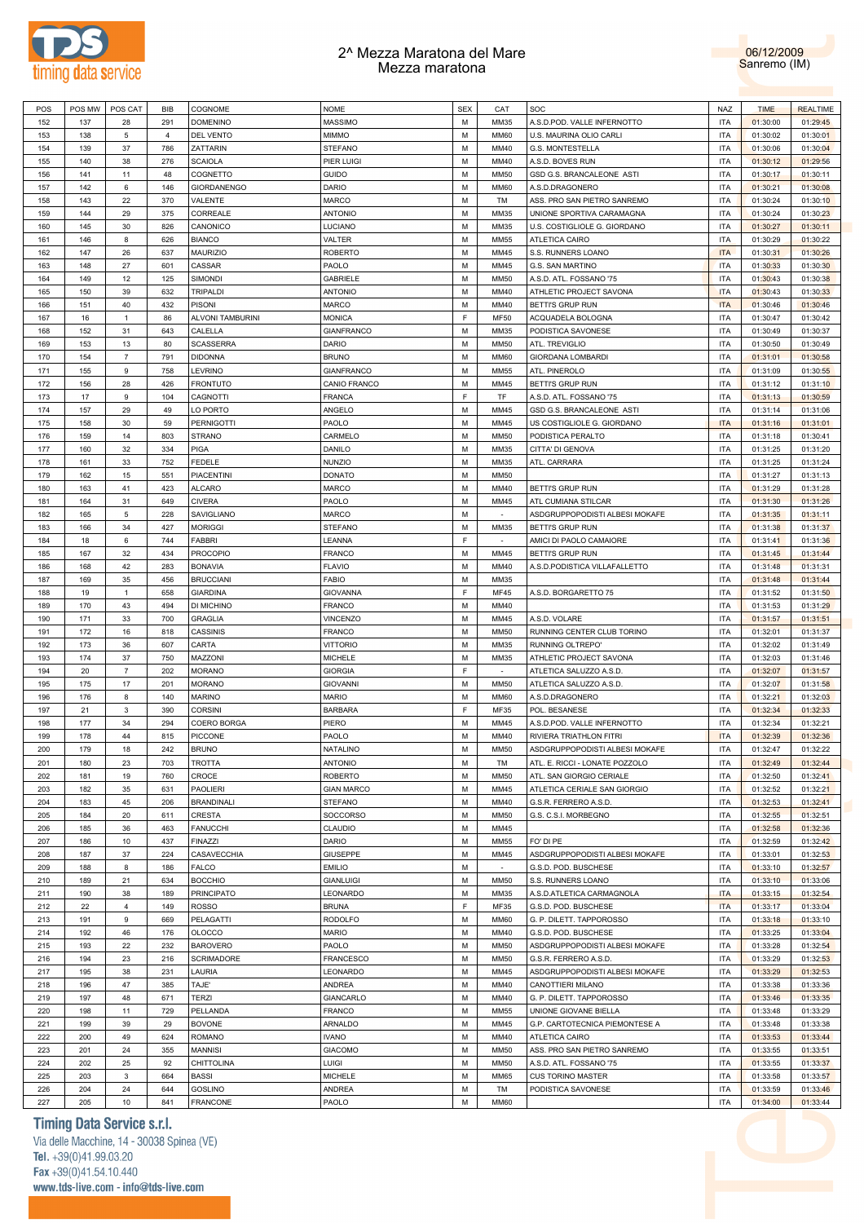



| POS | POS MW | POS CAT        | BIB            | COGNOME            | <b>NOME</b>       | <b>SEX</b> | CAT         | SOC                            | <b>NAZ</b> | <b>TIME</b> | <b>REALTIME</b> |
|-----|--------|----------------|----------------|--------------------|-------------------|------------|-------------|--------------------------------|------------|-------------|-----------------|
| 152 | 137    | 28             | 291            | <b>DOMENINO</b>    | <b>MASSIMO</b>    | M          | MM35        | A.S.D.POD. VALLE INFERNOTTO    | <b>ITA</b> | 01:30:00    | 01:29:45        |
|     |        |                |                |                    |                   |            |             |                                |            |             |                 |
| 153 | 138    | 5              | $\overline{4}$ | <b>DEL VENTO</b>   | <b>MIMMO</b>      | м          | <b>MM60</b> | U.S. MAURINA OLIO CARLI        | <b>ITA</b> | 01:30:02    | 01:30:01        |
| 154 | 139    | 37             | 786            | ZATTARIN           | <b>STEFANO</b>    | M          | MM40        | G.S. MONTESTELLA               | <b>ITA</b> | 01:30:06    | 01:30:04        |
| 155 | 140    | 38             | 276            | <b>SCAIOLA</b>     | PIER LUIGI        | M          | MM40        | A.S.D. BOVES RUN               | <b>ITA</b> | 01:30:12    | 01:29:56        |
| 156 | 141    | 11             | 48             | COGNETTO           | <b>GUIDO</b>      | M          | <b>MM50</b> | GSD G.S. BRANCALEONE ASTI      | <b>ITA</b> | 01:30:17    | 01:30:11        |
| 157 | 142    | 6              | 146            | <b>GIORDANENGO</b> | <b>DARIO</b>      | м          | <b>MM60</b> | A.S.D.DRAGONERO                | <b>ITA</b> | 01:30:21    | 01:30:08        |
|     |        |                |                |                    |                   |            |             |                                |            |             |                 |
| 158 | 143    | 22             | 370            | VALENTE            | <b>MARCO</b>      | М          | TM          | ASS. PRO SAN PIETRO SANREMO    | ITA        | 01:30:24    | 01:30:10        |
| 159 | 144    | 29             | 375            | CORREALE           | <b>ANTONIO</b>    | м          | MM35        | UNIONE SPORTIVA CARAMAGNA      | <b>ITA</b> | 01:30:24    | 01:30:23        |
| 160 | 145    | 30             | 826            | CANONICO           | <b>LUCIANO</b>    | M          | MM35        | U.S. COSTIGLIOLE G. GIORDANO   | <b>ITA</b> | 01:30:27    | 01:30:11        |
| 161 | 146    | 8              | 626            | <b>BIANCO</b>      | VALTER            | м          | <b>MM55</b> | <b>ATLETICA CAIRO</b>          | <b>ITA</b> | 01:30:29    | 01:30:22        |
| 162 | 147    | 26             | 637            | <b>MAURIZIO</b>    | <b>ROBERTO</b>    | M          | MM45        | S.S. RUNNERS LOANO             | <b>ITA</b> | 01:30:31    | 01:30:26        |
| 163 | 148    | 27             | 601            | CASSAR             | PAOLO             | м          | MM45        | G.S. SAN MARTINO               | <b>ITA</b> | 01:30:33    | 01:30:30        |
|     |        |                |                |                    |                   |            |             |                                |            |             |                 |
| 164 | 149    | 12             | 125            | <b>SIMONDI</b>     | <b>GABRIELE</b>   | M          | <b>MM50</b> | A.S.D. ATL. FOSSANO '75        | <b>ITA</b> | 01:30:43    | 01:30:38        |
| 165 | 150    | 39             | 632            | <b>TRIPALDI</b>    | <b>ANTONIO</b>    | M          | MM40        | ATHLETIC PROJECT SAVONA        | <b>ITA</b> | 01:30:43    | 01:30:33        |
| 166 | 151    | 40             | 432            | <b>PISONI</b>      | <b>MARCO</b>      | M          | MM40        | <b>BETTI'S GRUP RUN</b>        | <b>ITA</b> | 01:30:46    | 01:30:46        |
| 167 | 16     | $\mathbf{1}$   | 86             | ALVONI TAMBURINI   | <b>MONICA</b>     | E          | MF50        | ACQUADELA BOLOGNA              | <b>ITA</b> | 01:30:47    | 01:30:42        |
| 168 | 152    | 31             | 643            | CALELLA            | <b>GIANFRANCO</b> | M          | MM35        | PODISTICA SAVONESE             | <b>ITA</b> | 01:30:49    | 01:30:37        |
| 169 | 153    | 13             | 80             | <b>SCASSERRA</b>   | DARIO             | м          | <b>MM50</b> | ATL. TREVIGLIO                 | <b>ITA</b> | 01:30:50    | 01:30:49        |
|     |        |                |                |                    |                   |            |             |                                |            |             |                 |
| 170 | 154    | $\overline{7}$ | 791            | <b>DIDONNA</b>     | <b>BRUNO</b>      | M          | <b>MM60</b> | <b>GIORDANA LOMBARDI</b>       | <b>ITA</b> | 01:31:01    | 01:30:58        |
| 171 | 155    | 9              | 758            | LEVRINO            | <b>GIANFRANCO</b> | м          | <b>MM55</b> | ATL. PINEROLO                  | ITA        | 01:31:09    | 01:30:55        |
| 172 | 156    | 28             | 426            | <b>FRONTUTO</b>    | CANIO FRANCO      | M          | MM45        | <b>BETTI'S GRUP RUN</b>        | ITA        | 01:31:12    | 01:31:10        |
| 173 | 17     | 9              | 104            | <b>CAGNOTTI</b>    | <b>FRANCA</b>     | F          | <b>TF</b>   | A.S.D. ATL. FOSSANO '75        | <b>ITA</b> | 01:31:13    | 01:30:59        |
| 174 | 157    | 29             | 49             | LO PORTO           | ANGELO            | М          | MM45        | GSD G.S. BRANCALEONE ASTI      | <b>ITA</b> | 01:31:14    | 01:31:06        |
| 175 | 158    | 30             | 59             | <b>PERNIGOTTI</b>  | PAOLO             | м          | MM45        |                                | <b>ITA</b> |             |                 |
|     |        |                |                |                    |                   |            |             | US COSTIGLIOLE G. GIORDANO     |            | 01:31:16    | 01:31:01        |
| 176 | 159    | 14             | 803            | <b>STRANO</b>      | CARMELO           | M          | <b>MM50</b> | PODISTICA PERALTO              | <b>ITA</b> | 01:31:18    | 01:30:41        |
| 177 | 160    | 32             | 334            | <b>PIGA</b>        | <b>DANILO</b>     | м          | MM35        | CITTA' DI GENOVA               | <b>ITA</b> | 01:31:25    | 01:31:20        |
| 178 | 161    | 33             | 752            | FEDELE             | <b>NUNZIO</b>     | M          | MM35        | ATL. CARRARA                   | <b>ITA</b> | 01:31:25    | 01:31:24        |
| 179 | 162    | 15             | 551            | <b>PIACENTINI</b>  | <b>DONATO</b>     | M          | <b>MM50</b> |                                | <b>ITA</b> | 01:31:27    | 01:31:13        |
| 180 | 163    | 41             | 423            | <b>ALCARO</b>      | <b>MARCO</b>      | M          | MM40        | <b>BETTI'S GRUP RUN</b>        | <b>ITA</b> | 01:31:29    | 01:31:28        |
|     |        |                |                |                    |                   |            |             |                                |            |             |                 |
| 181 | 164    | 31             | 649            | <b>CIVERA</b>      | PAOLO             | м          | MM45        | ATL CUMIANA STILCAR            | <b>ITA</b> | 01:31:30    | 01:31:26        |
| 182 | 165    | 5              | 228            | SAVIGLIANO         | <b>MARCO</b>      | M          | $\sim$      | ASDGRUPPOPODISTI ALBESI MOKAFE | <b>ITA</b> | 01:31:35    | 01:31:11        |
| 183 | 166    | 34             | 427            | <b>MORIGGI</b>     | <b>STEFANO</b>    | м          | MM35        | BETTI'S GRUP RUN               | ITA        | 01:31:38    | 01:31:37        |
| 184 | 18     | 6              | 744            | FABBRI             | LEANNA            | F          | $\sim$      | AMICI DI PAOLO CAMAIORE        | ITA        | 01:31:41    | 01:31:36        |
| 185 | 167    | 32             | 434            | <b>PROCOPIO</b>    | <b>FRANCO</b>     | м          | MM45        | BETTI'S GRUP RUN               | <b>ITA</b> | 01:31:45    | 01:31:44        |
|     |        |                |                |                    |                   |            |             |                                |            |             |                 |
| 186 | 168    | 42             | 283            | <b>BONAVIA</b>     | <b>FLAVIO</b>     | М          | MM40        | A.S.D.PODISTICA VILLAFALLETTO  | <b>ITA</b> | 01:31:48    | 01:31:31        |
| 187 | 169    | 35             | 456            | <b>BRUCCIANI</b>   | <b>FABIO</b>      | м          | MM35        |                                | <b>ITA</b> | 01:31:48    | 01:31:44        |
| 188 | 19     | $\mathbf{1}$   | 658            | <b>GIARDINA</b>    | <b>GIOVANNA</b>   | E          | <b>MF45</b> | A.S.D. BORGARETTO 75           | ITA        | 01:31:52    | 01:31:50        |
| 189 | 170    | 43             | 494            | DI MICHINO         | <b>FRANCO</b>     | м          | MM40        |                                | <b>ITA</b> | 01:31:53    | 01:31:29        |
| 190 | 171    | 33             | 700            | <b>GRAGLIA</b>     | <b>VINCENZO</b>   | M          | MM45        | A.S.D. VOLARE                  | <b>ITA</b> | 01:31:57    | 01:31:51        |
| 191 | 172    | 16             | 818            | <b>CASSINIS</b>    | <b>FRANCO</b>     | M          | <b>MM50</b> | RUNNING CENTER CLUB TORINO     | <b>ITA</b> | 01:32:01    | 01:31:37        |
|     |        |                |                |                    |                   |            |             |                                |            |             |                 |
| 192 | 173    | 36             | 607            | CARTA              | <b>VITTORIO</b>   | M          | MM35        | RUNNING OLTREPO'               | <b>ITA</b> | 01:32:02    | 01:31:49        |
| 193 | 174    | 37             | 750            | MAZZONI            | <b>MICHELE</b>    | м          | MM35        | ATHLETIC PROJECT SAVONA        | <b>ITA</b> | 01:32:03    | 01:31:46        |
| 194 | 20     | $\overline{7}$ | 202            | <b>MORANO</b>      | <b>GIORGIA</b>    | F          | $\sim$      | ATLETICA SALUZZO A.S.D.        | <b>ITA</b> | 01:32:07    | 01:31:57        |
| 195 | 175    | 17             | 201            | <b>MORANO</b>      | <b>GIOVANNI</b>   | м          | <b>MM50</b> | ATLETICA SALUZZO A.S.D.        | ITA        | 01:32:07    | 01:31:58        |
| 196 | 176    | 8              | 140            | <b>MARINO</b>      | <b>MARIO</b>      | M          | <b>MM60</b> | A.S.D.DRAGONERO                | ITA        | 01:32:21    | 01:32:03        |
|     |        |                |                |                    |                   | F          |             |                                |            |             |                 |
| 197 | 21     | 3              | 390            | <b>CORSINI</b>     | <b>BARBARA</b>    |            | MF35        | POL. BESANESE                  | ITA        | 01:32:34    | 01:32:33        |
| 198 | 177    | 34             | 294            | COERO BORGA        | PIERO             | М          | MM45        | A.S.D.POD. VALLE INFERNOTTO    | <b>ITA</b> | 01:32:34    | 01:32:21        |
| 199 | 178    | 44             | 815            | <b>PICCONE</b>     | PAOLO             | M          | MM40        | <b>RIVIERA TRIATHLON FITRI</b> | <b>ITA</b> | 01:32:39    | 01:32:36        |
| 200 | 179    | 18             | 242            | <b>BRUNO</b>       | <b>NATALINO</b>   | M          | <b>MM50</b> | ASDGRUPPOPODISTI ALBESI MOKAFE | <b>ITA</b> | 01:32:47    | 01:32:22        |
| 201 | 180    | 23             | 703            | <b>TROTTA</b>      | <b>ANTONIO</b>    | M          | TM          | ATL. E. RICCI - LONATE POZZOLO | <b>ITA</b> | 01:32:49    | 01:32:44        |
| 202 | 181    | 19             | 760            | CROCE              | <b>ROBERTO</b>    | M          | <b>MM50</b> | ATL. SAN GIORGIO CERIALE       | <b>ITA</b> | 01:32:50    | 01:32:41        |
|     |        |                |                |                    |                   |            |             |                                |            |             |                 |
| 203 | 182    | 35             | 631            | <b>PAOLIERI</b>    | <b>GIAN MARCO</b> | M          | MM45        | ATLETICA CERIALE SAN GIORGIO   | <b>ITA</b> | 01:32:52    | 01:32:21        |
| 204 | 183    | 45             | 206            | <b>BRANDINALI</b>  | <b>STEFANO</b>    | M          | MM40        | G.S.R. FERRERO A.S.D.          | ITA        | 01:32:53    | 01:32:41        |
| 205 | 184    | 20             | 611            | CRESTA             | SOCCORSO          | M          | <b>MM50</b> | G.S. C.S.I. MORBEGNO           | <b>ITA</b> | 01:32:55    | 01:32:51        |
| 206 | 185    | 36             | 463            | <b>FANUCCHI</b>    | <b>CLAUDIO</b>    | M          | MM45        |                                | ITA        | 01:32:58    | 01:32:36        |
| 207 | 186    | 10             | 437            | <b>FINAZZI</b>     | <b>DARIO</b>      | M          | <b>MM55</b> | FO' DI PE                      | ITA        | 01:32:59    | 01:32:42        |
|     |        |                |                |                    |                   |            |             |                                |            |             |                 |
| 208 | 187    | 37             | 224            | CASAVECCHIA        | <b>GIUSEPPE</b>   | M          | MM45        | ASDGRUPPOPODISTI ALBESI MOKAFE | ITA        | 01:33:01    | 01:32:53        |
| 209 | 188    | 8              | 186            | FALCO              | <b>EMILIO</b>     | M          | $\sim$      | G.S.D. POD. BUSCHESE           | ITA        | 01:33:10    | 01:32:57        |
| 210 | 189    | 21             | 634            | <b>BOCCHIO</b>     | <b>GIANLUIGI</b>  | M          | <b>MM50</b> | S.S. RUNNERS LOANO             | ITA        | 01:33:10    | 01:33:06        |
| 211 | 190    | 38             | 189            | <b>PRINCIPATO</b>  | LEONARDO          | M          | MM35        | A.S.D.ATLETICA CARMAGNOLA      | <b>ITA</b> | 01:33:15    | 01:32:54        |
| 212 | 22     | 4              | 149            | <b>ROSSO</b>       | <b>BRUNA</b>      | E          | MF35        | G.S.D. POD. BUSCHESE           | <b>ITA</b> | 01:33:17    | 01:33:04        |
|     | 191    | 9              | 669            |                    |                   | M          | <b>MM60</b> |                                | ITA        |             | 01:33:10        |
| 213 |        |                |                | PELAGATTI          | <b>RODOLFO</b>    |            |             | G. P. DILETT. TAPPOROSSO       |            | 01:33:18    |                 |
| 214 | 192    | 46             | 176            | <b>OLOCCO</b>      | <b>MARIO</b>      | M          | MM40        | G.S.D. POD. BUSCHESE           | ITA        | 01:33:25    | 01:33:04        |
| 215 | 193    | 22             | 232            | <b>BAROVERO</b>    | PAOLO             | M          | <b>MM50</b> | ASDGRUPPOPODISTI ALBESI MOKAFE | <b>ITA</b> | 01:33:28    | 01:32:54        |
| 216 | 194    | 23             | 216            | <b>SCRIMADORE</b>  | <b>FRANCESCO</b>  | M          | <b>MM50</b> | G.S.R. FERRERO A.S.D.          | <b>ITA</b> | 01:33:29    | 01:32:53        |
| 217 | 195    | 38             | 231            | LAURIA             | LEONARDO          | M          | MM45        | ASDGRUPPOPODISTI ALBESI MOKAFE | <b>ITA</b> | 01:33:29    | 01:32:53        |
| 218 | 196    | 47             | 385            | TAJE'              | <b>ANDREA</b>     | M          | MM40        | CANOTTIERI MILANO              | ITA        | 01:33:38    | 01:33:36        |
|     |        |                |                |                    |                   |            |             |                                |            |             |                 |
| 219 | 197    | 48             | 671            | <b>TERZI</b>       | GIANCARLO         | M          | MM40        | G. P. DILETT. TAPPOROSSO       | <b>ITA</b> | 01:33:46    | 01:33:35        |
| 220 | 198    | 11             | 729            | PELLANDA           | <b>FRANCO</b>     | M          | <b>MM55</b> | UNIONE GIOVANE BIELLA          | ITA        | 01:33:48    | 01:33:29        |
| 221 | 199    | 39             | 29             | <b>BOVONE</b>      | ARNALDO           | M          | MM45        | G.P. CARTOTECNICA PIEMONTESE A | ITA        | 01:33:48    | 01:33:38        |
| 222 | 200    | 49             | 624            | <b>ROMANO</b>      | <b>IVANO</b>      | M          | MM40        | ATLETICA CAIRO                 | ITA        | 01:33:53    | 01:33:44        |
| 223 | 201    | 24             | 355            | <b>MANNISI</b>     | <b>GIACOMO</b>    | M          | <b>MM50</b> | ASS. PRO SAN PIETRO SANREMO    | ITA        | 01:33:55    | 01:33:51        |
|     |        |                |                |                    |                   |            |             |                                |            |             |                 |
| 224 | 202    | 25             | 92             | <b>CHITTOLINA</b>  | LUIGI             | M          | <b>MM50</b> | A.S.D. ATL. FOSSANO '75        | ITA        | 01:33:55    | 01:33:37        |
| 225 | 203    | 3              | 664            | <b>BASSI</b>       | <b>MICHELE</b>    | M          | MM65        | <b>CUS TORINO MASTER</b>       | ITA        | 01:33:58    | 01:33:57        |
| 226 | 204    | 24             | 644            | <b>GOSLINO</b>     | ANDREA            | M          | TM          | PODISTICA SAVONESE             | <b>ITA</b> | 01:33:59    | 01:33:46        |
| 227 | 205    | 10             | 841            | FRANCONE           | PAOLO             | М          | MM60        |                                | <b>ITA</b> | 01:34:00    | 01:33:44        |

## **Timing Data Service s.r.l.**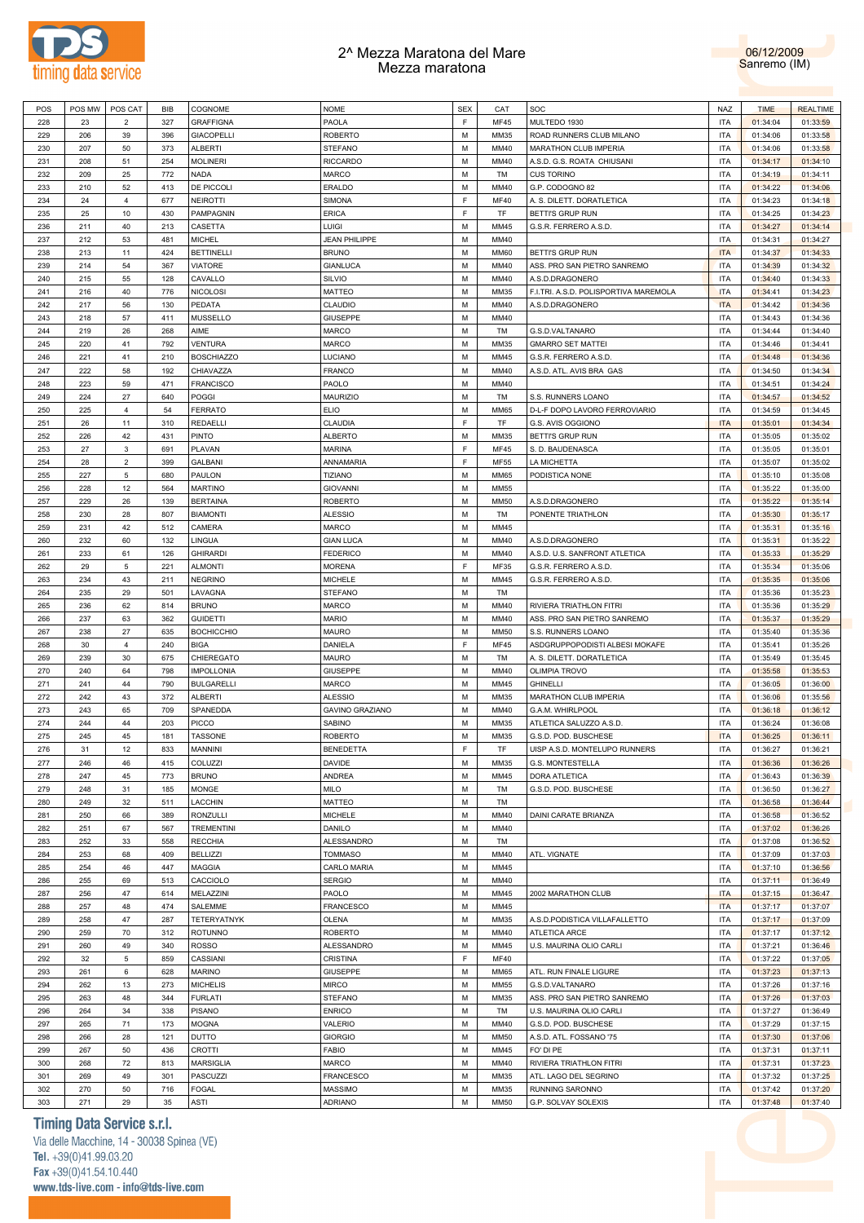



| POS | POS MW | POS CAT        | BIB | COGNOME            | <b>NOME</b>            | <b>SEX</b>  | CAT         | SOC                                   | NAZ        | <b>TIME</b> | <b>REALTIME</b> |
|-----|--------|----------------|-----|--------------------|------------------------|-------------|-------------|---------------------------------------|------------|-------------|-----------------|
| 228 | 23     | $\overline{2}$ | 327 | <b>GRAFFIGNA</b>   | PAOLA                  | F           | <b>MF45</b> | MULTEDO 1930                          | <b>ITA</b> | 01:34:04    | 01:33:59        |
| 229 | 206    | 39             | 396 | <b>GIACOPELLI</b>  | <b>ROBERTO</b>         | M           | MM35        | ROAD RUNNERS CLUB MILANO              | <b>ITA</b> | 01:34:06    | 01:33:58        |
| 230 | 207    | 50             | 373 | <b>ALBERTI</b>     | STEFANO                | M           | MM40        | MARATHON CLUB IMPERIA                 | <b>ITA</b> | 01:34:06    | 01:33:58        |
|     | 208    |                |     |                    |                        | M           | MM40        |                                       | <b>ITA</b> |             |                 |
| 231 |        | 51             | 254 | <b>MOLINERI</b>    | <b>RICCARDO</b>        |             |             | A.S.D. G.S. ROATA CHIUSANI            |            | 01:34:17    | 01:34:10        |
| 232 | 209    | 25             | 772 | NADA               | MARCO                  | M           | TM          | <b>CUS TORINO</b>                     | <b>ITA</b> | 01:34:19    | 01:34:11        |
| 233 | 210    | 52             | 413 | DE PICCOLI         | ERALDO                 | M           | MM40        | G.P. CODOGNO 82                       | <b>ITA</b> | 01:34:22    | 01:34:06        |
| 234 | 24     | $\overline{4}$ | 677 | <b>NEIROTTI</b>    | SIMONA                 | F           | <b>MF40</b> | A. S. DILETT. DORATLETICA             | <b>ITA</b> | 01:34:23    | 01:34:18        |
| 235 | 25     | 10             | 430 | PAMPAGNIN          | ERICA                  | F           | TF          | BETTI'S GRUP RUN                      | <b>ITA</b> | 01:34:25    | 01:34:23        |
| 236 | 211    | 40             | 213 | CASETTA            | LUIGI                  | M           | MM45        | G.S.R. FERRERO A.S.D.                 | <b>ITA</b> | 01:34:27    | 01:34:14        |
| 237 | 212    | 53             | 481 | <b>MICHEL</b>      | <b>JEAN PHILIPPE</b>   | M           | MM40        |                                       | <b>ITA</b> | 01:34:31    | 01:34:27        |
| 238 | 213    | 11             | 424 | <b>BETTINELLI</b>  | <b>BRUNO</b>           | M           | <b>MM60</b> | BETTI'S GRUP RUN                      | <b>ITA</b> | 01:34:37    | 01:34:33        |
| 239 | 214    | 54             | 367 | <b>VIATORE</b>     | <b>GIANLUCA</b>        | M           | MM40        | ASS. PRO SAN PIETRO SANREMO           | <b>ITA</b> | 01:34:39    | 01:34:32        |
| 240 | 215    | 55             | 128 | CAVALLO            | SILVIO                 | M           | MM40        | A.S.D.DRAGONERO                       | <b>ITA</b> | 01:34:40    | 01:34:33        |
|     |        |                |     |                    |                        |             |             |                                       |            |             |                 |
| 241 | 216    | 40             | 776 | <b>NICOLOSI</b>    | MATTEO                 | M           | MM35        | F.I.TRI. A.S.D. POLISPORTIVA MAREMOLA | <b>ITA</b> | 01:34:41    | 01:34:23        |
| 242 | 217    | 56             | 130 | PEDATA             | CLAUDIO                | M           | MM40        | A.S.D.DRAGONERO                       | <b>ITA</b> | 01:34:42    | 01:34:36        |
| 243 | 218    | 57             | 411 | MUSSELLO           | <b>GIUSEPPE</b>        | M           | MM40        |                                       | <b>ITA</b> | 01:34:43    | 01:34:36        |
| 244 | 219    | 26             | 268 | AIME               | MARCO                  | M           | TM          | G.S.D.VALTANARO                       | <b>ITA</b> | 01:34:44    | 01:34:40        |
| 245 | 220    | 41             | 792 | <b>VENTURA</b>     | MARCO                  | M           | MM35        | <b>GMARRO SET MATTEI</b>              | <b>ITA</b> | 01:34:46    | 01:34:41        |
| 246 | 221    | 41             | 210 | <b>BOSCHIAZZO</b>  | LUCIANO                | M           | MM45        | G.S.R. FERRERO A.S.D                  | <b>ITA</b> | 01:34:48    | 01:34:36        |
| 247 | 222    | 58             | 192 | CHIAVAZZA          | <b>FRANCO</b>          | M           | MM40        | A.S.D. ATL. AVIS BRA GAS              | <b>ITA</b> | 01:34:50    | 01:34:34        |
| 248 | 223    | 59             | 471 | <b>FRANCISCO</b>   | PAOLO                  | M           | MM40        |                                       | <b>ITA</b> | 01:34:51    | 01:34:24        |
|     | 224    | 27             | 640 | POGGI              | <b>MAURIZIO</b>        | M           | TM          |                                       | <b>ITA</b> | 01:34:57    | 01:34:52        |
| 249 |        |                |     |                    |                        |             |             | S.S. RUNNERS LOANO                    |            |             |                 |
| 250 | 225    | $\overline{4}$ | 54  | <b>FERRATO</b>     | <b>ELIO</b>            | M           | <b>MM65</b> | D-L-F DOPO LAVORO FERROVIARIO         | <b>ITA</b> | 01:34:59    | 01:34:45        |
| 251 | 26     | 11             | 310 | REDAELLI           | CLAUDIA                | F           | TF          | G.S. AVIS OGGIONO                     | <b>ITA</b> | 01:35:01    | 01:34:34        |
| 252 | 226    | 42             | 431 | <b>PINTO</b>       | <b>ALBERTO</b>         | M           | MM35        | BETTI'S GRUP RUN                      | <b>ITA</b> | 01:35:05    | 01:35:02        |
| 253 | 27     | $\mathbf{3}$   | 691 | PLAVAN             | <b>MARINA</b>          | F           | <b>MF45</b> | S. D. BAUDENASCA                      | <b>ITA</b> | 01:35:05    | 01:35:01        |
| 254 | 28     | $\overline{2}$ | 399 | <b>GALBANI</b>     | ANNAMARIA              | F           | <b>MF55</b> | LA MICHETTA                           | <b>ITA</b> | 01:35:07    | 01:35:02        |
| 255 | 227    | $\overline{5}$ | 680 | PAULON             | <b>TIZIANO</b>         | M           | <b>MM65</b> | PODISTICA NONE                        | <b>ITA</b> | 01:35:10    | 01:35:08        |
| 256 | 228    | 12             | 564 | <b>MARTINO</b>     | <b>GIOVANNI</b>        | M           | <b>MM55</b> |                                       | <b>ITA</b> | 01:35:22    | 01:35:00        |
| 257 | 229    | 26             | 139 | <b>BERTAINA</b>    | <b>ROBERTO</b>         | M           | <b>MM50</b> | A.S.D.DRAGONERO                       | <b>ITA</b> | 01:35:22    | 01:35:14        |
| 258 | 230    | 28             | 807 | <b>BIAMONTI</b>    | <b>ALESSIO</b>         | M           | TM          | PONENTE TRIATHLON                     | <b>ITA</b> | 01:35:30    | 01:35:17        |
|     |        |                |     |                    |                        |             |             |                                       |            |             |                 |
| 259 | 231    | 42             | 512 | CAMERA             | MARCO                  | M           | MM45        |                                       | <b>ITA</b> | 01:35:31    | 01:35:16        |
| 260 | 232    | 60             | 132 | LINGUA             | <b>GIAN LUCA</b>       | M           | MM40        | A.S.D.DRAGONERO                       | <b>ITA</b> | 01:35:31    | 01:35:22        |
| 261 | 233    | 61             | 126 | <b>GHIRARDI</b>    | <b>FEDERICO</b>        | M           | MM40        | A.S.D. U.S. SANFRONT ATLETICA         | <b>ITA</b> | 01:35:33    | 01:35:29        |
| 262 | 29     | $\overline{5}$ | 221 | <b>ALMONTI</b>     | <b>MORENA</b>          | $\mathsf F$ | MF35        | G.S.R. FERRERO A.S.D                  | <b>ITA</b> | 01:35:34    | 01:35:06        |
| 263 | 234    | 43             | 211 | <b>NEGRINO</b>     | <b>MICHELE</b>         | M           | MM45        | G.S.R. FERRERO A.S.D.                 | <b>ITA</b> | 01:35:35    | 01:35:06        |
| 264 | 235    | 29             | 501 | LAVAGNA            | <b>STEFANO</b>         | M           | TM          |                                       | <b>ITA</b> | 01:35:36    | 01:35:23        |
| 265 | 236    | 62             | 814 | <b>BRUNO</b>       | MARCO                  | M           | MM40        | RIVIERA TRIATHLON FITRI               | <b>ITA</b> | 01:35:36    | 01:35:29        |
| 266 | 237    | 63             | 362 | <b>GUIDETTI</b>    | <b>MARIO</b>           | M           | MM40        | ASS. PRO SAN PIETRO SANREMO           | <b>ITA</b> | 01:35:37    | 01:35:29        |
| 267 | 238    | 27             | 635 | <b>BOCHICCHIO</b>  | <b>MAURO</b>           | M           | <b>MM50</b> | S.S. RUNNERS LOANO                    | <b>ITA</b> | 01:35:40    | 01:35:36        |
|     |        |                |     |                    |                        | F           |             |                                       | <b>ITA</b> |             |                 |
| 268 | 30     | $\overline{4}$ | 240 | <b>BIGA</b>        | DANIELA                |             | <b>MF45</b> | ASDGRUPPOPODISTI ALBESI MOKAFE        |            | 01:35:41    | 01:35:26        |
| 269 | 239    | 30             | 675 | CHIEREGATO         | MAURO                  | M           | TM          | A. S. DILETT. DORATLETICA             | <b>ITA</b> | 01:35:49    | 01:35:45        |
| 270 | 240    | 64             | 798 | <b>IMPOLLONIA</b>  | <b>GIUSEPPE</b>        | M           | MM40        | <b>OLIMPIA TROVO</b>                  | <b>ITA</b> | 01:35:58    | 01:35:53        |
| 271 | 241    | 44             | 790 | <b>BULGARELLI</b>  | MARCO                  | M           | MM45        | <b>GHINELLI</b>                       | <b>ITA</b> | 01:36:05    | 01:36:00        |
| 272 | 242    | 43             | 372 | <b>ALBERTI</b>     | <b>ALESSIO</b>         | M           | MM35        | MARATHON CLUB IMPERIA                 | <b>ITA</b> | 01:36:06    | 01:35:56        |
| 273 | 243    | 65             | 709 | SPANEDDA           | <b>GAVINO GRAZIANO</b> | M           | MM40        | G.A.M. WHIRLPOOL                      | <b>ITA</b> | 01:36:18    | 01:36:12        |
| 274 | 244    | 44             | 203 | <b>PICCO</b>       | SABINO                 | M           | MM35        | ATLETICA SALUZZO A.S.D.               | <b>ITA</b> | 01:36:24    | 01:36:08        |
| 275 | 245    | 45             | 181 | <b>TASSONE</b>     | <b>ROBERTO</b>         | M           | MM35        |                                       |            |             |                 |
| 276 | 31     | 12             | 833 | <b>MANNINI</b>     | <b>BENEDETTA</b>       |             |             |                                       |            |             |                 |
|     |        | 46             |     |                    |                        |             |             | G.S.D. POD. BUSCHESE                  | <b>ITA</b> | 01:36:25    | 01:36:11        |
| 277 | 246    |                |     |                    |                        | $\mathsf F$ | TF          | UISP A.S.D. MONTELUPO RUNNERS         | <b>ITA</b> | 01:36:27    | 01:36:21        |
| 278 |        |                | 415 | COLUZZI            | DAVIDE                 | М           | MM35        | G.S. MONTESTELLA                      | <b>ITA</b> | 01:36:36    | 01:36:26        |
| 279 | 247    | 45             | 773 | <b>BRUNO</b>       | ANDREA                 | M           | MM45        | DORA ATLETICA                         | <b>ITA</b> | 01:36:43    | 01:36:39        |
|     | 248    | 31             | 185 | MONGE              | MILO                   | M           | TM          | G.S.D. POD. BUSCHESE                  | <b>ITA</b> | 01:36:50    | 01:36:27        |
| 280 | 249    | 32             | 511 | LACCHIN            | MATTEO                 | M           | TM          |                                       | <b>ITA</b> | 01:36:58    | 01:36:44        |
| 281 | 250    | 66             | 389 | RONZULLI           | <b>MICHELE</b>         | M           | MM40        | DAINI CARATE BRIANZA                  | <b>ITA</b> | 01:36:58    | 01:36:52        |
| 282 | 251    | 67             | 567 | <b>TREMENTINI</b>  | DANILO                 | M           | MM40        |                                       | <b>ITA</b> | 01:37:02    | 01:36:26        |
| 283 | 252    | 33             | 558 | <b>RECCHIA</b>     | ALESSANDRO             | M           | TM          |                                       | <b>ITA</b> | 01:37:08    | 01:36:52        |
|     |        |                |     |                    |                        |             |             |                                       |            |             |                 |
| 284 | 253    | 68             | 409 | <b>BELLIZZI</b>    | <b>TOMMASO</b>         | M           | MM40        | ATL. VIGNATE                          | <b>ITA</b> | 01:37:09    | 01:37:03        |
| 285 | 254    | 46             | 447 | MAGGIA             | CARLO MARIA            | M           | MM45        |                                       | <b>ITA</b> | 01:37:10    | 01:36:56        |
| 286 | 255    | 69             | 513 | CACCIOLO           | SERGIO                 | M           | MM40        |                                       | <b>ITA</b> | 01:37:11    | 01:36:49        |
| 287 | 256    | 47             | 614 | MELAZZINI          | PAOLO                  | M           | MM45        | 2002 MARATHON CLUB                    | <b>ITA</b> | 01:37:15    | 01:36:47        |
| 288 | 257    | 48             | 474 | SALEMME            | <b>FRANCESCO</b>       | M           | MM45        |                                       | <b>ITA</b> | 01:37:17    | 01:37:07        |
| 289 | 258    | 47             | 287 | <b>TETERYATNYK</b> | OLENA                  | M           | MM35        | A.S.D.PODISTICA VILLAFALLETTO         | <b>ITA</b> | 01:37:17    | 01:37:09        |
| 290 | 259    | 70             | 312 | <b>ROTUNNO</b>     | <b>ROBERTO</b>         | M           | MM40        | ATLETICA ARCE                         | <b>ITA</b> | 01:37:17    | 01:37:12        |
| 291 | 260    | 49             | 340 | <b>ROSSO</b>       | ALESSANDRO             | M           | MM45        | U.S. MAURINA OLIO CARLI               | <b>ITA</b> | 01:37:21    | 01:36:46        |
| 292 | 32     | $\,$ 5 $\,$    | 859 | CASSIANI           | CRISTINA               | F           | <b>MF40</b> |                                       | <b>ITA</b> | 01:37:22    | 01:37:05        |
|     |        |                |     |                    |                        | M           | <b>MM65</b> |                                       |            |             |                 |
| 293 | 261    | 6              | 628 | <b>MARINO</b>      | <b>GIUSEPPE</b>        |             |             | ATL. RUN FINALE LIGURE                | <b>ITA</b> | 01:37:23    | 01:37:13        |
| 294 | 262    | 13             | 273 | <b>MICHELIS</b>    | MIRCO                  | M           | <b>MM55</b> | G.S.D.VALTANARO                       | <b>ITA</b> | 01:37:26    | 01:37:16        |
| 295 | 263    | 48             | 344 | <b>FURLATI</b>     | STEFANO                | M           | MM35        | ASS. PRO SAN PIETRO SANREMO           | <b>ITA</b> | 01:37:26    | 01:37:03        |
| 296 | 264    | 34             | 338 | <b>PISANO</b>      | <b>ENRICO</b>          | M           | TM          | U.S. MAURINA OLIO CARLI               | <b>ITA</b> | 01:37:27    | 01:36:49        |
| 297 | 265    | 71             | 173 | <b>MOGNA</b>       | VALERIO                | M           | MM40        | G.S.D. POD. BUSCHESE                  | <b>ITA</b> | 01:37:29    | 01:37:15        |
| 298 | 266    | 28             | 121 | <b>DUTTO</b>       | <b>GIORGIO</b>         | M           | <b>MM50</b> | A.S.D. ATL. FOSSANO '75               | <b>ITA</b> | 01:37:30    | 01:37:06        |
| 299 | 267    | 50             | 436 | CROTTI             | <b>FABIO</b>           | M           | MM45        | FO' DI PE                             | <b>ITA</b> | 01:37:31    | 01:37:11        |
| 300 | 268    | 72             | 813 | <b>MARSIGLIA</b>   | MARCO                  | M           | MM40        | RIVIERA TRIATHLON FITRI               | <b>ITA</b> | 01:37:31    | 01:37:23        |
| 301 | 269    | 49             | 301 | PASCUZZI           | <b>FRANCESCO</b>       | M           | MM35        | ATL. LAGO DEL SEGRINO                 | <b>ITA</b> | 01:37:32    | 01:37:25        |
| 302 | 270    | 50             | 716 | <b>FOGAL</b>       | MASSIMO                | M           | MM35        | RUNNING SARONNO                       | <b>ITA</b> | 01:37:42    | 01:37:20        |

**Timing Data Service s.r.l.**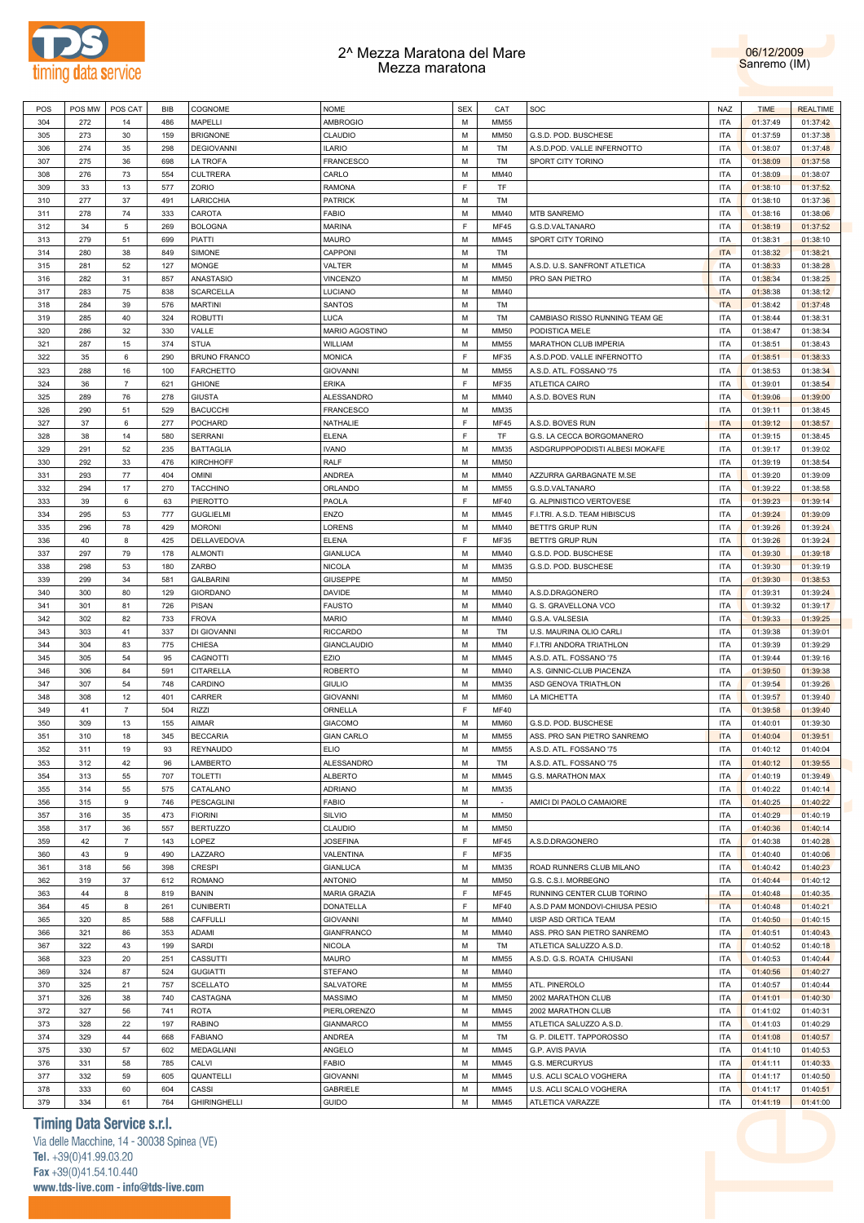



| POS | POS MW   POS CAT |                | BIB | COGNOME             | <b>NOME</b>         | <b>SEX</b> | CAT         | SOC                            | <b>NAZ</b> | <b>TIME</b> | <b>REALTIME</b> |
|-----|------------------|----------------|-----|---------------------|---------------------|------------|-------------|--------------------------------|------------|-------------|-----------------|
| 304 | 272              | 14             | 486 | MAPELLI             | <b>AMBROGIO</b>     | М          | <b>MM55</b> |                                | <b>ITA</b> | 01:37:49    | 01:37:42        |
| 305 | 273              | 30             | 159 | <b>BRIGNONE</b>     | CLAUDIO             | М          | <b>MM50</b> | G.S.D. POD. BUSCHESE           | <b>ITA</b> | 01:37:59    | 01:37:38        |
|     |                  |                | 298 | <b>DEGIOVANNI</b>   | <b>ILARIO</b>       | М          |             | A.S.D.POD. VALLE INFERNOTTO    | <b>ITA</b> |             | 01:37:48        |
| 306 | 274              | 35             |     |                     |                     |            | TM          |                                |            | 01:38:07    |                 |
| 307 | 275              | 36             | 698 | LA TROFA            | <b>FRANCESCO</b>    | М          | TM          | SPORT CITY TORINO              | <b>ITA</b> | 01:38:09    | 01:37:58        |
| 308 | 276              | 73             | 554 | <b>CULTRERA</b>     | CARLO               | М          | MM40        |                                | <b>ITA</b> | 01:38:09    | 01:38:07        |
| 309 | 33               | 13             | 577 | ZORIO               | RAMONA              | F          | TF          |                                | <b>ITA</b> | 01:38:10    | 01:37:52        |
| 310 | 277              | 37             | 491 | LARICCHIA           | <b>PATRICK</b>      | M          | TM          |                                | <b>ITA</b> | 01:38:10    | 01:37:36        |
| 311 | 278              | 74             | 333 | CAROTA              | <b>FABIO</b>        | м          | MM40        | MTB SANREMO                    | ITA        | 01:38:16    | 01:38:06        |
| 312 | 34               | 5              | 269 | <b>BOLOGNA</b>      | <b>MARINA</b>       | F          | MF45        | G.S.D.VALTANARO                | <b>ITA</b> | 01:38:19    | 01:37:52        |
| 313 | 279              | 51             | 699 | PIATTI              | MAURO               | М          | MM45        | SPORT CITY TORINO              | <b>ITA</b> | 01:38:31    | 01:38:10        |
| 314 | 280              | 38             | 849 | SIMONE              | CAPPONI             | М          | TM          |                                | <b>ITA</b> | 01:38:32    | 01:38:21        |
| 315 | 281              | 52             | 127 | MONGE               | VALTER              | м          | MM45        | A.S.D. U.S. SANFRONT ATLETICA  | <b>ITA</b> | 01:38:33    | 01:38:28        |
|     |                  |                |     |                     |                     | М          |             | PRO SAN PIETRO                 |            |             |                 |
| 316 | 282              | 31             | 857 | ANASTASIO           | <b>VINCENZO</b>     |            | <b>MM50</b> |                                | <b>ITA</b> | 01:38:34    | 01:38:25        |
| 317 | 283              | 75             | 838 | <b>SCARCELLA</b>    | LUCIANO             | м          | MM40        |                                | <b>ITA</b> | 01:38:38    | 01:38:12        |
| 318 | 284              | 39             | 576 | <b>MARTINI</b>      | SANTOS              | М          | TM          |                                | <b>ITA</b> | 01:38:42    | 01:37:48        |
| 319 | 285              | 40             | 324 | <b>ROBUTTI</b>      | LUCA                | М          | TM          | CAMBIASO RISSO RUNNING TEAM GE | <b>ITA</b> | 01:38:44    | 01:38:31        |
| 320 | 286              | 32             | 330 | VALLE               | MARIO AGOSTINO      | M          | <b>MM50</b> | PODISTICA MELE                 | <b>ITA</b> | 01:38:47    | 01:38:34        |
| 321 | 287              | 15             | 374 | <b>STUA</b>         | WILLIAM             | М          | MM55        | MARATHON CLUB IMPERIA          | <b>ITA</b> | 01:38:51    | 01:38:43        |
| 322 | 35               | 6              | 290 | <b>BRUNO FRANCO</b> | <b>MONICA</b>       | F          | MF35        | A.S.D.POD. VALLE INFERNOTTO    | <b>ITA</b> | 01:38:51    | 01:38:33        |
| 323 | 288              | 16             | 100 | <b>FARCHETTO</b>    | <b>GIOVANNI</b>     | М          | MM55        | A.S.D. ATL. FOSSANO '75        | <b>ITA</b> | 01:38:53    | 01:38:34        |
| 324 | 36               | $\overline{7}$ | 621 | <b>GHIONE</b>       | <b>ERIKA</b>        | F          | MF35        | ATLETICA CAIRO                 | <b>ITA</b> | 01:39:01    | 01:38:54        |
|     |                  |                |     |                     | ALESSANDRO          | М          |             |                                |            |             |                 |
| 325 | 289              | 76             | 278 | <b>GIUSTA</b>       |                     |            | MM40        | A.S.D. BOVES RUN               | <b>ITA</b> | 01:39:06    | 01:39:00        |
| 326 | 290              | 51             | 529 | <b>BACUCCHI</b>     | FRANCESCO           | М          | MM35        |                                | <b>ITA</b> | 01:39:11    | 01:38:45        |
| 327 | 37               | 6              | 277 | POCHARD             | NATHALIE            | F          | MF45        | A.S.D. BOVES RUN               | <b>ITA</b> | 01:39:12    | 01:38:57        |
| 328 | 38               | 14             | 580 | <b>SERRANI</b>      | <b>ELENA</b>        | F.         | TF          | G.S. LA CECCA BORGOMANERO      | <b>ITA</b> | 01:39:15    | 01:38:45        |
| 329 | 291              | 52             | 235 | <b>BATTAGLIA</b>    | <b>IVANO</b>        | М          | MM35        | ASDGRUPPOPODISTI ALBESI MOKAFE | ITA        | 01:39:17    | 01:39:02        |
| 330 | 292              | 33             | 476 | <b>KIRCHHOFF</b>    | RALF                | М          | <b>MM50</b> |                                | <b>ITA</b> | 01:39:19    | 01:38:54        |
| 331 | 293              | 77             | 404 | <b>OMINI</b>        | ANDREA              | м          | MM40        | AZZURRA GARBAGNATE M.SE        | ITA        | 01:39:20    | 01:39:09        |
| 332 | 294              | 17             | 270 | <b>TACCHINO</b>     | ORLANDO             | М          | MM55        | G.S.D.VALTANARO                | <b>ITA</b> | 01:39:22    | 01:38:58        |
| 333 | 39               | 6              | 63  | PIEROTTO            | PAOLA               | E          | MF40        | G. ALPINISTICO VERTOVESE       | <b>ITA</b> | 01:39:23    | 01:39:14        |
| 334 | 295              | 53             | 777 | <b>GUGLIELMI</b>    | ENZO                | М          | MM45        | F.I.TRI. A.S.D. TEAM HIBISCUS  | <b>ITA</b> | 01:39:24    | 01:39:09        |
| 335 |                  |                |     | <b>MORONI</b>       | LORENS              | м          |             | BETTI'S GRUP RUN               | <b>ITA</b> | 01:39:26    |                 |
|     | 296              | 78             | 429 |                     |                     | E          | MM40        |                                |            |             | 01:39:24        |
| 336 | 40               | 8              | 425 | DELLAVEDOVA         | <b>ELENA</b>        |            | MF35        | BETTI'S GRUP RUN               | <b>ITA</b> | 01:39:26    | 01:39:24        |
| 337 | 297              | 79             | 178 | <b>ALMONTI</b>      | <b>GIANLUCA</b>     | М          | MM40        | G.S.D. POD. BUSCHESE           | <b>ITA</b> | 01:39:30    | 01:39:18        |
| 338 | 298              | 53             | 180 | ZARBO               | <b>NICOLA</b>       | M          | MM35        | G.S.D. POD. BUSCHESE           | <b>ITA</b> | 01:39:30    | 01:39:19        |
| 339 | 299              | 34             | 581 | <b>GALBARINI</b>    | <b>GIUSEPPE</b>     | М          | <b>MM50</b> |                                | <b>ITA</b> | 01:39:30    | 01:38:53        |
| 340 | 300              | 80             | 129 | <b>GIORDANO</b>     | DAVIDE              | M          | MM40        | A.S.D.DRAGONERO                | <b>ITA</b> | 01:39:31    | 01:39:24        |
| 341 | 301              | 81             | 726 | <b>PISAN</b>        | <b>FAUSTO</b>       | М          | MM40        | G. S. GRAVELLONA VCO           | <b>ITA</b> | 01:39:32    | 01:39:17        |
| 342 | 302              | 82             | 733 | <b>FROVA</b>        | <b>MARIO</b>        | М          | MM40        | G.S.A. VALSESIA                | <b>ITA</b> | 01:39:33    | 01:39:25        |
| 343 | 303              | 41             | 337 | DI GIOVANNI         | <b>RICCARDO</b>     | М          | TM          | U.S. MAURINA OLIO CARLI        | <b>ITA</b> | 01:39:38    | 01:39:01        |
| 344 | 304              | 83             | 775 | CHIESA              | <b>GIANCLAUDIO</b>  | М          | MM40        | F.I.TRI ANDORA TRIATHLON       | <b>ITA</b> | 01:39:39    | 01:39:29        |
|     |                  |                |     | CAGNOTTI            | EZIO                | м          |             | A.S.D. ATL. FOSSANO '75        |            | 01:39:44    |                 |
| 345 | 305              | 54             | 95  |                     |                     |            | MM45        |                                | ITA        |             | 01:39:16        |
| 346 | 306              | 84             | 591 | CITARELLA           | <b>ROBERTO</b>      | М          | MM40        | A.S. GINNIC-CLUB PIACENZA      | <b>ITA</b> | 01:39:50    | 01:39:38        |
| 347 | 307              | 54             | 748 | CARDINO             | <b>GIULIO</b>       | м          | MM35        | ASD GENOVA TRIATHLON           | ITA        | 01:39:54    | 01:39:26        |
| 348 | 308              | 12             | 401 | CARRER              | <b>GIOVANNI</b>     | М          | MM60        | LA MICHETTA                    | <b>ITA</b> | 01:39:57    | 01:39:40        |
| 349 | 41               | 7              | 504 | <b>RIZZI</b>        | ORNELLA             | F          | MF40        |                                | ITA        | 01:39:58    | 01:39:40        |
| 350 | 309              | 13             | 155 | AIMAR               | <b>GIACOMO</b>      | М          | MM60        | G.S.D. POD. BUSCHESE           | <b>ITA</b> | 01:40:01    | 01:39:30        |
| 351 | 310              | 18             | 345 | <b>BECCARIA</b>     | <b>GIAN CARLO</b>   | М          | MM55        | ASS. PRO SAN PIETRO SANREMO    | <b>ITA</b> | 01:40:04    | 01:39:51        |
| 352 | 311              | 19             | 93  | <b>REYNAUDO</b>     | <b>ELIO</b>         | M          | <b>MM55</b> | A.S.D. ATL. FOSSANO '75        | <b>ITA</b> | 01:40:12    | 01:40:04        |
| 353 | 312              | 42             | 96  | LAMBERTO            | ALESSANDRO          | М          | TM          | A.S.D. ATL. FOSSANO '75        | <b>ITA</b> | 01:40:12    | 01:39:55        |
| 354 | 313              | 55             | 707 | <b>TOLETTI</b>      | <b>ALBERTO</b>      | M          | MM45        | G.S. MARATHON MAX              | <b>ITA</b> | 01:40:19    | 01:39:49        |
|     |                  |                |     |                     |                     |            |             |                                |            |             |                 |
| 355 | 314              | 55             | 575 | CATALANO            | <b>ADRIANO</b>      | М          | MM35        |                                | <b>ITA</b> | 01:40:22    | 01:40:14        |
| 356 | 315              | 9              | 746 | PESCAGLINI          | <b>FABIO</b>        | M          | $\sim$      | AMICI DI PAOLO CAMAIORE        | <b>ITA</b> | 01:40:25    | 01:40:22        |
| 357 | 316              | 35             | 473 | <b>FIORINI</b>      | SILVIO              | М          | <b>MM50</b> |                                | <b>ITA</b> | 01:40:29    | 01:40:19        |
| 358 | 317              | 36             | 557 | <b>BERTUZZO</b>     | CLAUDIO             | М          | <b>MM50</b> |                                | <b>ITA</b> | 01:40:36    | 01:40:14        |
| 359 | 42               | 7              | 143 | LOPEZ               | <b>JOSEFINA</b>     | F.         | MF45        | A.S.D.DRAGONERO                | <b>ITA</b> | 01:40:38    | 01:40:28        |
| 360 | 43               | 9              | 490 | LAZZARO             | VALENTINA           | F          | MF35        |                                | <b>ITA</b> | 01:40:40    | 01:40:06        |
| 361 | 318              | 56             | 398 | <b>CRESPI</b>       | <b>GIANLUCA</b>     | М          | MM35        | ROAD RUNNERS CLUB MILANO       | <b>ITA</b> | 01:40:42    | 01:40:23        |
| 362 | 319              | 37             | 612 | <b>ROMANO</b>       | <b>ANTONIO</b>      | М          | <b>MM50</b> | G.S. C.S.I. MORBEGNO           | <b>ITA</b> | 01:40:44    | 01:40:12        |
| 363 | 44               | 8              | 819 | BANIN               | <b>MARIA GRAZIA</b> | F          | MF45        | RUNNING CENTER CLUB TORINO     | <b>ITA</b> | 01:40:48    | 01:40:35        |
| 364 | 45               | 8              | 261 | <b>CUNIBERTI</b>    | DONATELLA           | F          | MF40        | A.S.D PAM MONDOVI-CHIUSA PESIO | <b>ITA</b> | 01:40:48    | 01:40:21        |
|     |                  |                |     |                     |                     |            |             |                                |            |             |                 |
| 365 | 320              | 85             | 588 | CAFFULLI            | <b>GIOVANNI</b>     | М          | MM40        | UISP ASD ORTICA TEAM           | <b>ITA</b> | 01:40:50    | 01:40:15        |
| 366 | 321              | 86             | 353 | ADAMI               | <b>GIANFRANCO</b>   | M          | MM40        | ASS. PRO SAN PIETRO SANREMO    | <b>ITA</b> | 01:40:51    | 01:40:43        |
| 367 | 322              | 43             | 199 | SARDI               | <b>NICOLA</b>       | М          | TM          | ATLETICA SALUZZO A.S.D.        | <b>ITA</b> | 01:40:52    | 01:40:18        |
| 368 | 323              | 20             | 251 | CASSUTTI            | <b>MAURO</b>        | M          | MM55        | A.S.D. G.S. ROATA CHIUSANI     | <b>ITA</b> | 01:40:53    | 01:40:44        |
| 369 | 324              | 87             | 524 | <b>GUGIATTI</b>     | STEFANO             | М          | MM40        |                                | <b>ITA</b> | 01:40:56    | 01:40:27        |
| 370 | 325              | 21             | 757 | <b>SCELLATO</b>     | SALVATORE           | M          | MM55        | ATL. PINEROLO                  | <b>ITA</b> | 01:40:57    | 01:40:44        |
| 371 | 326              | 38             | 740 | CASTAGNA            | MASSIMO             | М          | <b>MM50</b> | 2002 MARATHON CLUB             | <b>ITA</b> | 01:41:01    | 01:40:30        |
| 372 | 327              | 56             | 741 | <b>ROTA</b>         | PIERLORENZO         | M          | MM45        | 2002 MARATHON CLUB             | <b>ITA</b> | 01:41:02    | 01:40:31        |
| 373 | 328              | 22             | 197 | <b>RABINO</b>       | <b>GIANMARCO</b>    | М          | MM55        | ATLETICA SALUZZO A.S.D.        | <b>ITA</b> | 01:41:03    | 01:40:29        |
|     |                  |                |     |                     |                     |            |             |                                |            |             |                 |
| 374 | 329              | 44             | 668 | <b>FABIANO</b>      | <b>ANDREA</b>       | M          | TM          | G. P. DILETT. TAPPOROSSO       | <b>ITA</b> | 01:41:08    | 01:40:57        |
| 375 | 330              | 57             | 602 | MEDAGLIANI          | ANGELO              | М          | MM45        | G.P. AVIS PAVIA                | <b>ITA</b> | 01:41:10    | 01:40:53        |
| 376 | 331              | 58             | 785 | CALVI               | <b>FABIO</b>        | M          | MM45        | G.S. MERCURYUS                 | <b>ITA</b> | 01:41:11    | 01:40:33        |
| 377 | 332              | 59             | 605 | QUANTELLI           | <b>GIOVANNI</b>     | М          | MM45        | U.S. ACLI SCALO VOGHERA        | <b>ITA</b> | 01:41:17    | 01:40:50        |
| 378 | 333              | 60             | 604 | CASSI               | <b>GABRIELE</b>     | М          | MM45        | U.S. ACLI SCALO VOGHERA        | <b>ITA</b> | 01:41:17    | 01:40:51        |
| 379 | 334              | 61             | 764 | <b>GHIRINGHELLI</b> | <b>GUIDO</b>        | М          | MM45        | ATLETICA VARAZZE               | <b>ITA</b> | 01:41:19    | 01:41:00        |
|     |                  |                |     |                     |                     |            |             |                                |            |             |                 |

# **Timing Data Service s.r.l.**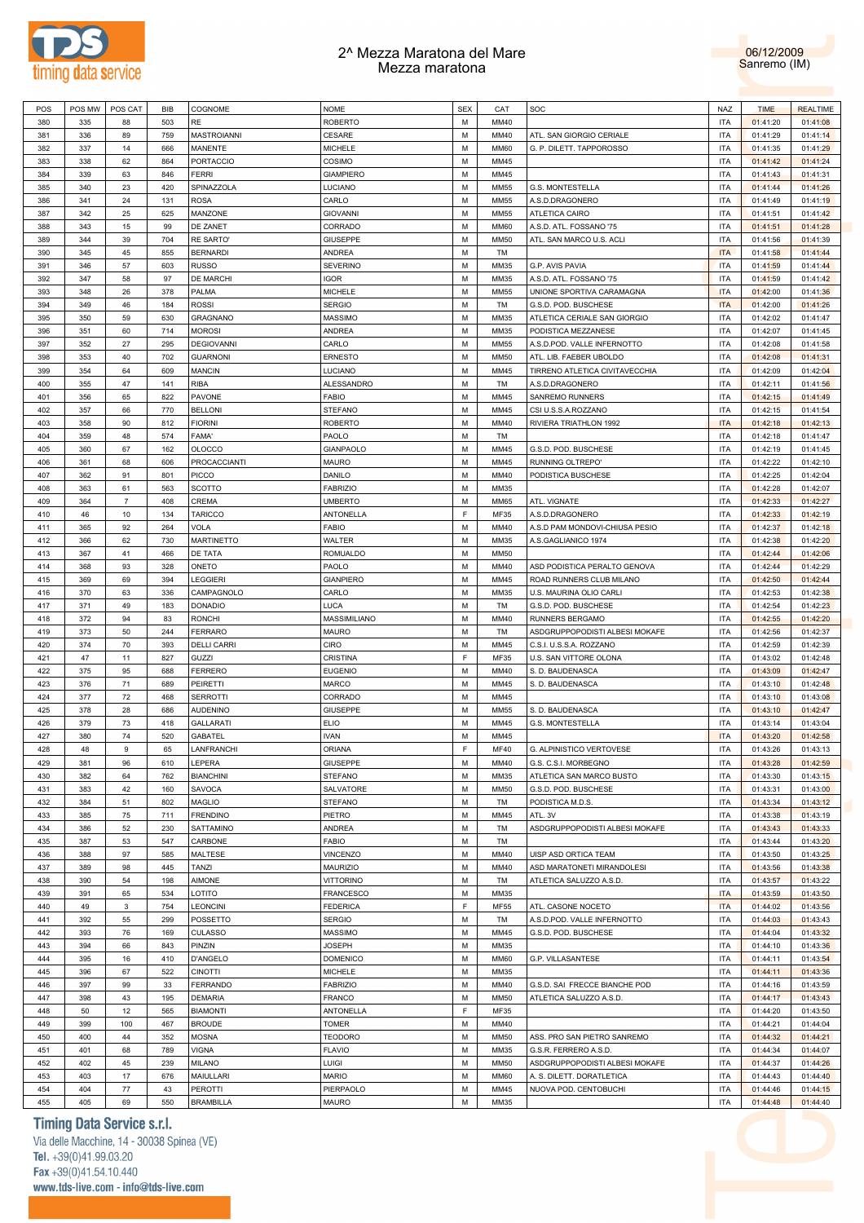



| POS        | POS MW     | POS CAT        | BIB       | COGNOME                     | NOME                               | <b>SEX</b> | CAT          | SOC                            | NAZ                      | <b>TIME</b>          | <b>REALTIME</b>      |
|------------|------------|----------------|-----------|-----------------------------|------------------------------------|------------|--------------|--------------------------------|--------------------------|----------------------|----------------------|
| 380        | 335        | 88             | 503       | RE                          | ROBERTO                            | М          | MM40         |                                | <b>ITA</b>               | 01:41:20             | 01:41:08             |
| 381        | 336        | 89             | 759       | MASTROIANNI                 | <b>CESARE</b>                      | М          | MM40         | ATL. SAN GIORGIO CERIALE       | <b>ITA</b>               | 01:41:29             | 01:41:14             |
| 382        | 337        | 14             | 666       | MANENTE                     | <b>MICHELE</b>                     | М          | <b>MM60</b>  | G. P. DILETT. TAPPOROSSO       | <b>ITA</b>               | 01:41:35             | 01:41:29             |
| 383        | 338        | 62             | 864       | <b>PORTACCIO</b>            | COSIMO                             | М          | MM45         |                                | <b>ITA</b>               | 01:41:42             | 01:41:24             |
| 384        | 339        | 63             | 846       | <b>FERRI</b>                | <b>GIAMPIERO</b>                   | М          | MM45         |                                | <b>ITA</b>               | 01:41:43             | 01:41:31             |
|            |            |                |           |                             | LUCIANO                            |            |              |                                |                          |                      |                      |
| 385        | 340        | 23             | 420       | SPINAZZOLA                  |                                    | М          | <b>MM55</b>  | G.S. MONTESTELLA               | <b>ITA</b>               | 01:41:44             | 01:41:26             |
| 386        | 341        | 24             | 131       | <b>ROSA</b>                 | CARLO                              | М          | <b>MM55</b>  | A.S.D.DRAGONERO                | <b>ITA</b>               | 01:41:49             | 01:41:19             |
| 387        | 342        | 25             | 625       | MANZONE                     | <b>GIOVANNI</b>                    | М          | <b>MM55</b>  | ATLETICA CAIRO                 | <b>ITA</b>               | 01:41:51             | 01:41:42             |
| 388        | 343        | 15             | 99        | DE ZANET                    | CORRADO                            | М          | <b>MM60</b>  | A.S.D. ATL. FOSSANO '75        | <b>ITA</b>               | 01:41:51             | 01:41:28             |
| 389        | 344        | 39             | 704       | <b>RE SARTO'</b>            | <b>GIUSEPPE</b>                    | М          | <b>MM50</b>  | ATL. SAN MARCO U.S. ACLI       | <b>ITA</b>               | 01:41:56             | 01:41:39             |
| 390        | 345        | 45             | 855       | <b>BERNARDI</b>             | ANDREA                             | М          | TM           |                                | <b>ITA</b>               | 01:41:58             | 01:41:44             |
| 391        | 346        | 57             | 603       | <b>RUSSO</b>                | <b>SEVERINO</b>                    | М          | MM35         | G.P. AVIS PAVIA                | <b>ITA</b>               | 01:41:59             | 01:41:44             |
| 392        | 347        | 58             | 97        | DE MARCHI                   | IGOR                               | М          | MM35         | A.S.D. ATL. FOSSANO '75        | <b>ITA</b>               | 01:41:59             | 01:41:42             |
| 393        | 348        | 26             | 378       | PALMA                       | <b>MICHELE</b>                     | М          | <b>MM55</b>  | UNIONE SPORTIVA CARAMAGNA      | <b>ITA</b>               | 01:42:00             | 01:41:36             |
| 394        | 349        | 46             | 184       | <b>ROSSI</b>                | <b>SERGIO</b>                      | М          | TM           | G.S.D. POD. BUSCHESE           | <b>ITA</b>               | 01:42:00             | 01:41:26             |
| 395        | 350        | 59             | 630       | <b>GRAGNANO</b>             | MASSIMO                            | М          | MM35         | ATLETICA CERIALE SAN GIORGIO   | <b>ITA</b>               | 01:42:02             | 01:41:47             |
| 396        | 351        | 60             | 714       | <b>MOROSI</b>               | ANDREA                             | М          | MM35         | PODISTICA MEZZANESE            | <b>ITA</b>               | 01:42:07             | 01:41:45             |
| 397        | 352        | 27             | 295       | <b>DEGIOVANNI</b>           | CARLO                              | М          | <b>MM55</b>  | A.S.D.POD. VALLE INFERNOTTO    | <b>ITA</b>               | 01:42:08             | 01:41:58             |
| 398        | 353        | 40             | 702       | <b>GUARNONI</b>             | ERNESTO                            | М          | <b>MM50</b>  | ATL. LIB. FAEBER UBOLDO        | <b>ITA</b>               | 01:42:08             | 01:41:31             |
| 399        | 354        | 64             |           |                             |                                    | М          | MM45         |                                | <b>ITA</b>               |                      |                      |
|            |            |                | 609       | <b>MANCIN</b>               | LUCIANO                            |            |              | TIRRENO ATLETICA CIVITAVECCHIA |                          | 01:42:09             | 01:42:04             |
| 400        | 355        | 47             | 141       | <b>RIBA</b>                 | ALESSANDRO                         | М          | TM           | A.S.D.DRAGONERO                | <b>ITA</b>               | 01:42:11             | 01:41:56             |
| 401        | 356        | 65             | 822       | PAVONE                      | FABIO                              | М          | MM45         | <b>SANREMO RUNNERS</b>         | <b>ITA</b>               | 01:42:15             | 01:41:49             |
| 402        | 357        | 66             | 770       | <b>BELLONI</b>              | <b>STEFANO</b>                     | М          | MM45         | CSI U.S.S.A.ROZZANO            | <b>ITA</b>               | 01:42:15             | 01:41:54             |
| 403        | 358        | 90             | 812       | <b>FIORINI</b>              | <b>ROBERTO</b>                     | М          | MM40         | RIVIERA TRIATHLON 1992         | <b>ITA</b>               | 01:42:18             | 01:42:13             |
| 404        | 359        | 48             | 574       | FAMA'                       | PAOLO                              | М          | TM           |                                | <b>ITA</b>               | 01:42:18             | 01:41:47             |
| 405        | 360        | 67             | 162       | <b>OLOCCO</b>               | <b>GIANPAOLO</b>                   | М          | MM45         | G.S.D. POD. BUSCHESE           | <b>ITA</b>               | 01:42:19             | 01:41:45             |
| 406        | 361        | 68             | 606       | PROCACCIANTI                | <b>MAURO</b>                       | М          | MM45         | RUNNING OLTREPO'               | <b>ITA</b>               | 01:42:22             | 01:42:10             |
| 407        | 362        | 91             | 801       | <b>PICCO</b>                | DANILO                             | М          | MM40         | PODISTICA BUSCHESE             | <b>ITA</b>               | 01:42:25             | 01:42:04             |
| 408        | 363        | 61             | 563       | <b>SCOTTO</b>               | <b>FABRIZIO</b>                    | М          | MM35         |                                | <b>ITA</b>               | 01:42:28             | 01:42:07             |
| 409        | 364        | $\overline{7}$ | 408       | CREMA                       | <b>UMBERTO</b>                     | М          | <b>MM65</b>  | ATL. VIGNATE                   | <b>ITA</b>               | 01:42:33             | 01:42:27             |
| 410        | 46         | 10             | 134       | <b>TARICCO</b>              | ANTONELLA                          | F          | MF35         | A.S.D.DRAGONERO                | <b>ITA</b>               | 01:42:33             | 01:42:19             |
| 411        |            |                |           | VOLA                        | FABIO                              | М          | MM40         |                                | <b>ITA</b>               |                      |                      |
|            | 365        | 92             | 264       |                             |                                    |            |              | A.S.D PAM MONDOVI-CHIUSA PESIO |                          | 01:42:37             | 01:42:18             |
| 412        | 366        | 62             | 730       | <b>MARTINETTO</b>           | WALTER                             | М          | MM35         | A.S.GAGLIANICO 1974            | <b>ITA</b>               | 01:42:38             | 01:42:20             |
| 413        | 367        | 41             | 466       | DE TATA                     | ROMUALDO                           | М          | <b>MM50</b>  |                                | <b>ITA</b>               | 01:42:44             | 01:42:06             |
| 414        | 368        | 93             | 328       | ONETO                       | PAOLO                              | М          | MM40         | ASD PODISTICA PERALTO GENOVA   | <b>ITA</b>               | 01:42:44             | 01:42:29             |
| 415        | 369        | 69             | 394       | LEGGIERI                    | <b>GIANPIERO</b>                   | М          | MM45         | ROAD RUNNERS CLUB MILANO       | <b>ITA</b>               | 01:42:50             | 01:42:44             |
| 416        | 370        | 63             | 336       | CAMPAGNOLO                  | CARLO                              | М          | MM35         | U.S. MAURINA OLIO CARLI        | <b>ITA</b>               | 01:42:53             | 01:42:38             |
| 417        | 371        | 49             | 183       | <b>DONADIO</b>              | LUCA                               | М          | TM           | G.S.D. POD. BUSCHESE           | <b>ITA</b>               | 01:42:54             | 01:42:23             |
| 418        | 372        | 94             | 83        | <b>RONCHI</b>               | MASSIMILIANO                       | М          | MM40         | RUNNERS BERGAMO                | <b>ITA</b>               | 01:42:55             | 01:42:20             |
| 419        | 373        | 50             | 244       | <b>FERRARO</b>              | MAURO                              | М          | TM           | ASDGRUPPOPODISTI ALBESI MOKAFE | <b>ITA</b>               | 01:42:56             | 01:42:37             |
| 420        | 374        | 70             | 393       | <b>DELLI CARRI</b>          | <b>CIRO</b>                        | M          | MM45         | C.S.I. U.S.S.A. ROZZANO        | <b>ITA</b>               | 01:42:59             | 01:42:39             |
| 421        | 47         | 11             | 827       | GUZZI                       | <b>CRISTINA</b>                    | E          | MF35         | U.S. SAN VITTORE OLONA         | <b>ITA</b>               | 01:43:02             | 01:42:48             |
| 422        | 375        | 95             | 688       | <b>FERRERO</b>              | <b>EUGENIO</b>                     | М          | MM40         | S. D. BAUDENASCA               | <b>ITA</b>               | 01:43:09             | 01:42:47             |
| 423        | 376        | 71             | 689       | PEIRETTI                    | <b>MARCO</b>                       | М          | MM45         | S. D. BAUDENASCA               | <b>ITA</b>               | 01:43:10             | 01:42:48             |
| 424        | 377        | 72             | 468       | <b>SERROTTI</b>             | CORRADO                            | М          | MM45         |                                | <b>ITA</b>               | 01:43:10             | 01:43:08             |
| 425        | 378        | 28             | 686       |                             | <b>GIUSEPPE</b>                    | М          | <b>MM55</b>  |                                | <b>ITA</b>               |                      |                      |
|            |            |                |           | <b>AUDENINO</b>             |                                    |            |              | S. D. BAUDENASCA               |                          | 01:43:10             | 01:42:47             |
| 426        | 379        | 73             | 418       | <b>GALLARATI</b>            | <b>ELIO</b>                        | М          | MM45         | G.S. MONTESTELLA               | <b>ITA</b>               | 01:43:14             | 01:43:04             |
| 427        | 380        | 74             | 520       | <b>GABATEL</b>              | <b>IVAN</b>                        | М          | MM45         |                                |                          |                      | 01:42:58             |
| 428        | 48         | 9              | 65        | LANFRANCHI                  | ORIANA                             | E          |              |                                | <b>ITA</b>               | 01:43:20             |                      |
| 429        | 381        | 96             | 610       |                             |                                    |            | <b>MF40</b>  | G. ALPINISTICO VERTOVESE       | <b>ITA</b>               | 01:43:26             | 01:43:13             |
| 430        | 382        |                |           | LEPERA                      | <b>GIUSEPPE</b>                    | М          | MM40         | G.S. C.S.I. MORBEGNO           | <b>ITA</b>               | 01:43:28             | 01:42:59             |
| 431        |            | 64             | 762       | <b>BIANCHINI</b>            | STEFANO                            | M          | MM35         | ATLETICA SAN MARCO BUSTO       | <b>ITA</b>               | 01:43:30             | 01:43:15             |
| 432        | 383        | 42             | 160       | SAVOCA                      | SALVATORE                          | М          | <b>MM50</b>  | G.S.D. POD. BUSCHESE           | <b>ITA</b>               | 01:43:31             | 01:43:00             |
|            | 384        | 51             | 802       | MAGLIO                      | <b>STEFANO</b>                     | M          | TM           | PODISTICA M.D.S.               | <b>ITA</b>               | 01:43:34             | 01:43:12             |
| 433        | 385        | 75             | 711       | <b>FRENDINO</b>             | PIETRO                             | М          | MM45         | ATL. 3V                        | <b>ITA</b>               | 01:43:38             | 01:43:19             |
| 434        | 386        | 52             | 230       | SATTAMINO                   | ANDREA                             | M          | TM           | ASDGRUPPOPODISTI ALBESI MOKAFE | <b>ITA</b>               | 01:43:43             | 01:43:33             |
| 435        | 387        | 53             | 547       | CARBONE                     | FABIO                              | M          | TM           |                                | <b>ITA</b>               | 01:43:44             | 01:43:20             |
| 436        | 388        | 97             | 585       |                             |                                    | M          | MM40         | UISP ASD ORTICA TEAM           | <b>ITA</b>               |                      |                      |
|            |            |                |           | MALTESE                     | <b>VINCENZO</b><br><b>MAURIZIO</b> |            |              |                                |                          | 01:43:50             | 01:43:25             |
| 437        | 389        | 98             | 445       | TANZI                       |                                    | M          | MM40         | ASD MARATONETI MIRANDOLESI     | <b>ITA</b>               | 01:43:56             | 01:43:38             |
| 438        | 390        | 54             | 198       | <b>AIMONE</b>               | <b>VITTORINO</b>                   | M          | TM           | ATLETICA SALUZZO A.S.D.        | <b>ITA</b>               | 01:43:57             | 01:43:22             |
| 439        | 391        | 65             | 534       | LOTITO                      | <b>FRANCESCO</b>                   | M          | MM35         |                                | <b>ITA</b>               | 01:43:59             | 01:43:50             |
| 440        | 49         | 3              | 754       | LEONCINI                    | <b>FEDERICA</b>                    | F          | <b>MF55</b>  | ATL. CASONE NOCETO             | <b>ITA</b>               | 01:44:02             | 01:43:56             |
| 441        | 392        | 55             | 299       | POSSETTO                    | <b>SERGIO</b>                      | M          | TM           | A.S.D.POD. VALLE INFERNOTTO    | <b>ITA</b>               | 01:44:03             | 01:43:43             |
| 442        | 393        | 76             | 169       | <b>CULASSO</b>              | <b>MASSIMO</b>                     | M          | MM45         | G.S.D. POD. BUSCHESE           | <b>ITA</b>               | 01:44:04             | 01:43:32             |
| 443        | 394        | 66             | 843       | PINZIN                      | <b>JOSEPH</b>                      | М          | MM35         |                                | <b>ITA</b>               | 01:44:10             | 01:43:36             |
| 444        | 395        | 16             | 410       | D'ANGELO                    | <b>DOMENICO</b>                    | M          | <b>MM60</b>  | G.P. VILLASANTESE              | <b>ITA</b>               | 01:44:11             | 01:43:54             |
| 445        | 396        | 67             | 522       | <b>CINOTTI</b>              | MICHELE                            | М          | MM35         |                                | <b>ITA</b>               | 01:44:11             | 01:43:36             |
| 446        | 397        | 99             | 33        | <b>FERRANDO</b>             | <b>FABRIZIO</b>                    | M          | MM40         | G.S.D. SAI FRECCE BIANCHE POD  | <b>ITA</b>               | 01:44:16             | 01:43:59             |
| 447        | 398        | 43             | 195       | <b>DEMARIA</b>              | <b>FRANCO</b>                      | M          | <b>MM50</b>  | ATLETICA SALUZZO A.S.D.        | <b>ITA</b>               | 01:44:17             | 01:43:43             |
| 448        | 50         | 12             | 565       | <b>BIAMONTI</b>             | ANTONELLA                          | F          | MF35         |                                | <b>ITA</b>               | 01:44:20             | 01:43:50             |
| 449        | 399        | 100            | 467       |                             | <b>TOMER</b>                       | M          | MM40         |                                | <b>ITA</b>               | 01:44:21             |                      |
|            |            |                |           | <b>BROUDE</b>               |                                    |            |              |                                |                          |                      | 01:44:04             |
| 450        | 400        | 44             | 352       | <b>MOSNA</b>                | <b>TEODORO</b>                     | M          | <b>MM50</b>  | ASS. PRO SAN PIETRO SANREMO    | <b>ITA</b>               | 01:44:32             | 01:44:21             |
| 451        | 401        | 68             | 789       | <b>VIGNA</b>                | <b>FLAVIO</b>                      | М          | MM35         | G.S.R. FERRERO A.S.D.          | <b>ITA</b>               | 01:44:34             | 01:44:07             |
| 452        | 402        | 45             | 239       | <b>MILANO</b>               | LUIGI                              | M          | <b>MM50</b>  | ASDGRUPPOPODISTI ALBESI MOKAFE | <b>ITA</b>               | 01:44:37             | 01:44:26             |
| 453        | 403        | 17             | 676       | MAIULLARI                   | <b>MARIO</b>                       | M          | <b>MM60</b>  | A. S. DILETT. DORATLETICA      | <b>ITA</b>               | 01:44:43             | 01:44:40             |
| 454<br>455 | 404<br>405 | 77<br>69       | 43<br>550 | PEROTTI<br><b>BRAMBILLA</b> | PIERPAOLO<br>MAURO                 | M<br>M     | MM45<br>MM35 | NUOVA POD. CENTOBUCHI          | <b>ITA</b><br><b>ITA</b> | 01:44:46<br>01:44:48 | 01:44:15<br>01:44:40 |

## **Timing Data Service s.r.l.**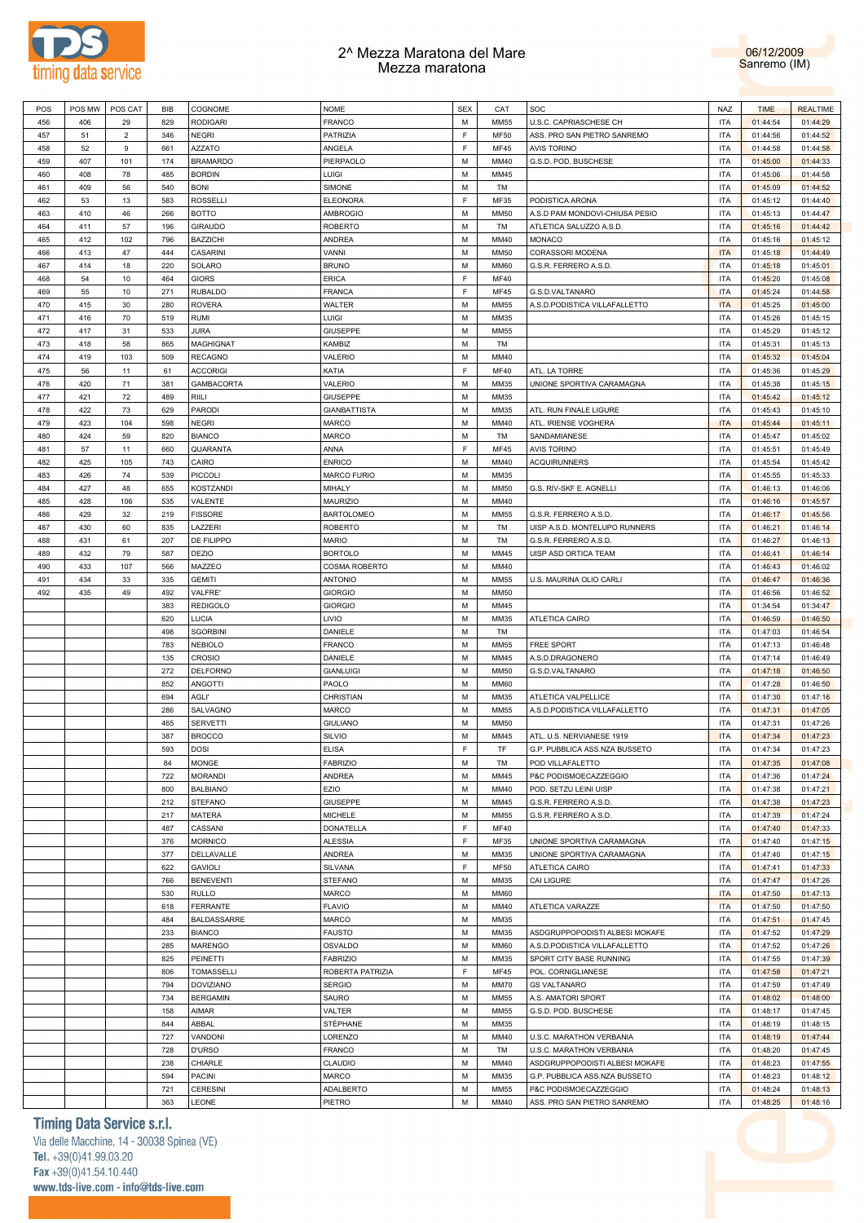



| POS |     | POS MW   POS CAT | BIB | COGNOME          | <b>NOME</b>         | <b>SEX</b> | CAT         | SOC                            | NAZ        | <b>TIME</b> | <b>REALTIME</b> |
|-----|-----|------------------|-----|------------------|---------------------|------------|-------------|--------------------------------|------------|-------------|-----------------|
|     |     |                  |     |                  |                     |            |             |                                |            |             |                 |
| 456 | 406 | 29               | 829 | <b>RODIGARI</b>  | <b>FRANCO</b>       | М          | <b>MM55</b> | U.S.C. CAPRIASCHESE CH         | <b>ITA</b> | 01:44:54    | 01:44:29        |
| 457 | 51  | $\overline{2}$   | 346 | <b>NEGRI</b>     | PATRIZIA            | F          | <b>MF50</b> | ASS. PRO SAN PIETRO SANREMO    | <b>ITA</b> | 01:44:56    | 01:44:52        |
| 458 | 52  | 9                | 661 | <b>AZZATO</b>    | ANGELA              | F          | <b>MF45</b> | <b>AVIS TORINO</b>             | ITA        | 01:44:58    | 01:44:58        |
| 459 | 407 | 101              | 174 | <b>BRAMARDO</b>  | PIERPAOLO           | М          | MM40        | G.S.D. POD. BUSCHESE           | ITA        | 01:45:00    | 01:44:33        |
| 460 | 408 | 78               | 485 | <b>BORDIN</b>    | <b>LUIGI</b>        | М          | MM45        |                                | ITA        | 01:45:06    | 01:44:58        |
|     |     |                  |     |                  |                     |            |             |                                |            |             |                 |
| 461 | 409 | 56               | 540 | <b>BONI</b>      | SIMONE              | М          | TM          |                                | ITA        | 01:45:09    | 01:44:52        |
| 462 | 53  | 13               | 583 | <b>ROSSELLI</b>  | <b>ELEONORA</b>     | F.         | MF35        | PODISTICA ARONA                | ITA        | 01:45:12    | 01:44:40        |
| 463 | 410 | 46               | 266 | <b>BOTTO</b>     | <b>AMBROGIO</b>     | М          | MM50        | A.S.D PAM MONDOVI-CHIUSA PESIO | ITA        | 01:45:13    | 01:44:47        |
| 464 | 411 | 57               | 196 | <b>GIRAUDO</b>   | <b>ROBERTO</b>      | M          | TM          | ATLETICA SALUZZO A.S.D.        | ITA        | 01:45:16    | 01:44:42        |
| 465 | 412 | 102              | 796 | <b>BAZZICHI</b>  | <b>ANDREA</b>       | М          | MM40        | <b>MONACO</b>                  | <b>ITA</b> | 01:45:16    | 01:45:12        |
|     |     |                  |     |                  |                     |            |             |                                |            |             |                 |
| 466 | 413 | 47               | 444 | CASARINI         | VANNI               | М          | <b>MM50</b> | CORASSORI MODENA               | <b>ITA</b> | 01:45:18    | 01:44:49        |
| 467 | 414 | 18               | 220 | SOLARO           | <b>BRUNO</b>        | М          | MM60        | G.S.R. FERRERO A.S.D           | ITA        | 01:45:18    | 01:45:01        |
| 468 | 54  | 10               | 464 | <b>GIORS</b>     | <b>ERICA</b>        | F.         | <b>MF40</b> |                                | ITA        | 01:45:20    | 01:45:08        |
| 469 | 55  | 10               | 271 | <b>RUBALDO</b>   | <b>FRANCA</b>       | F          | <b>MF45</b> | G.S.D.VALTANARO                | <b>ITA</b> | 01:45:24    | 01:44:58        |
| 470 | 415 | 30               | 280 | <b>ROVERA</b>    | WALTER              | М          | <b>MM55</b> | A.S.D.PODISTICA VILLAFALLETTO  | <b>ITA</b> | 01:45:25    | 01:45:00        |
|     |     |                  |     |                  |                     |            |             |                                |            |             |                 |
| 471 | 416 | 70               | 519 | <b>RUMI</b>      | LUIGI               | М          | MM35        |                                | ITA        | 01:45:26    | 01:45:15        |
| 472 | 417 | 31               | 533 | <b>JURA</b>      | <b>GIUSEPPE</b>     | М          | <b>MM55</b> |                                | ITA        | 01:45:29    | 01:45:12        |
| 473 | 418 | 58               | 865 | <b>MAGHIGNAT</b> | KAMBIZ              | М          | TM          |                                | ITA        | 01:45:31    | 01:45:13        |
| 474 | 419 | 103              | 509 | <b>RECAGNO</b>   | VALERIO             | М          | MM40        |                                | ITA        | 01:45:32    | 01:45:04        |
| 475 | 56  | 11               | 61  | <b>ACCORIGI</b>  | KATIA               | F          | <b>MF40</b> | ATL. LA TORRE                  | ITA        | 01:45:36    | 01:45:29        |
|     |     |                  |     |                  |                     |            |             |                                |            |             |                 |
| 476 | 420 | 71               | 381 | GAMBACORTA       | VALERIO             | М          | MM35        | UNIONE SPORTIVA CARAMAGNA      | <b>ITA</b> | 01:45:38    | 01:45:15        |
| 477 | 421 | 72               | 489 | RIILI            | <b>GIUSEPPE</b>     | М          | MM35        |                                | ITA        | 01:45:42    | 01:45:12        |
| 478 | 422 | 73               | 629 | PARODI           | <b>GIANBATTISTA</b> | М          | MM35        | ATL. RUN FINALE LIGURE         | ITA        | 01:45:43    | 01:45:10        |
| 479 | 423 | 104              | 598 | <b>NEGRI</b>     | <b>MARCO</b>        | М          | MM40        | ATL. IRIENSE VOGHERA           | <b>ITA</b> | 01:45:44    | 01:45:11        |
|     |     |                  |     |                  |                     | М          |             |                                |            |             |                 |
| 480 | 424 | 59               | 820 | <b>BIANCO</b>    | <b>MARCO</b>        |            | TM          | SANDAMIANESE                   | ITA        | 01:45:47    | 01:45:02        |
| 481 | 57  | 11               | 660 | QUARANTA         | ANNA                | F          | <b>MF45</b> | <b>AVIS TORINO</b>             | ITA        | 01:45:51    | 01:45:49        |
| 482 | 425 | 105              | 743 | CAIRO            | <b>ENRICO</b>       | М          | MM40        | <b>ACQUIRUNNERS</b>            | ITA        | 01:45:54    | 01:45:42        |
| 483 | 426 | 74               | 539 | <b>PICCOLI</b>   | <b>MARCO FURIO</b>  | М          | MM35        |                                | ITA        | 01:45:55    | 01:45:33        |
| 484 | 427 | 48               | 655 | <b>KOSTZANDI</b> | MIHALY              | М          | MM50        | G.S. RIV-SKF E. AGNELLI        | ITA        | 01:46:13    | 01:46:06        |
|     |     |                  |     |                  |                     |            |             |                                |            |             |                 |
| 485 | 428 | 106              | 535 | VALENTE          | <b>MAURIZIO</b>     | М          | MM40        |                                | ITA        | 01:46:16    | 01:45:57        |
| 486 | 429 | 32               | 219 | <b>FISSORE</b>   | <b>BARTOLOMEO</b>   | М          | <b>MM55</b> | G.S.R. FERRERO A.S.D.          | ITA        | 01:46:17    | 01:45:56        |
| 487 | 430 | 60               | 835 | LAZZERI          | <b>ROBERTO</b>      | М          | TM          | UISP A.S.D. MONTELUPO RUNNERS  | ITA        | 01:46:21    | 01:46:14        |
| 488 | 431 | 61               | 207 | DE FILIPPO       | <b>MARIO</b>        | М          | TM          | G.S.R. FERRERO A.S.D.          | ITA        | 01:46:27    | 01:46:13        |
| 489 | 432 | 79               | 587 | <b>DEZIO</b>     | <b>BORTOLO</b>      | М          | MM45        | UISP ASD ORTICA TEAM           | ITA        | 01:46:41    | 01:46:14        |
|     |     |                  |     |                  |                     |            |             |                                |            |             |                 |
| 490 | 433 | 107              | 566 | MAZZEO           | COSMA ROBERTO       | М          | MM40        |                                | ITA        | 01:46:43    | 01:46:02        |
| 491 | 434 | 33               | 335 | <b>GEMITI</b>    | <b>ANTONIO</b>      | М          | <b>MM55</b> | U.S. MAURINA OLIO CARLI        | ITA        | 01:46:47    | 01:46:36        |
| 492 | 435 | 49               | 492 | <b>VALFRE</b>    | <b>GIORGIO</b>      | М          | MM50        |                                | ITA        | 01:46:56    | 01:46:52        |
|     |     |                  | 383 | <b>REDIGOLO</b>  | <b>GIORGIO</b>      | М          | MM45        |                                | ITA        | 01:34:54    | 01:34:47        |
|     |     |                  | 620 | <b>LUCIA</b>     | LIVIO               | М          | MM35        | ATLETICA CAIRO                 | ITA        | 01:46:59    | 01:46:50        |
|     |     |                  |     |                  |                     |            |             |                                |            |             |                 |
|     |     |                  | 498 | <b>SGORBINI</b>  | DANIELE             | М          | TM          |                                | ITA        | 01:47:03    | 01:46:54        |
|     |     |                  | 783 | <b>NEBIOLO</b>   | <b>FRANCO</b>       | М          | <b>MM55</b> | <b>FREE SPORT</b>              | ITA        | 01:47:13    | 01:46:48        |
|     |     |                  | 135 | <b>CROSIO</b>    | DANIELE             | М          | MM45        | A.S.D.DRAGONERO                | ITA        | 01:47:14    | 01:46:49        |
|     |     |                  | 272 | <b>DELFORNO</b>  | <b>GIANLUIGI</b>    | М          | <b>MM50</b> | G.S.D.VALTANARO                | ITA        | 01:47:18    | 01:46:50        |
|     |     |                  | 852 | ANGOTTI          | PAOLO               | М          | MM60        |                                | ITA        | 01:47:28    | 01:46:50        |
|     |     |                  |     |                  |                     |            |             |                                |            |             |                 |
|     |     |                  | 694 | AGLI'            | CHRISTIAN           | М          | MM35        | ATLETICA VALPELLICE            | ITA        | 01:47:30    | 01:47:16        |
|     |     |                  | 286 | SALVAGNO         | <b>MARCO</b>        | М          | MM55        | A.S.D.PODISTICA VILLAFALLETTO  | <b>ITA</b> | 01:47:31    | 01:47:05        |
|     |     |                  | 465 | <b>SERVETTI</b>  | <b>GIULIANO</b>     | М          | <b>MM50</b> |                                | <b>ITA</b> | 01:47:31    | 01:47:26        |
|     |     |                  | 387 | <b>BROCCO</b>    | <b>SILVIO</b>       | М          | MM45        | ATL. U.S. NERVIANESE 1919      | <b>ITA</b> | 01:47:34    | 01:47:23        |
|     |     |                  | 593 | <b>DOSI</b>      | <b>ELISA</b>        | F.         | TF          | G.P. PUBBLICA ASS.NZA BUSSETO  | <b>ITA</b> | 01:47:34    | 01:47:23        |
|     |     |                  |     |                  |                     |            |             |                                |            |             |                 |
|     |     |                  | 84  | <b>MONGE</b>     | <b>FABRIZIO</b>     | М          | TM          | POD VILLAFALETTO               | ITA        | 01:47:35    | 01:47:08        |
|     |     |                  | 722 | <b>MORANDI</b>   | ANDREA              | М          | MM45        | P&C PODISMOECAZZEGGIO          | ITA        | 01:47:36    | 01:47:24        |
|     |     |                  | 800 | <b>BALBIANO</b>  | EZIO                | М          | MM40        | POD. SETZU LEINI UISP          | ITA        | 01:47:38    | 01:47:21        |
|     |     |                  | 212 | <b>STEFANO</b>   | GIUSEPPE            | М          | MM45        | G.S.R. FERRERO A.S.D.          | ITA        | 01:47:38    | 01:47:23        |
|     |     |                  | 217 | MATERA           | <b>MICHELE</b>      | М          | <b>MM55</b> | G.S.R. FERRERO A.S.D.          | ITA        | 01:47:39    | 01:47:24        |
|     |     |                  |     |                  |                     |            |             |                                |            |             |                 |
|     |     |                  | 487 | CASSANI          | DONATELLA           | F          | <b>MF40</b> |                                | ITA        | 01:47:40    | 01:47:33        |
|     |     |                  | 376 | <b>MORNICO</b>   | <b>ALESSIA</b>      | F          | MF35        | UNIONE SPORTIVA CARAMAGNA      | ITA        | 01:47:40    | 01:47:15        |
|     |     |                  | 377 | DELLAVALLE       | ANDREA              | М          | MM35        | UNIONE SPORTIVA CARAMAGNA      | ITA        | 01:47:40    | 01:47:15        |
|     |     |                  | 622 | <b>GAVIOLI</b>   | SILVANA             | F          | <b>MF50</b> | ATLETICA CAIRO                 | ITA        | 01:47:41    | 01:47:33        |
|     |     |                  |     |                  |                     |            |             |                                |            |             |                 |
|     |     |                  | 766 | <b>BENEVENTI</b> | <b>STEFANO</b>      | М          | MM35        | CAI LIGURE                     | ITA        | 01:47:47    | 01:47:26        |
|     |     |                  | 530 | <b>RULLO</b>     | <b>MARCO</b>        | М          | <b>MM60</b> |                                | <b>ITA</b> | 01:47:50    | 01:47:13        |
|     |     |                  | 618 | <b>FERRANTE</b>  | <b>FLAVIO</b>       | М          | MM40        | ATLETICA VARAZZE               | <b>ITA</b> | 01:47:50    | 01:47:50        |
|     |     |                  | 484 | BALDASSARRE      | <b>MARCO</b>        | М          | MM35        |                                | ITA        | 01:47:51    | 01:47:45        |
|     |     |                  | 233 | <b>BIANCO</b>    | <b>FAUSTO</b>       | М          | MM35        | ASDGRUPPOPODISTI ALBESI MOKAFE | ITA        | 01:47:52    | 01:47:29        |
|     |     |                  |     |                  |                     |            |             |                                |            |             |                 |
|     |     |                  | 285 | <b>MARENGO</b>   | OSVALDO             | М          | <b>MM60</b> | A.S.D.PODISTICA VILLAFALLETTO  | ITA        | 01:47:52    | 01:47:26        |
|     |     |                  | 825 | PEINETTI         | <b>FABRIZIO</b>     | М          | MM35        | SPORT CITY BASE RUNNING        | ITA        | 01:47:55    | 01:47:39        |
|     |     |                  | 806 | TOMASSELLI       | ROBERTA PATRIZIA    | F          | <b>MF45</b> | POL. CORNIGLIANESE             | ITA        | 01:47:58    | 01:47:21        |
|     |     |                  | 794 | <b>DOVIZIANO</b> | <b>SERGIO</b>       | M          | MM70        | <b>GS VALTANARO</b>            | ITA        | 01:47:59    | 01:47:49        |
|     |     |                  |     |                  |                     |            |             |                                |            |             |                 |
|     |     |                  | 734 | <b>BERGAMIN</b>  | SAURO               | М          | <b>MM55</b> | A.S. AMATORI SPORT             | ITA        | 01:48:02    | 01:48:00        |
|     |     |                  | 158 | AIMAR            | VALTER              | M          | <b>MM55</b> | G.S.D. POD. BUSCHESE           | ITA        | 01:48:17    | 01:47:45        |
|     |     |                  | 844 | ABBAL            | STÈPHANE            | М          | MM35        |                                | ITA        | 01:48:19    | 01:48:15        |
|     |     |                  | 727 | VANDONI          | LORENZO             | M          | MM40        | U.S.C. MARATHON VERBANIA       | ITA        | 01:48:19    | 01:47:44        |
|     |     |                  | 728 | <b>D'URSO</b>    | <b>FRANCO</b>       | М          | TM          | U.S.C. MARATHON VERBANIA       | ITA        | 01:48:20    | 01:47:45        |
|     |     |                  |     |                  |                     |            |             |                                |            |             |                 |
|     |     |                  | 238 | CHIARLE          | CLAUDIO             | M          | MM40        | ASDGRUPPOPODISTI ALBESI MOKAFE | ITA        | 01:48:23    | 01:47:55        |
|     |     |                  | 594 | <b>PACINI</b>    | MARCO               | М          | MM35        | G.P. PUBBLICA ASS.NZA BUSSETO  | ITA        | 01:48:23    | 01:48:12        |
|     |     |                  | 721 | <b>CERESINI</b>  | ADALBERTO           | М          | <b>MM55</b> | P&C PODISMOECAZZEGGIO          | ITA        | 01:48:24    | 01:48:13        |
|     |     |                  | 363 | LEONE            | PIETRO              | M          | MM40        | ASS. PRO SAN PIETRO SANREMO    | ITA        | 01:48:25    | 01:48:16        |

## **Timing Data Service s.r.l.**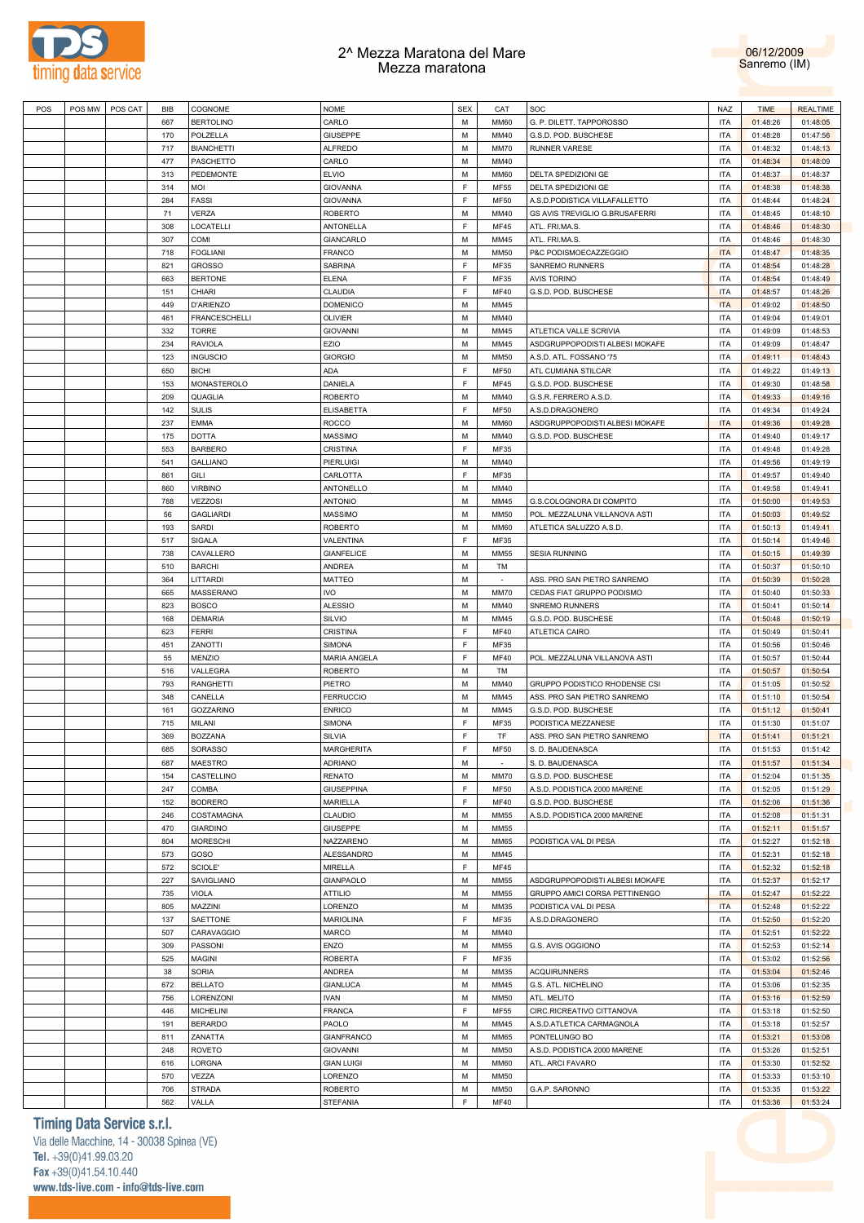



| POS | POS MW | POS CAT | BIB | COGNOME           | <b>NOME</b>       | <b>SEX</b> | CAT         | SOC                            | <b>NAZ</b> | <b>TIME</b> | <b>REALTIME</b> |
|-----|--------|---------|-----|-------------------|-------------------|------------|-------------|--------------------------------|------------|-------------|-----------------|
|     |        |         | 667 | <b>BERTOLINO</b>  | CARLO             | M          | <b>MM60</b> | G. P. DILETT. TAPPOROSSO       | <b>ITA</b> | 01:48:26    | 01:48:05        |
|     |        |         | 170 | POLZELLA          | <b>GIUSEPPE</b>   | M          | MM40        |                                | <b>ITA</b> | 01:48:28    | 01:47:56        |
|     |        |         |     |                   |                   |            |             | G.S.D. POD. BUSCHESE           |            |             |                 |
|     |        |         | 717 | <b>BIANCHETTI</b> | <b>ALFREDO</b>    | M          | <b>MM70</b> | <b>RUNNER VARESE</b>           | <b>ITA</b> | 01:48:32    | 01:48:13        |
|     |        |         | 477 | PASCHETTO         | CARLO             | M          | MM40        |                                | <b>ITA</b> | 01:48:34    | 01:48:09        |
|     |        |         | 313 | PEDEMONTE         | <b>ELVIO</b>      | M          | <b>MM60</b> | DELTA SPEDIZIONI GE            | <b>ITA</b> | 01:48:37    | 01:48:37        |
|     |        |         | 314 | MOI               | <b>GIOVANNA</b>   | F          | <b>MF55</b> | DELTA SPEDIZIONI GE            | <b>ITA</b> | 01:48:38    | 01:48:38        |
|     |        |         | 284 | <b>FASSI</b>      | <b>GIOVANNA</b>   | F          | <b>MF50</b> | A.S.D.PODISTICA VILLAFALLETTO  | <b>ITA</b> | 01:48:44    | 01:48:24        |
|     |        |         |     |                   |                   |            |             |                                |            |             |                 |
|     |        |         | 71  | <b>VERZA</b>      | <b>ROBERTO</b>    | M          | MM40        | GS AVIS TREVIGLIO G.BRUSAFERRI | <b>ITA</b> | 01:48:45    | 01:48:10        |
|     |        |         | 308 | LOCATELLI         | ANTONELLA         | F          | <b>MF45</b> | ATL. FRI.MA.S.                 | <b>ITA</b> | 01:48:46    | 01:48:30        |
|     |        |         | 307 | COMI              | GIANCARLO         | M          | MM45        | ATL. FRI.MA.S.                 | <b>ITA</b> | 01:48:46    | 01:48:30        |
|     |        |         | 718 | <b>FOGLIANI</b>   | <b>FRANCO</b>     | M          | <b>MM50</b> | P&C PODISMOECAZZEGGIO          | <b>ITA</b> | 01:48:47    | 01:48:35        |
|     |        |         | 821 | <b>GROSSO</b>     | SABRINA           | F          | MF35        | <b>SANREMO RUNNERS</b>         | <b>ITA</b> | 01:48:54    | 01:48:28        |
|     |        |         |     |                   |                   |            |             |                                |            |             |                 |
|     |        |         | 663 | <b>BERTONE</b>    | <b>ELENA</b>      | F          | MF35        | <b>AVIS TORINO</b>             | <b>ITA</b> | 01:48:54    | 01:48:49        |
|     |        |         | 151 | CHIARI            | CLAUDIA           | F          | MF40        | G.S.D. POD. BUSCHESE           | <b>ITA</b> | 01:48:57    | 01:48:26        |
|     |        |         | 449 | <b>D'ARIENZO</b>  | <b>DOMENICO</b>   | M          | MM45        |                                | <b>ITA</b> | 01:49:02    | 01:48:50        |
|     |        |         | 461 | FRANCESCHELLI     | <b>OLIVIER</b>    | M          | MM40        |                                | <b>ITA</b> | 01:49:04    | 01:49:01        |
|     |        |         | 332 | <b>TORRE</b>      | <b>GIOVANNI</b>   | M          | MM45        | ATLETICA VALLE SCRIVIA         | <b>ITA</b> | 01:49:09    | 01:48:53        |
|     |        |         |     |                   |                   |            |             |                                |            |             |                 |
|     |        |         | 234 | <b>RAVIOLA</b>    | EZIO              | M          | MM45        | ASDGRUPPOPODISTI ALBESI MOKAFE | <b>ITA</b> | 01:49:09    | 01:48:47        |
|     |        |         | 123 | <b>INGUSCIO</b>   | <b>GIORGIO</b>    | M          | <b>MM50</b> | A.S.D. ATL. FOSSANO '75        | <b>ITA</b> | 01:49:11    | 01:48:43        |
|     |        |         | 650 | <b>BICHI</b>      | ADA               | F          | <b>MF50</b> | ATL CUMIANA STILCAR            | <b>ITA</b> | 01:49:22    | 01:49:13        |
|     |        |         | 153 | MONASTEROLO       | DANIELA           | F          | <b>MF45</b> | G.S.D. POD. BUSCHESE           | <b>ITA</b> | 01:49:30    | 01:48:58        |
|     |        |         | 209 | QUAGLIA           | <b>ROBERTO</b>    | M          | MM40        |                                | <b>ITA</b> |             | 01:49:16        |
|     |        |         |     |                   |                   |            |             | G.S.R. FERRERO A.S.D.          |            | 01:49:33    |                 |
|     |        |         | 142 | <b>SULIS</b>      | <b>ELISABETTA</b> | F          | <b>MF50</b> | A.S.D.DRAGONERO                | <b>ITA</b> | 01:49:34    | 01:49:24        |
|     |        |         | 237 | <b>EMMA</b>       | <b>ROCCO</b>      | M          | <b>MM60</b> | ASDGRUPPOPODISTI ALBESI MOKAFE | <b>ITA</b> | 01:49:36    | 01:49:28        |
|     |        |         | 175 | <b>DOTTA</b>      | <b>MASSIMO</b>    | M          | MM40        | G.S.D. POD. BUSCHESE           | <b>ITA</b> | 01:49:40    | 01:49:17        |
|     |        |         | 553 | <b>BARBERO</b>    | CRISTINA          | F          | MF35        |                                | <b>ITA</b> | 01:49:48    | 01:49:28        |
|     |        |         | 541 | <b>GALLIANO</b>   | PIERLUIGI         | M          | MM40        |                                | <b>ITA</b> | 01:49:56    | 01:49:19        |
|     |        |         |     |                   |                   |            |             |                                |            |             |                 |
|     |        |         | 861 | GILI              | CARLOTTA          | F          | MF35        |                                | <b>ITA</b> | 01:49:57    | 01:49:40        |
|     |        |         | 860 | <b>VIRBINO</b>    | ANTONELLO         | M          | MM40        |                                | <b>ITA</b> | 01:49:58    | 01:49:41        |
|     |        |         | 788 | VEZZOSI           | <b>ANTONIO</b>    | M          | MM45        | G.S.COLOGNORA DI COMPITO       | <b>ITA</b> | 01:50:00    | 01:49:53        |
|     |        |         | 56  | <b>GAGLIARDI</b>  | MASSIMO           | M          | <b>MM50</b> | POL. MEZZALUNA VILLANOVA ASTI  | <b>ITA</b> | 01:50:03    | 01:49:52        |
|     |        |         |     |                   |                   | M          |             |                                |            |             |                 |
|     |        |         | 193 | <b>SARDI</b>      | <b>ROBERTO</b>    |            | <b>MM60</b> | ATLETICA SALUZZO A.S.D.        | <b>ITA</b> | 01:50:13    | 01:49:41        |
|     |        |         | 517 | SIGALA            | VALENTINA         | F          | MF35        |                                | <b>ITA</b> | 01:50:14    | 01:49:46        |
|     |        |         | 738 | CAVALLERO         | <b>GIANFELICE</b> | M          | <b>MM55</b> | <b>SESIA RUNNING</b>           | <b>ITA</b> | 01:50:15    | 01:49:39        |
|     |        |         | 510 | <b>BARCHI</b>     | ANDREA            | M          | TM          |                                | <b>ITA</b> | 01:50:37    | 01:50:10        |
|     |        |         | 364 | LITTARDI          | MATTEO            | M          | $\sim$      | ASS. PRO SAN PIETRO SANREMO    | <b>ITA</b> | 01:50:39    | 01:50:28        |
|     |        |         |     |                   |                   | M          |             |                                |            |             |                 |
|     |        |         | 665 | MASSERANO         | <b>IVO</b>        |            | <b>MM70</b> | CEDAS FIAT GRUPPO PODISMO      | <b>ITA</b> | 01:50:40    | 01:50:33        |
|     |        |         | 823 | <b>BOSCO</b>      | <b>ALESSIO</b>    | M          | MM40        | <b>SNREMO RUNNERS</b>          | <b>ITA</b> | 01:50:41    | 01:50:14        |
|     |        |         | 168 | <b>DEMARIA</b>    | <b>SILVIO</b>     | M          | MM45        | G.S.D. POD. BUSCHESE           | <b>ITA</b> | 01:50:48    | 01:50:19        |
|     |        |         | 623 | <b>FERRI</b>      | CRISTINA          | F          | MF40        | ATLETICA CAIRO                 | <b>ITA</b> | 01:50:49    | 01:50:41        |
|     |        |         | 451 | ZANOTTI           | SIMONA            | F          | MF35        |                                | <b>ITA</b> | 01:50:56    | 01:50:46        |
|     |        |         | 55  | MENZIO            | MARIA ANGELA      | F          | MF40        | POL. MEZZALUNA VILLANOVA ASTI  | <b>ITA</b> | 01:50:57    | 01:50:44        |
|     |        |         |     |                   |                   |            |             |                                |            |             |                 |
|     |        |         | 516 | VALLEGRA          | <b>ROBERTO</b>    | M          | TM          |                                | <b>ITA</b> | 01:50:57    | 01:50:54        |
|     |        |         | 793 | <b>RANGHETTI</b>  | PIETRO            | M          | MM40        | GRUPPO PODISTICO RHODENSE CSI  | <b>ITA</b> | 01:51:05    | 01:50:52        |
|     |        |         | 348 | CANELLA           | <b>FERRUCCIO</b>  | M          | MM45        | ASS. PRO SAN PIETRO SANREMO    | <b>ITA</b> | 01:51:10    | 01:50:54        |
|     |        |         | 161 | <b>GOZZARINO</b>  | <b>ENRICO</b>     | M          | MM45        | G.S.D. POD. BUSCHESE           | <b>ITA</b> | 01:51:12    | 01:50:41        |
|     |        |         | 715 |                   |                   | F          |             | PODISTICA MEZZANESE            |            |             |                 |
|     |        |         |     | MILANI            | <b>SIMONA</b>     |            | MF35        |                                | <b>ITA</b> | 01:51:30    | 01:51:07        |
|     |        |         | 369 | <b>BOZZANA</b>    | <b>SILVIA</b>     | F          | <b>TF</b>   | ASS. PRO SAN PIETRO SANREMO    | <b>ITA</b> | 01:51:41    | 01:51:21        |
|     |        |         | 685 | SORASSO           | <b>MARGHERITA</b> | E          | <b>MF50</b> | S. D. BAUDENASCA               | <b>ITA</b> | 01:51:53    | 01:51:42        |
|     |        |         | 687 | <b>MAESTRO</b>    | <b>ADRIANO</b>    | M          |             | S. D. BAUDENASCA               | <b>ITA</b> | 01:51:57    | 01:51:34        |
|     |        |         | 154 | CASTELLINO        | RENATO            | M          | MM70        | G.S.D. POD. BUSCHESE           | <b>ITA</b> | 01:52:04    | 01:51:35        |
|     |        |         |     |                   |                   | F          | <b>MF50</b> |                                |            |             |                 |
|     |        |         | 247 | COMBA             | <b>GIUSEPPINA</b> |            |             | A.S.D. PODISTICA 2000 MARENE   | <b>ITA</b> | 01:52:05    | 01:51:29        |
|     |        |         | 152 | <b>BODRERO</b>    | MARIELLA          | F          | <b>MF40</b> | G.S.D. POD. BUSCHESE           | <b>ITA</b> | 01:52:06    | 01:51:36        |
|     |        |         | 246 | COSTAMAGNA        | CLAUDIO           | M          | <b>MM55</b> | A.S.D. PODISTICA 2000 MARENE   | <b>ITA</b> | 01:52:08    | 01:51:31        |
|     |        |         | 470 | <b>GIARDINO</b>   | <b>GIUSEPPE</b>   | M          | <b>MM55</b> |                                | <b>ITA</b> | 01:52:11    | 01:51:57        |
|     |        |         | 804 | <b>MORESCHI</b>   | NAZZARENO         | M          | <b>MM65</b> | PODISTICA VAL DI PESA          | <b>ITA</b> | 01:52:27    | 01:52:18        |
|     |        |         | 573 | GOSO              | ALESSANDRO        | M          | MM45        |                                | <b>ITA</b> | 01:52:31    | 01:52:18        |
|     |        |         |     |                   |                   |            |             |                                |            |             |                 |
|     |        |         | 572 | SCIOLE'           | <b>MIRELLA</b>    | F          | MF45        |                                | <b>ITA</b> | 01:52:32    | 01:52:18        |
|     |        |         | 227 | SAVIGLIANO        | GIANPAOLO         | M          | <b>MM55</b> | ASDGRUPPOPODISTI ALBESI MOKAFE | <b>ITA</b> | 01:52:37    | 01:52:17        |
|     |        |         | 735 | VIOLA             | <b>ATTILIO</b>    | M          | <b>MM55</b> | GRUPPO AMICI CORSA PETTINENGO  | <b>ITA</b> | 01:52:47    | 01:52:22        |
|     |        |         | 805 | MAZZINI           | LORENZO           | M          | MM35        | PODISTICA VAL DI PESA          | <b>ITA</b> | 01:52:48    | 01:52:22        |
|     |        |         |     | SAETTONE          | <b>MARIOLINA</b>  | F          | MF35        | A.S.D.DRAGONERO                | <b>ITA</b> | 01:52:50    | 01:52:20        |
|     |        |         | 137 |                   |                   |            |             |                                |            |             |                 |
|     |        |         | 507 | CARAVAGGIO        | MARCO             | M          | MM40        |                                | <b>ITA</b> | 01:52:51    | 01:52:22        |
|     |        |         | 309 | PASSONI           | ENZO              | М          | <b>MM55</b> | G.S. AVIS OGGIONO              | <b>ITA</b> | 01:52:53    | 01:52:14        |
|     |        |         | 525 | <b>MAGINI</b>     | <b>ROBERTA</b>    | F          | MF35        |                                | <b>ITA</b> | 01:53:02    | 01:52:56        |
|     |        |         | 38  | <b>SORIA</b>      | ANDREA            | M          | MM35        | <b>ACQUIRUNNERS</b>            | <b>ITA</b> | 01:53:04    | 01:52:46        |
|     |        |         |     |                   |                   |            |             |                                |            |             |                 |
|     |        |         | 672 | <b>BELLATO</b>    | <b>GIANLUCA</b>   | M          | MM45        | G.S. ATL. NICHELINO            | <b>ITA</b> | 01:53:06    | 01:52:35        |
|     |        |         | 756 | LORENZONI         | <b>IVAN</b>       | M          | <b>MM50</b> | ATL. MELITO                    | <b>ITA</b> | 01:53:16    | 01:52:59        |
|     |        |         | 446 | <b>MICHELINI</b>  | <b>FRANCA</b>     | F          | <b>MF55</b> | CIRC.RICREATIVO CITTANOVA      | <b>ITA</b> | 01:53:18    | 01:52:50        |
|     |        |         | 191 | <b>BERARDO</b>    | PAOLO             | M          | MM45        | A.S.D.ATLETICA CARMAGNOLA      | <b>ITA</b> | 01:53:18    | 01:52:57        |
|     |        |         | 811 | ZANATTA           | <b>GIANFRANCO</b> | M          | <b>MM65</b> | PONTELUNGO BO                  | <b>ITA</b> | 01:53:21    | 01:53:08        |
|     |        |         |     |                   |                   |            |             |                                |            |             |                 |
|     |        |         | 248 | <b>ROVETO</b>     | <b>GIOVANNI</b>   | M          | <b>MM50</b> | A.S.D. PODISTICA 2000 MARENE   | <b>ITA</b> | 01:53:26    | 01:52:51        |
|     |        |         | 616 | LORGNA            | <b>GIAN LUIGI</b> | M          | <b>MM60</b> | ATL. ARCI FAVARO               | <b>ITA</b> | 01:53:30    | 01:52:52        |
|     |        |         | 570 | VEZZA             | LORENZO           | М          | <b>MM50</b> |                                | <b>ITA</b> | 01:53:33    | 01:53:10        |
|     |        |         | 706 | <b>STRADA</b>     | ROBERTO           | М          | <b>MM50</b> | G.A.P. SARONNO                 | <b>ITA</b> | 01:53:35    | 01:53:22        |
|     |        |         | 562 | VALLA             | <b>STEFANIA</b>   | F          | <b>MF40</b> |                                | <b>ITA</b> | 01:53:36    | 01:53:24        |
|     |        |         |     |                   |                   |            |             |                                |            |             |                 |

# **Timing Data Service s.r.l.**

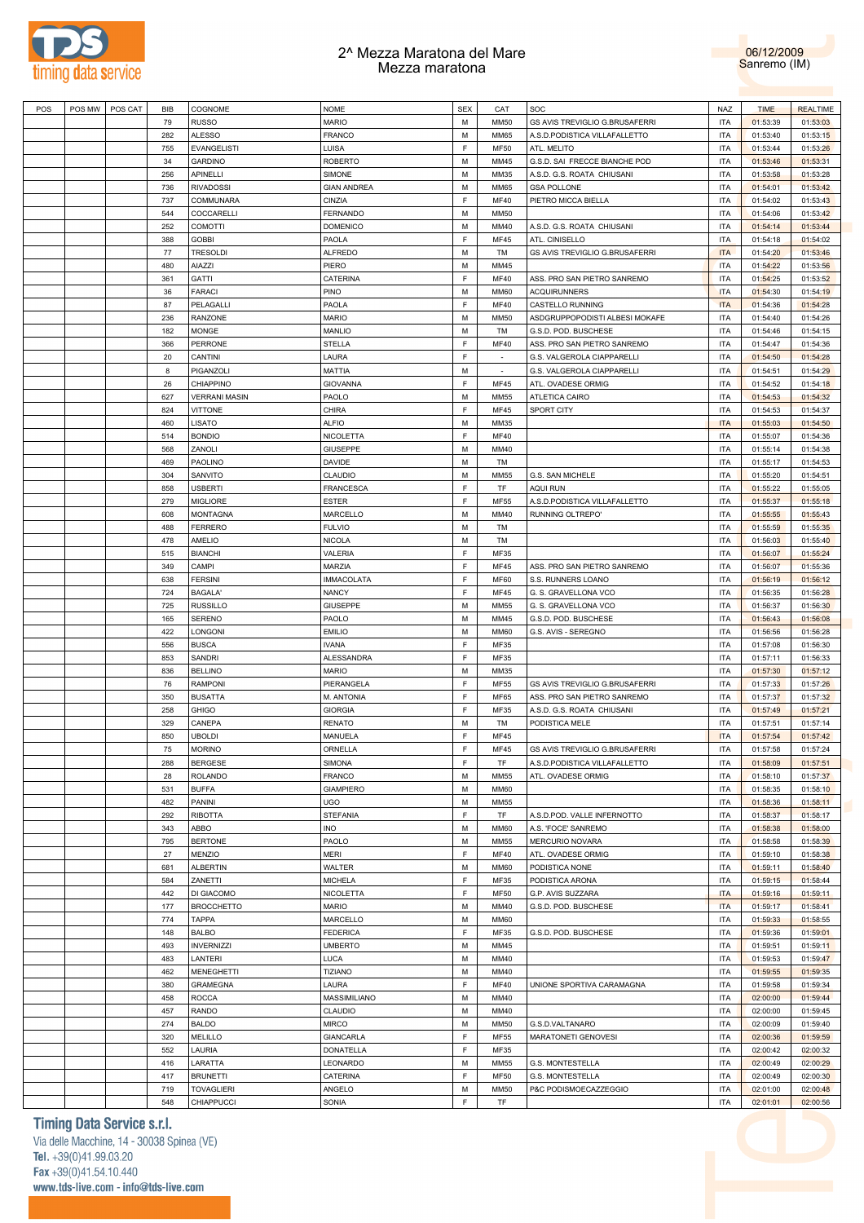



| POS | POS MW   POS CAT | <b>BIB</b> | COGNOME              | <b>NOME</b>        | <b>SEX</b>  | CAT         | SOC                            | NAZ        | <b>TIME</b> | <b>REALTIME</b> |
|-----|------------------|------------|----------------------|--------------------|-------------|-------------|--------------------------------|------------|-------------|-----------------|
|     |                  | 79         | <b>RUSSO</b>         | <b>MARIO</b>       | M           | <b>MM50</b> | GS AVIS TREVIGLIO G.BRUSAFERRI | <b>ITA</b> | 01:53:39    | 01:53:03        |
|     |                  | 282        | <b>ALESSO</b>        | <b>FRANCO</b>      | M           | <b>MM65</b> | A.S.D.PODISTICA VILLAFALLETTO  | <b>ITA</b> | 01:53:40    | 01:53:15        |
|     |                  | 755        | <b>EVANGELISTI</b>   | LUISA              | F           | <b>MF50</b> | ATL. MELITO                    | <b>ITA</b> | 01:53:44    | 01:53:26        |
|     |                  | 34         | <b>GARDINO</b>       | <b>ROBERTO</b>     | M           | MM45        | G.S.D. SAI FRECCE BIANCHE POD  | <b>ITA</b> | 01:53:46    | 01:53:31        |
|     |                  | 256        | <b>APINELLI</b>      | SIMONE             | M           | MM35        | A.S.D. G.S. ROATA CHIUSANI     | <b>ITA</b> | 01:53:58    | 01:53:28        |
|     |                  | 736        | <b>RIVADOSSI</b>     | <b>GIAN ANDREA</b> | M           | <b>MM65</b> | <b>GSA POLLONE</b>             | <b>ITA</b> | 01:54:01    | 01:53:42        |
|     |                  | 737        | COMMUNARA            | CINZIA             | E           | <b>MF40</b> | PIETRO MICCA BIELLA            | <b>ITA</b> | 01:54:02    | 01:53:43        |
|     |                  | 544        | COCCARELLI           | <b>FERNANDO</b>    | M           | <b>MM50</b> |                                | <b>ITA</b> | 01:54:06    | 01:53:42        |
|     |                  | 252        | <b>COMOTTI</b>       | <b>DOMENICO</b>    | M           | MM40        | A.S.D. G.S. ROATA CHIUSANI     | <b>ITA</b> | 01:54:14    | 01:53:44        |
|     |                  | 388        | <b>GOBBI</b>         | PAOLA              | F           | <b>MF45</b> | ATL. CINISELLO                 | <b>ITA</b> | 01:54:18    | 01:54:02        |
|     |                  | 77         | <b>TRESOLDI</b>      | <b>ALFREDO</b>     | M           | TM          | GS AVIS TREVIGLIO G.BRUSAFERRI | <b>ITA</b> | 01:54:20    | 01:53:46        |
|     |                  | 480        | AIAZZI               | PIERO              | M           | MM45        |                                | <b>ITA</b> | 01:54:22    | 01:53:56        |
|     |                  | 361        | GATTI                | CATERINA           | E           | <b>MF40</b> | ASS. PRO SAN PIETRO SANREMO    | <b>ITA</b> | 01:54:25    | 01:53:52        |
|     |                  | 36         | <b>FARACI</b>        | PINO               | M           | <b>MM60</b> | <b>ACQUIRUNNERS</b>            | <b>ITA</b> | 01:54:30    | 01:54:19        |
|     |                  | 87         | PELAGALLI            | PAOLA              | E           | <b>MF40</b> | <b>CASTELLO RUNNING</b>        | <b>ITA</b> | 01:54:36    | 01:54:28        |
|     |                  | 236        | <b>RANZONE</b>       | <b>MARIO</b>       | M           | <b>MM50</b> | ASDGRUPPOPODISTI ALBESI MOKAFE | <b>ITA</b> | 01:54:40    | 01:54:26        |
|     |                  | 182        | <b>MONGE</b>         | <b>MANLIO</b>      | M           | TM          | G.S.D. POD. BUSCHESE           | <b>ITA</b> | 01:54:46    | 01:54:15        |
|     |                  |            |                      |                    | E           |             |                                |            |             |                 |
|     |                  | 366        | <b>PERRONE</b>       | <b>STELLA</b>      | E           | <b>MF40</b> | ASS. PRO SAN PIETRO SANREMO    | <b>ITA</b> | 01:54:47    | 01:54:36        |
|     |                  | 20         | CANTINI              | LAURA              |             | ÷.          | G.S. VALGEROLA CIAPPARELL      | <b>ITA</b> | 01:54:50    | 01:54:28        |
|     |                  | 8          | PIGANZOLI            | <b>MATTIA</b>      | M           |             | G.S. VALGEROLA CIAPPARELL      | <b>ITA</b> | 01:54:51    | 01:54:29        |
|     |                  | 26         | CHIAPPINO            | <b>GIOVANNA</b>    | E           | <b>MF45</b> | ATL. OVADESE ORMIG             | <b>ITA</b> | 01:54:52    | 01:54:18        |
|     |                  | 627        | <b>VERRANI MASIN</b> | PAOLO              | M           | <b>MM55</b> | <b>ATLETICA CAIRO</b>          | <b>ITA</b> | 01:54:53    | 01:54:32        |
|     |                  | 824        | <b>VITTONE</b>       | <b>CHIRA</b>       | E           | <b>MF45</b> | SPORT CITY                     | <b>ITA</b> | 01:54:53    | 01:54:37        |
|     |                  | 460        | LISATO               | <b>ALFIO</b>       | M           | MM35        |                                | <b>ITA</b> | 01:55:03    | 01:54:50        |
|     |                  | 514        | <b>BONDIO</b>        | <b>NICOLETTA</b>   | E           | <b>MF40</b> |                                | <b>ITA</b> | 01:55:07    | 01:54:36        |
|     |                  | 568        | ZANOLI               | <b>GIUSEPPE</b>    | M           | MM40        |                                | <b>ITA</b> | 01:55:14    | 01:54:38        |
|     |                  | 469        | PAOLINO              | <b>DAVIDE</b>      | M           | TM          |                                | <b>ITA</b> | 01:55:17    | 01:54:53        |
|     |                  | 304        | SANVITO              | <b>CLAUDIO</b>     | M           | <b>MM55</b> | G.S. SAN MICHELE               | <b>ITA</b> | 01:55:20    | 01:54:51        |
|     |                  | 858        | <b>USBERTI</b>       | <b>FRANCESCA</b>   | E           | TF          | <b>AQUI RUN</b>                | <b>ITA</b> | 01:55:22    | 01:55:05        |
|     |                  | 279        | <b>MIGLIORE</b>      | <b>ESTER</b>       | F           | MF55        | A.S.D.PODISTICA VILLAFALLETTO  | <b>ITA</b> | 01:55:37    | 01:55:18        |
|     |                  | 608        | <b>MONTAGNA</b>      | <b>MARCELLO</b>    | M           | MM40        | RUNNING OLTREPO'               | <b>ITA</b> | 01:55:55    | 01:55:43        |
|     |                  | 488        | <b>FERRERO</b>       | <b>FULVIO</b>      | M           | TM          |                                | <b>ITA</b> | 01:55:59    | 01:55:35        |
|     |                  | 478        | AMELIO               | <b>NICOLA</b>      | M           | TM          |                                | <b>ITA</b> | 01:56:03    | 01:55:40        |
|     |                  | 515        | <b>BIANCHI</b>       | VALERIA            | F           | MF35        |                                | <b>ITA</b> | 01:56:07    | 01:55:24        |
|     |                  | 349        | CAMPI                | MARZIA             | $\mathsf F$ | <b>MF45</b> | ASS. PRO SAN PIETRO SANREMO    | <b>ITA</b> | 01:56:07    | 01:55:36        |
|     |                  | 638        | <b>FERSINI</b>       | <b>IMMACOLATA</b>  | $\mathsf F$ | <b>MF60</b> | S.S. RUNNERS LOANO             | <b>ITA</b> | 01:56:19    | 01:56:12        |
|     |                  | 724        | <b>BAGALA'</b>       | <b>NANCY</b>       | $\mathsf F$ | <b>MF45</b> | G. S. GRAVELLONA VCO           | <b>ITA</b> | 01:56:35    | 01:56:28        |
|     |                  | 725        | <b>RUSSILLO</b>      | <b>GIUSEPPE</b>    | M           | <b>MM55</b> | G. S. GRAVELLONA VCO           | <b>ITA</b> | 01:56:37    | 01:56:30        |
|     |                  | 165        | <b>SERENO</b>        | PAOLO              | M           | MM45        | G.S.D. POD. BUSCHESE           | <b>ITA</b> | 01:56:43    | 01:56:08        |
|     |                  | 422        | LONGONI              | <b>EMILIO</b>      | M           | <b>MM60</b> | G.S. AVIS - SEREGNO            | <b>ITA</b> | 01:56:56    | 01:56:28        |
|     |                  | 556        | <b>BUSCA</b>         | <b>IVANA</b>       | F           | MF35        |                                | <b>ITA</b> | 01:57:08    | 01:56:30        |
|     |                  | 853        | SANDRI               | ALESSANDRA         | F           | MF35        |                                | <b>ITA</b> | 01:57:11    | 01:56:33        |
|     |                  | 836        | <b>BELLINO</b>       | <b>MARIO</b>       | M           | MM35        |                                | <b>ITA</b> | 01:57:30    | 01:57:12        |
|     |                  | 76         | <b>RAMPONI</b>       | PIERANGELA         | F           | MF55        | GS AVIS TREVIGLIO G.BRUSAFERRI | <b>ITA</b> | 01:57:33    | 01:57:26        |
|     |                  | 350        | <b>BUSATTA</b>       | M. ANTONIA         | F           | <b>MF65</b> | ASS. PRO SAN PIETRO SANREMO    | <b>ITA</b> | 01:57:37    | 01:57:32        |
|     |                  | 258        | <b>GHIGO</b>         | <b>GIORGIA</b>     | F           | MF35        | A.S.D. G.S. ROATA CHIUSANI     | <b>ITA</b> | 01:57:49    | 01:57:21        |
|     |                  | 329        | CANEPA               | <b>RENATO</b>      | M           | TM          | PODISTICA MELE                 | <b>ITA</b> | 01:57:51    | 01:57:14        |
|     |                  | 850        | <b>UBOLDI</b>        | MANUELA            | F           | <b>MF45</b> |                                | <b>ITA</b> | 01:57:54    | 01:57:42        |
|     |                  | 75         | <b>MORINO</b>        | ORNELLA            | E           | MF45        | GS AVIS TREVIGLIO G.BRUSAFERRI | <b>ITA</b> | 01:57:58    | 01:57:24        |
|     |                  | 288        | <b>BERGESE</b>       | <b>SIMONA</b>      | F           | TF          | A.S.D.PODISTICA VILLAFALLETTO  | <b>ITA</b> | 01:58:09    | 01:57:51        |
|     |                  | 28         | <b>ROLANDO</b>       | <b>FRANCO</b>      | M           | <b>MM55</b> | ATL. OVADESE ORMIG             | <b>ITA</b> | 01:58:10    | 01:57:37        |
|     |                  | 531        | <b>BUFFA</b>         | <b>GIAMPIERO</b>   | M           | <b>MM60</b> |                                | <b>ITA</b> | 01:58:35    | 01:58:10        |
|     |                  | 482        | PANINI               | UGO                | M           | <b>MM55</b> |                                | <b>ITA</b> | 01:58:36    | 01:58:11        |
|     |                  | 292        | <b>RIBOTTA</b>       | <b>STEFANIA</b>    | F           | TF          | A.S.D.POD. VALLE INFERNOTTO    | <b>ITA</b> | 01:58:37    | 01:58:17        |
|     |                  | 343        | ABBO                 | <b>INO</b>         | M           | <b>MM60</b> | A.S. 'FOCE' SANREMO            | <b>ITA</b> | 01:58:38    | 01:58:00        |
|     |                  | 795        | <b>BERTONE</b>       | PAOLO              | M           | <b>MM55</b> | MERCURIO NOVARA                | <b>ITA</b> | 01:58:58    | 01:58:39        |
|     |                  | 27         | MENZIO               | <b>MERI</b>        | F           | <b>MF40</b> | ATL. OVADESE ORMIG             | <b>ITA</b> | 01:59:10    | 01:58:38        |
|     |                  | 681        | ALBERTIN             | WALTER             | M           | <b>MM60</b> | PODISTICA NONE                 | <b>ITA</b> | 01:59:11    | 01:58:40        |
|     |                  | 584        | ZANETTI              | <b>MICHELA</b>     | F           | MF35        | PODISTICA ARONA                | <b>ITA</b> | 01:59:15    | 01:58:44        |
|     |                  | 442        | DI GIACOMO           | NICOLETTA          | F           | MF50        | G.P. AVIS SUZZARA              | <b>ITA</b> | 01:59:16    | 01:59:11        |
|     |                  | 177        | <b>BROCCHETTO</b>    | <b>MARIO</b>       | M           | MM40        | G.S.D. POD. BUSCHESE           | <b>ITA</b> | 01:59:17    | 01:58:41        |
|     |                  | 774        | <b>TAPPA</b>         | MARCELLO           | M           | <b>MM60</b> |                                | <b>ITA</b> |             |                 |
|     |                  |            |                      |                    |             |             |                                |            | 01:59:33    | 01:58:55        |
|     |                  | 148        | <b>BALBO</b>         | <b>FEDERICA</b>    | F           | MF35        | G.S.D. POD. BUSCHESE           | <b>ITA</b> | 01:59:36    | 01:59:01        |
|     |                  | 493        | <b>INVERNIZZI</b>    | <b>UMBERTO</b>     | M           | MM45        |                                | <b>ITA</b> | 01:59:51    | 01:59:11        |
|     |                  | 483        | LANTERI              | LUCA               | M           | MM40        |                                | <b>ITA</b> | 01:59:53    | 01:59:47        |
|     |                  | 462        | <b>MENEGHETTI</b>    | <b>TIZIANO</b>     | M           | MM40        |                                | <b>ITA</b> | 01:59:55    | 01:59:35        |
|     |                  | 380        | <b>GRAMEGNA</b>      | LAURA              | F           | <b>MF40</b> | UNIONE SPORTIVA CARAMAGNA      | <b>ITA</b> | 01:59:58    | 01:59:34        |
|     |                  | 458        | <b>ROCCA</b>         | MASSIMILIANO       | M           | MM40        |                                | <b>ITA</b> | 02:00:00    | 01:59:44        |
|     |                  | 457        | <b>RANDO</b>         | <b>CLAUDIO</b>     | M           | MM40        |                                | <b>ITA</b> | 02:00:00    | 01:59:45        |
|     |                  | 274        | <b>BALDO</b>         | <b>MIRCO</b>       | M           | <b>MM50</b> | G.S.D.VALTANARO                | <b>ITA</b> | 02:00:09    | 01:59:40        |
|     |                  | 320        | <b>MELILLO</b>       | <b>GIANCARLA</b>   | F           | MF55        | MARATONETI GENOVESI            | <b>ITA</b> | 02:00:36    | 01:59:59        |
|     |                  | 552        | LAURIA               | <b>DONATELLA</b>   | E           | MF35        |                                | <b>ITA</b> | 02:00:42    | 02:00:32        |
|     |                  | 416        | LARATTA              | LEONARDO           | M           | <b>MM55</b> | <b>G.S. MONTESTELLA</b>        | <b>ITA</b> | 02:00:49    | 02:00:29        |
|     |                  | 417        | <b>BRUNETTI</b>      | CATERINA           | E           | <b>MF50</b> | G.S. MONTESTELLA               | <b>ITA</b> | 02:00:49    | 02:00:30        |
|     |                  | 719        | <b>TOVAGLIERI</b>    | ANGELO             | M           | <b>MM50</b> | P&C PODISMOECAZZEGGIO          | <b>ITA</b> | 02:01:00    | 02:00:48        |
|     |                  | 548        | CHIAPPUCCI           | SONIA              | F           | <b>TF</b>   |                                | <b>ITA</b> | 02:01:01    | 02:00:56        |

**Timing Data Service s.r.l.** 

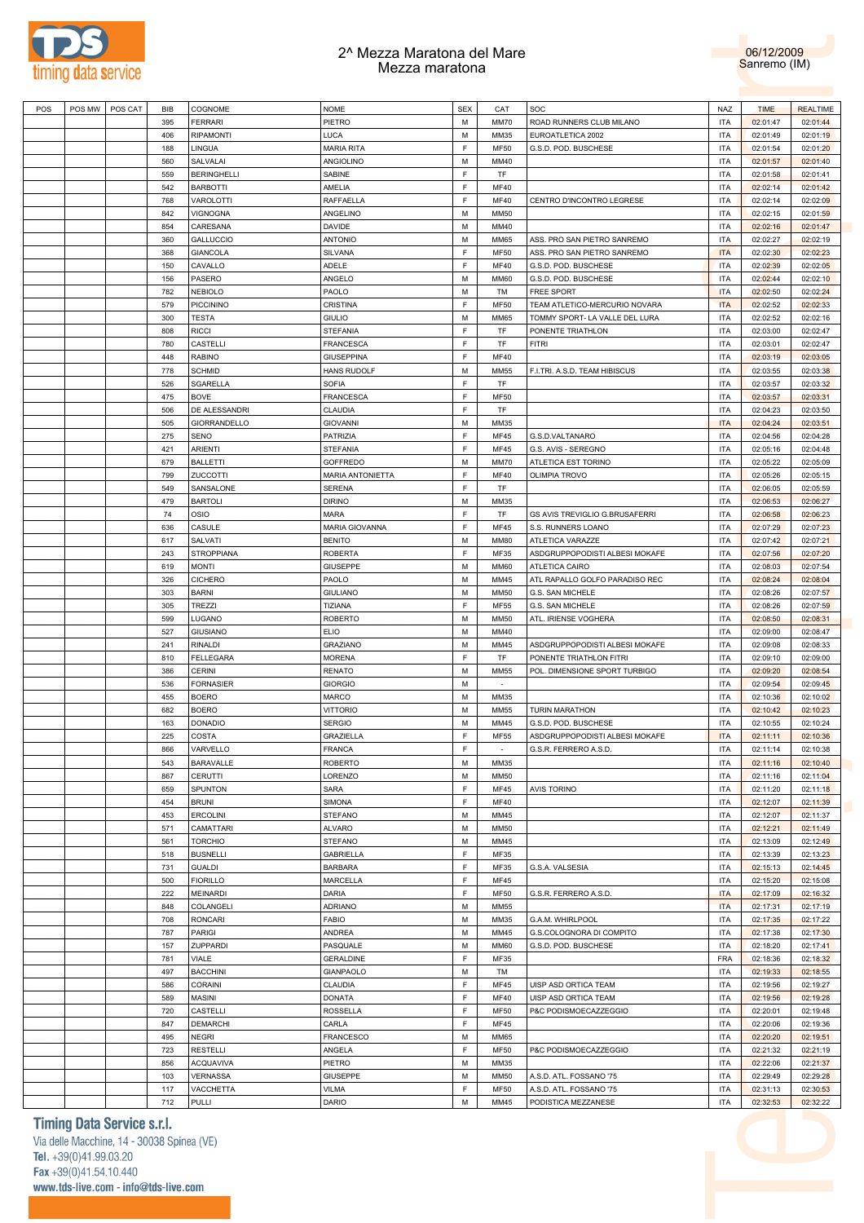



| POS | POS MW | POS CAT | <b>BIB</b> | COGNOME            | <b>NOME</b>        | <b>SEX</b> | CAT         | SOC                            | <b>NAZ</b> | <b>TIME</b> | <b>REALTIME</b> |
|-----|--------|---------|------------|--------------------|--------------------|------------|-------------|--------------------------------|------------|-------------|-----------------|
|     |        |         |            |                    |                    |            |             |                                |            |             |                 |
|     |        |         | 395        | <b>FERRARI</b>     | PIETRO             | M          | <b>MM70</b> | ROAD RUNNERS CLUB MILANO       | <b>ITA</b> | 02:01:47    | 02:01:44        |
|     |        |         | 406        | <b>RIPAMONTI</b>   | <b>LUCA</b>        | M          | MM35        | EUROATLETICA 2002              | <b>ITA</b> | 02:01:49    | 02:01:19        |
|     |        |         | 188        | LINGUA             | <b>MARIA RITA</b>  | F          | MF50        | G.S.D. POD. BUSCHESE           | <b>ITA</b> | 02:01:54    | 02:01:20        |
|     |        |         | 560        | SALVALAI           | ANGIOLINO          | M          | MM40        |                                | <b>ITA</b> | 02:01:57    | 02:01:40        |
|     |        |         | 559        | <b>BERINGHELLI</b> | <b>SABINE</b>      | F          | TF          |                                | <b>ITA</b> | 02:01:58    | 02:01:41        |
|     |        |         | 542        | <b>BARBOTTI</b>    | AMELIA             | F          | <b>MF40</b> |                                | <b>ITA</b> | 02:02:14    | 02:01:42        |
|     |        |         | 768        | VAROLOTTI          | RAFFAELLA          | F          | <b>MF40</b> | CENTRO D'INCONTRO LEGRESE      | <b>ITA</b> | 02:02:14    | 02:02:09        |
|     |        |         | 842        | VIGNOGNA           | ANGELINO           | M          | <b>MM50</b> |                                | <b>ITA</b> | 02:02:15    | 02:01:59        |
|     |        |         | 854        | CARESANA           | <b>DAVIDE</b>      | M          | MM40        |                                | <b>ITA</b> | 02:02:16    | 02:01:47        |
|     |        |         |            |                    |                    | M          |             |                                | <b>ITA</b> |             |                 |
|     |        |         | 360        | <b>GALLUCCIO</b>   | <b>ANTONIO</b>     |            | <b>MM65</b> | ASS. PRO SAN PIETRO SANREMO    |            | 02:02:27    | 02:02:19        |
|     |        |         | 368        | <b>GIANCOLA</b>    | SILVANA            | F          | <b>MF50</b> | ASS. PRO SAN PIETRO SANREMO    | <b>ITA</b> | 02:02:30    | 02:02:23        |
|     |        |         | 150        | CAVALLO            | <b>ADELE</b>       | F          | <b>MF40</b> | G.S.D. POD. BUSCHESE           | <b>ITA</b> | 02:02:39    | 02:02:05        |
|     |        |         | 156        | PASERO             | ANGELO             | M          | <b>MM60</b> | G.S.D. POD. BUSCHESE           | <b>ITA</b> | 02:02:44    | 02:02:10        |
|     |        |         | 782        | <b>NEBIOLO</b>     | PAOLO              | M          | TM          | <b>FREE SPORT</b>              | <b>ITA</b> | 02:02:50    | 02:02:24        |
|     |        |         | 579        | <b>PICCININO</b>   | CRISTINA           | F          | MF50        | TEAM ATLETICO-MERCURIO NOVARA  | <b>ITA</b> | 02:02:52    | 02:02:33        |
|     |        |         | 300        | <b>TESTA</b>       | <b>GIULIO</b>      | M          | <b>MM65</b> | TOMMY SPORT- LA VALLE DEL LURA | <b>ITA</b> | 02:02:52    | 02:02:16        |
|     |        |         | 808        | <b>RICCI</b>       | <b>STEFANIA</b>    | F          | TF          | PONENTE TRIATHLON              | <b>ITA</b> | 02:03:00    | 02:02:47        |
|     |        |         | 780        | CASTELLI           | <b>FRANCESCA</b>   | F          | TF          | <b>FITRI</b>                   | <b>ITA</b> | 02:03:01    | 02:02:47        |
|     |        |         | 448        | <b>RABINO</b>      | <b>GIUSEPPINA</b>  | F          | <b>MF40</b> |                                | <b>ITA</b> | 02:03:19    | 02:03:05        |
|     |        |         | 778        | <b>SCHMID</b>      |                    | M          | MM55        |                                | <b>ITA</b> |             |                 |
|     |        |         |            |                    | <b>HANS RUDOLF</b> |            |             | F.I.TRI. A.S.D. TEAM HIBISCUS  |            | 02:03:55    | 02:03:38        |
|     |        |         | 526        | <b>SGARELLA</b>    | <b>SOFIA</b>       | F          | TF          |                                | <b>ITA</b> | 02:03:57    | 02:03:32        |
|     |        |         | 475        | <b>BOVE</b>        | <b>FRANCESCA</b>   | F          | MF50        |                                | <b>ITA</b> | 02:03:57    | 02:03:31        |
|     |        |         | 506        | DE ALESSANDRI      | CLAUDIA            | F          | TF          |                                | <b>ITA</b> | 02:04:23    | 02:03:50        |
|     |        |         | 505        | GIORRANDELLO       | <b>GIOVANNI</b>    | M          | MM35        |                                | <b>ITA</b> | 02:04:24    | 02:03:51        |
|     |        |         | 275        | <b>SENO</b>        | PATRIZIA           | F          | <b>MF45</b> | G.S.D.VALTANARO                | <b>ITA</b> | 02:04:56    | 02:04:28        |
|     |        |         | 421        | <b>ARIENTI</b>     | <b>STEFANIA</b>    | F          | <b>MF45</b> | G.S. AVIS - SEREGNO            | <b>ITA</b> | 02:05:16    | 02:04:48        |
|     |        |         | 679        | <b>BALLETTI</b>    | <b>GOFFREDO</b>    | M          | MM70        | ATLETICA EST TORINO            | <b>ITA</b> | 02:05:22    | 02:05:09        |
|     |        |         | 799        | ZUCCOTTI           | MARIA ANTONIETTA   | F          | <b>MF40</b> | <b>OLIMPIA TROVO</b>           | <b>ITA</b> | 02:05:26    | 02:05:15        |
|     |        |         | 549        | SANSALONE          | <b>SERENA</b>      | F          | TF          |                                | <b>ITA</b> | 02:06:05    | 02:05:59        |
|     |        |         | 479        | <b>BARTOLI</b>     | <b>DIRINO</b>      | M          | MM35        |                                | <b>ITA</b> |             |                 |
|     |        |         |            |                    |                    |            |             |                                |            | 02:06:53    | 02:06:27        |
|     |        |         | 74         | OSIO               | MARA               | F          | TF          | GS AVIS TREVIGLIO G.BRUSAFERRI | <b>ITA</b> | 02:06:58    | 02:06:23        |
|     |        |         | 636        | CASULE             | MARIA GIOVANNA     | F          | <b>MF45</b> | S.S. RUNNERS LOANO             | <b>ITA</b> | 02:07:29    | 02:07:23        |
|     |        |         | 617        | SALVATI            | <b>BENITO</b>      | M          | <b>MM80</b> | ATLETICA VARAZZE               | <b>ITA</b> | 02:07:42    | 02:07:21        |
|     |        |         | 243        | <b>STROPPIANA</b>  | <b>ROBERTA</b>     | F          | MF35        | ASDGRUPPOPODISTI ALBESI MOKAFE | <b>ITA</b> | 02:07:56    | 02:07:20        |
|     |        |         | 619        | <b>MONTI</b>       | <b>GIUSEPPE</b>    | M          | <b>MM60</b> | <b>ATLETICA CAIRO</b>          | <b>ITA</b> | 02:08:03    | 02:07:54        |
|     |        |         | 326        | <b>CICHERO</b>     | PAOLO              | M          | <b>MM45</b> | ATL RAPALLO GOLFO PARADISO REC | <b>ITA</b> | 02:08:24    | 02:08:04        |
|     |        |         | 303        | <b>BARNI</b>       | <b>GIULIANO</b>    | M          | <b>MM50</b> | G.S. SAN MICHELE               | <b>ITA</b> | 02:08:26    | 02:07:57        |
|     |        |         | 305        | <b>TREZZI</b>      | TIZIANA            | F          | MF55        | G.S. SAN MICHELE               | <b>ITA</b> | 02:08:26    | 02:07:59        |
|     |        |         | 599        | <b>LUGANO</b>      | <b>ROBERTO</b>     | M          | <b>MM50</b> | ATL. IRIENSE VOGHERA           | <b>ITA</b> | 02:08:50    | 02:08:31        |
|     |        |         | 527        | <b>GIUSIANO</b>    | <b>ELIO</b>        | M          | <b>MM40</b> |                                | <b>ITA</b> | 02:09:00    | 02:08:47        |
|     |        |         |            |                    |                    |            |             |                                |            |             |                 |
|     |        |         | 241        | <b>RINALDI</b>     | <b>GRAZIANO</b>    | M          | <b>MM45</b> | ASDGRUPPOPODISTI ALBESI MOKAFE | <b>ITA</b> | 02:09:08    | 02:08:33        |
|     |        |         | 810        | <b>FELLEGARA</b>   | <b>MORENA</b>      | F          | TF          | PONENTE TRIATHLON FITRI        | <b>ITA</b> | 02:09:10    | 02:09:00        |
|     |        |         | 386        | <b>CERINI</b>      | <b>RENATO</b>      | M          | <b>MM55</b> | POL. DIMENSIONE SPORT TURBIGO  | <b>ITA</b> | 02:09:20    | 02:08:54        |
|     |        |         | 536        | <b>FORNASIER</b>   | <b>GIORGIO</b>     | M          | $\sim$      |                                | <b>ITA</b> | 02:09:54    | 02:09:45        |
|     |        |         | 455        | <b>BOERO</b>       | <b>MARCO</b>       | M          | MM35        |                                | <b>ITA</b> | 02:10:36    | 02:10:02        |
|     |        |         | 682        | <b>BOERO</b>       | <b>VITTORIO</b>    | M          | <b>MM55</b> | <b>TURIN MARATHON</b>          | <b>ITA</b> | 02:10:42    | 02:10:23        |
|     |        |         | 163        | <b>DONADIO</b>     | <b>SERGIO</b>      | M          | MM45        | G.S.D. POD. BUSCHESE           | <b>ITA</b> | 02:10:55    | 02:10:24        |
|     |        |         | 225        | COSTA              | <b>GRAZIELLA</b>   | F          | MF55        | ASDGRUPPOPODISTI ALBESI MOKAFE | <b>ITA</b> | 02:11:11    | 02:10:36        |
|     |        |         | 866        | VARVELLO           | <b>FRANCA</b>      | E          |             | G.S.R. FERRERO A.S.D.          | <b>ITA</b> | 02:11:14    | 02:10:38        |
|     |        |         | 543        | BARAVALLE          | <b>ROBERTO</b>     | M          | MM35        |                                | <b>ITA</b> | 02:11:16    | 02:10:40        |
|     |        |         |            |                    |                    |            |             |                                |            |             |                 |
|     |        |         | 867        | <b>CERUTTI</b>     | LORENZO            | М          | <b>MM50</b> |                                | <b>ITA</b> | 02:11:16    | 02:11:04        |
|     |        |         | 659        | SPUNTON            | SARA               | F          | MF45        | <b>AVIS TORINO</b>             | <b>ITA</b> | 02:11:20    | 02:11:18        |
|     |        |         | 454        | <b>BRUNI</b>       | <b>SIMONA</b>      | E          | <b>MF40</b> |                                | <b>ITA</b> | 02:12:07    | 02:11:39        |
|     |        |         | 453        | <b>ERCOLINI</b>    | <b>STEFANO</b>     | M          | MM45        |                                | <b>ITA</b> | 02:12:07    | 02:11:37        |
|     |        |         | 571        | CAMATTARI          | <b>ALVARO</b>      | M          | <b>MM50</b> |                                | <b>ITA</b> | 02:12:21    | 02:11:49        |
|     |        |         | 561        | <b>TORCHIO</b>     | <b>STEFANO</b>     | M          | MM45        |                                | <b>ITA</b> | 02:13:09    | 02:12:49        |
|     |        |         | 518        | <b>BUSNELLI</b>    | <b>GABRIELLA</b>   | F          | MF35        |                                | <b>ITA</b> | 02:13:39    | 02:13:23        |
|     |        |         | 731        | <b>GUALDI</b>      | <b>BARBARA</b>     | E          | MF35        | G.S.A. VALSESIA                | <b>ITA</b> | 02:15:13    | 02:14:45        |
|     |        |         | 500        | <b>FIORILLO</b>    | <b>MARCELLA</b>    | F          | <b>MF45</b> |                                | <b>ITA</b> | 02:15:20    | 02:15:08        |
|     |        |         | 222        | <b>MEINARDI</b>    | DARIA              | E          | MF50        | G.S.R. FERRERO A.S.D.          | <b>ITA</b> | 02:17:09    | 02:16:32        |
|     |        |         | 848        | COLANGELI          | ADRIANO            | M          | MM55        |                                | <b>ITA</b> | 02:17:31    | 02:17:19        |
|     |        |         |            |                    |                    | M          |             |                                |            |             |                 |
|     |        |         | 708        | <b>RONCARI</b>     | <b>FABIO</b>       |            | MM35        | G.A.M. WHIRLPOOL               | <b>ITA</b> | 02:17:35    | 02:17:22        |
|     |        |         | 787        | <b>PARIGI</b>      | ANDREA             | M          | MM45        | G.S.COLOGNORA DI COMPITO       | <b>ITA</b> | 02:17:38    | 02:17:30        |
|     |        |         | 157        | ZUPPARDI           | PASQUALE           | M          | <b>MM60</b> | G.S.D. POD. BUSCHESE           | <b>ITA</b> | 02:18:20    | 02:17:41        |
|     |        |         | 781        | VIALE              | <b>GERALDINE</b>   | F          | MF35        |                                | <b>FRA</b> | 02:18:36    | 02:18:32        |
|     |        |         | 497        | <b>BACCHINI</b>    | GIANPAOLO          | M          | TM          |                                | <b>ITA</b> | 02:19:33    | 02:18:55        |
|     |        |         | 586        | <b>CORAINI</b>     | CLAUDIA            | F          | <b>MF45</b> | UISP ASD ORTICA TEAM           | <b>ITA</b> | 02:19:56    | 02:19:27        |
|     |        |         | 589        | MASINI             | <b>DONATA</b>      | F          | <b>MF40</b> | UISP ASD ORTICA TEAM           | <b>ITA</b> | 02:19:56    | 02:19:28        |
|     |        |         | 720        | CASTELLI           | ROSSELLA           | F          | <b>MF50</b> | P&C PODISMOECAZZEGGIO          | <b>ITA</b> | 02:20:01    | 02:19:48        |
|     |        |         | 847        | <b>DEMARCHI</b>    | CARLA              | F          | <b>MF45</b> |                                | <b>ITA</b> | 02:20:06    | 02:19:36        |
|     |        |         | 495        | <b>NEGRI</b>       | <b>FRANCESCO</b>   | M          | <b>MM65</b> |                                | <b>ITA</b> | 02:20:20    | 02:19:51        |
|     |        |         | 723        | <b>RESTELLI</b>    | ANGELA             | F          | <b>MF50</b> | P&C PODISMOECAZZEGGIO          | <b>ITA</b> | 02:21:32    | 02:21:19        |
|     |        |         |            |                    |                    |            |             |                                |            |             |                 |
|     |        |         | 856        | <b>ACQUAVIVA</b>   | PIETRO             | M          | MM35        |                                | <b>ITA</b> | 02:22:06    | 02:21:37        |
|     |        |         | 103        | VERNASSA           | <b>GIUSEPPE</b>    | М          | <b>MM50</b> | A.S.D. ATL. FOSSANO '75        | <b>ITA</b> | 02:29:49    | 02:29:28        |
|     |        |         | 117        | VACCHETTA          | <b>VILMA</b>       | F          | MF50        | A.S.D. ATL. FOSSANO '75        | <b>ITA</b> | 02:31:13    | 02:30:53        |
|     |        |         | 712        | <b>PULLI</b>       | <b>DARIO</b>       | М          | MM45        | PODISTICA MEZZANESE            | <b>ITA</b> | 02:32:53    | 02:32:22        |

# **Timing Data Service s.r.l.**